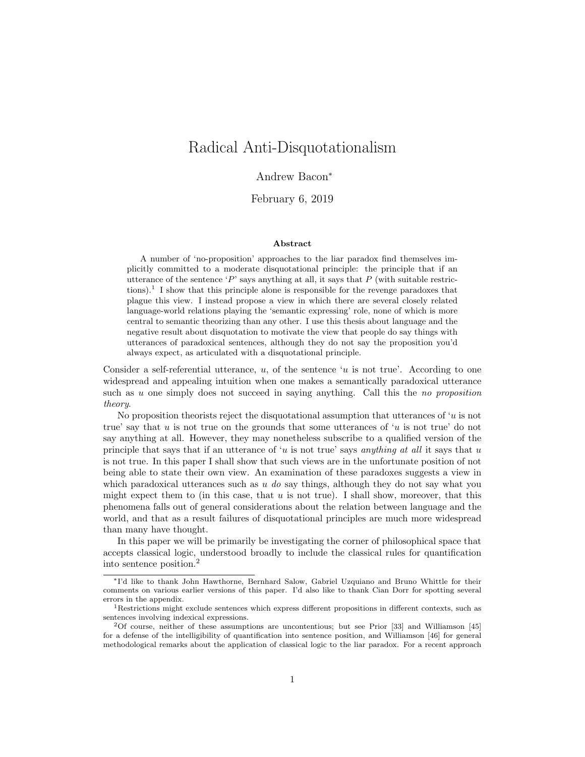# Radical Anti-Disquotationalism

## Andrew Bacon<sup>∗</sup>

### February 6, 2019

#### Abstract

A number of 'no-proposition' approaches to the liar paradox find themselves implicitly committed to a moderate disquotational principle: the principle that if an utterance of the sentence 'P' says anything at all, it says that  $P$  (with suitable restrictions).<sup>1</sup> I show that this principle alone is responsible for the revenge paradoxes that plague this view. I instead propose a view in which there are several closely related language-world relations playing the 'semantic expressing' role, none of which is more central to semantic theorizing than any other. I use this thesis about language and the negative result about disquotation to motivate the view that people do say things with utterances of paradoxical sentences, although they do not say the proposition you'd always expect, as articulated with a disquotational principle.

Consider a self-referential utterance,  $u$ , of the sentence 'u is not true'. According to one widespread and appealing intuition when one makes a semantically paradoxical utterance such as  $u$  one simply does not succeed in saying anything. Call this the *no proposition* theory.

No proposition theorists reject the disquotational assumption that utterances of 'u is not true' say that  $u$  is not true on the grounds that some utterances of ' $u$  is not true' do not say anything at all. However, they may nonetheless subscribe to a qualified version of the principle that says that if an utterance of 'u is not true' says *anything at all* it says that  $u$ is not true. In this paper I shall show that such views are in the unfortunate position of not being able to state their own view. An examination of these paradoxes suggests a view in which paradoxical utterances such as  $u$  do say things, although they do not say what you might expect them to (in this case, that  $u$  is not true). I shall show, moreover, that this phenomena falls out of general considerations about the relation between language and the world, and that as a result failures of disquotational principles are much more widespread than many have thought.

In this paper we will be primarily be investigating the corner of philosophical space that accepts classical logic, understood broadly to include the classical rules for quantification into sentence position.<sup>2</sup>

<sup>∗</sup>I'd like to thank John Hawthorne, Bernhard Salow, Gabriel Uzquiano and Bruno Whittle for their comments on various earlier versions of this paper. I'd also like to thank Cian Dorr for spotting several errors in the appendix.

<sup>&</sup>lt;sup>1</sup>Restrictions might exclude sentences which express different propositions in different contexts, such as sentences involving indexical expressions.

<sup>2</sup>Of course, neither of these assumptions are uncontentious; but see Prior [33] and Williamson [45] for a defense of the intelligibility of quantification into sentence position, and Williamson [46] for general methodological remarks about the application of classical logic to the liar paradox. For a recent approach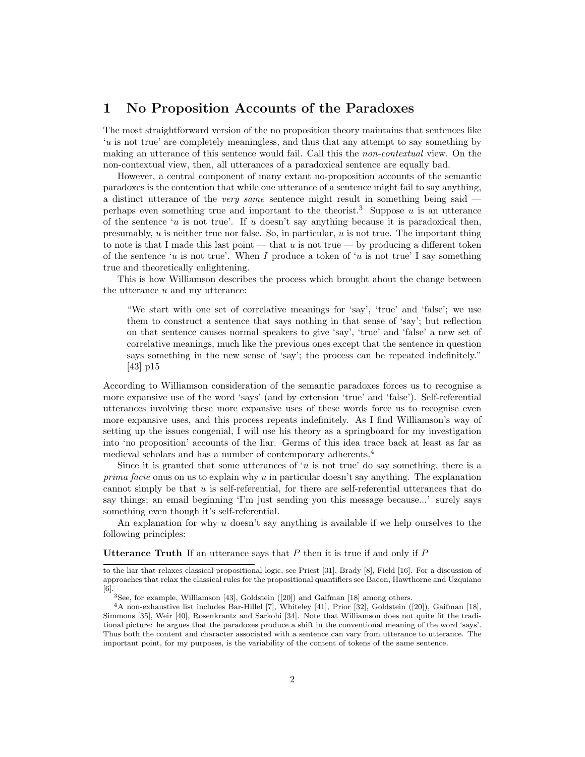## 1 No Proposition Accounts of the Paradoxes

The most straightforward version of the no proposition theory maintains that sentences like 'u is not true' are completely meaningless, and thus that any attempt to say something by making an utterance of this sentence would fail. Call this the *non-contextual* view. On the non-contextual view, then, all utterances of a paradoxical sentence are equally bad.

However, a central component of many extant no-proposition accounts of the semantic paradoxes is the contention that while one utterance of a sentence might fail to say anything, a distinct utterance of the very same sentence might result in something being said perhaps even something true and important to the theorist.<sup>3</sup> Suppose  $u$  is an utterance of the sentence 'u is not true'. If u doesn't say anything because it is paradoxical then, presumably,  $u$  is neither true nor false. So, in particular,  $u$  is not true. The important thing to note is that I made this last point — that u is not true — by producing a different token of the sentence 'u is not true'. When I produce a token of 'u is not true' I say something true and theoretically enlightening.

This is how Williamson describes the process which brought about the change between the utterance  $u$  and my utterance:

"We start with one set of correlative meanings for 'say', 'true' and 'false'; we use them to construct a sentence that says nothing in that sense of 'say'; but reflection on that sentence causes normal speakers to give 'say', 'true' and 'false' a new set of correlative meanings, much like the previous ones except that the sentence in question says something in the new sense of 'say'; the process can be repeated indefinitely." [43] p15

According to Williamson consideration of the semantic paradoxes forces us to recognise a more expansive use of the word 'says' (and by extension 'true' and 'false'). Self-referential utterances involving these more expansive uses of these words force us to recognise even more expansive uses, and this process repeats indefinitely. As I find Williamson's way of setting up the issues congenial, I will use his theory as a springboard for my investigation into 'no proposition' accounts of the liar. Germs of this idea trace back at least as far as medieval scholars and has a number of contemporary adherents.<sup>4</sup>

Since it is granted that some utterances of 'u is not true' do say something, there is a prima facie onus on us to explain why u in particular doesn't say anything. The explanation cannot simply be that  $u$  is self-referential, for there are self-referential utterances that do say things; an email beginning 'I'm just sending you this message because...' surely says something even though it's self-referential.

An explanation for why u doesn't say anything is available if we help ourselves to the following principles:

Utterance Truth If an utterance says that  $P$  then it is true if and only if  $P$ 

to the liar that relaxes classical propositional logic, see Priest [31], Brady [8], Field [16]. For a discussion of approaches that relax the classical rules for the propositional quantifiers see Bacon, Hawthorne and Uzquiano [6].

<sup>3</sup>See, for example, Williamson [43], Goldstein ([20]) and Gaifman [18] among others.

<sup>4</sup>A non-exhaustive list includes Bar-Hillel [7], Whiteley [41], Prior [32], Goldstein ([20]), Gaifman [18], Simmons [35], Weir [40], Rosenkrantz and Sarkohi [34]. Note that Williamson does not quite fit the traditional picture: he argues that the paradoxes produce a shift in the conventional meaning of the word 'says'. Thus both the content and character associated with a sentence can vary from utterance to utterance. The important point, for my purposes, is the variability of the content of tokens of the same sentence.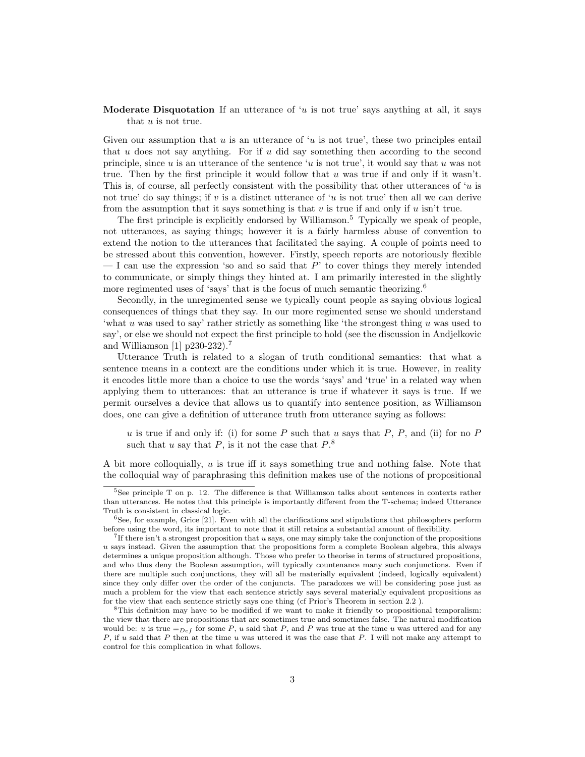### **Moderate Disquotation** If an utterance of  $u$  is not true' says anything at all, it says that  $u$  is not true.

Given our assumption that  $u$  is an utterance of ' $u$  is not true', these two principles entail that  $u$  does not say anything. For if  $u$  did say something then according to the second principle, since  $u$  is an utterance of the sentence 'u is not true', it would say that  $u$  was not true. Then by the first principle it would follow that u was true if and only if it wasn't. This is, of course, all perfectly consistent with the possibility that other utterances of 'u is not true' do say things; if v is a distinct utterance of 'u is not true' then all we can derive from the assumption that it says something is that  $v$  is true if and only if  $u$  isn't true.

The first principle is explicitly endorsed by Williamson.<sup>5</sup> Typically we speak of people, not utterances, as saying things; however it is a fairly harmless abuse of convention to extend the notion to the utterances that facilitated the saying. A couple of points need to be stressed about this convention, however. Firstly, speech reports are notoriously flexible  $-$  I can use the expression 'so and so said that  $P$ ' to cover things they merely intended to communicate, or simply things they hinted at. I am primarily interested in the slightly more regimented uses of 'says' that is the focus of much semantic theorizing.<sup>6</sup>

Secondly, in the unregimented sense we typically count people as saying obvious logical consequences of things that they say. In our more regimented sense we should understand 'what u was used to say' rather strictly as something like 'the strongest thing u was used to say', or else we should not expect the first principle to hold (see the discussion in Andjelkovic and Williamson [1] p230-232).<sup>7</sup>

Utterance Truth is related to a slogan of truth conditional semantics: that what a sentence means in a context are the conditions under which it is true. However, in reality it encodes little more than a choice to use the words 'says' and 'true' in a related way when applying them to utterances: that an utterance is true if whatever it says is true. If we permit ourselves a device that allows us to quantify into sentence position, as Williamson does, one can give a definition of utterance truth from utterance saying as follows:

u is true if and only if: (i) for some P such that u says that P, P, and (ii) for no P such that u say that  $P$ , is it not the case that  $P$ <sup>8</sup>.

A bit more colloquially,  $u$  is true iff it says something true and nothing false. Note that the colloquial way of paraphrasing this definition makes use of the notions of propositional

<sup>&</sup>lt;sup>5</sup>See principle T on p. 12. The difference is that Williamson talks about sentences in contexts rather than utterances. He notes that this principle is importantly different from the T-schema; indeed Utterance Truth is consistent in classical logic.

 $6$ See, for example, Grice [21]. Even with all the clarifications and stipulations that philosophers perform before using the word, its important to note that it still retains a substantial amount of flexibility.

<sup>7</sup> If there isn't a strongest proposition that u says, one may simply take the conjunction of the propositions u says instead. Given the assumption that the propositions form a complete Boolean algebra, this always determines a unique proposition although. Those who prefer to theorise in terms of structured propositions, and who thus deny the Boolean assumption, will typically countenance many such conjunctions. Even if there are multiple such conjunctions, they will all be materially equivalent (indeed, logically equivalent) since they only differ over the order of the conjuncts. The paradoxes we will be considering pose just as much a problem for the view that each sentence strictly says several materially equivalent propositions as for the view that each sentence strictly says one thing (cf Prior's Theorem in section 2.2 ).

<sup>8</sup>This definition may have to be modified if we want to make it friendly to propositional temporalism: the view that there are propositions that are sometimes true and sometimes false. The natural modification would be: u is true  $=p_{ef}$  for some P, u said that P, and P was true at the time u was uttered and for any P, if u said that P then at the time u was uttered it was the case that P. I will not make any attempt to control for this complication in what follows.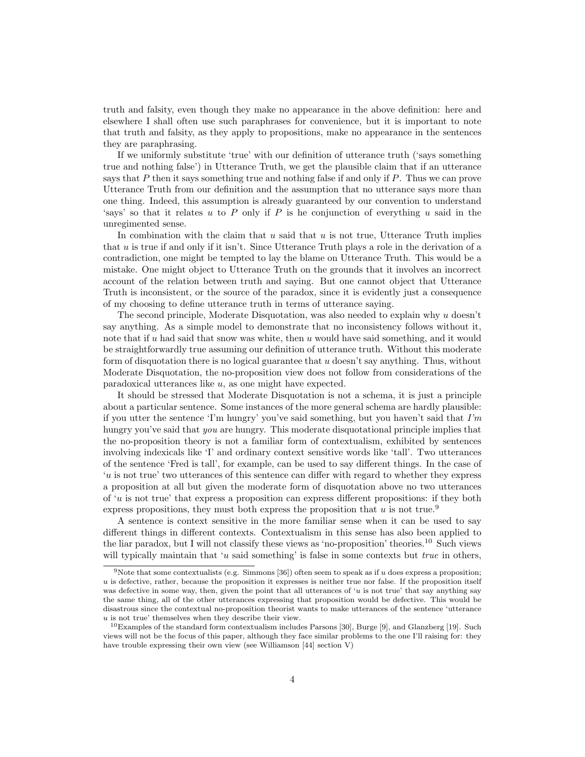truth and falsity, even though they make no appearance in the above definition: here and elsewhere I shall often use such paraphrases for convenience, but it is important to note that truth and falsity, as they apply to propositions, make no appearance in the sentences they are paraphrasing.

If we uniformly substitute 'true' with our definition of utterance truth ('says something true and nothing false') in Utterance Truth, we get the plausible claim that if an utterance says that P then it says something true and nothing false if and only if  $P$ . Thus we can prove Utterance Truth from our definition and the assumption that no utterance says more than one thing. Indeed, this assumption is already guaranteed by our convention to understand 'says' so that it relates u to P only if P is he conjunction of everything u said in the unregimented sense.

In combination with the claim that  $u$  said that  $u$  is not true, Utterance Truth implies that  $u$  is true if and only if it isn't. Since Utterance Truth plays a role in the derivation of a contradiction, one might be tempted to lay the blame on Utterance Truth. This would be a mistake. One might object to Utterance Truth on the grounds that it involves an incorrect account of the relation between truth and saying. But one cannot object that Utterance Truth is inconsistent, or the source of the paradox, since it is evidently just a consequence of my choosing to define utterance truth in terms of utterance saying.

The second principle, Moderate Disquotation, was also needed to explain why  $u$  doesn't say anything. As a simple model to demonstrate that no inconsistency follows without it, note that if u had said that snow was white, then u would have said something, and it would be straightforwardly true assuming our definition of utterance truth. Without this moderate form of disquotation there is no logical guarantee that u doesn't say anything. Thus, without Moderate Disquotation, the no-proposition view does not follow from considerations of the paradoxical utterances like u, as one might have expected.

It should be stressed that Moderate Disquotation is not a schema, it is just a principle about a particular sentence. Some instances of the more general schema are hardly plausible: if you utter the sentence 'I'm hungry' you've said something, but you haven't said that  $\limsup$ hungry you've said that *you* are hungry. This moderate disquotational principle implies that the no-proposition theory is not a familiar form of contextualism, exhibited by sentences involving indexicals like 'I' and ordinary context sensitive words like 'tall'. Two utterances of the sentence 'Fred is tall', for example, can be used to say different things. In the case of 'u is not true' two utterances of this sentence can differ with regard to whether they express a proposition at all but given the moderate form of disquotation above no two utterances of 'u is not true' that express a proposition can express different propositions: if they both express propositions, they must both express the proposition that  $u$  is not true.<sup>9</sup>

A sentence is context sensitive in the more familiar sense when it can be used to say different things in different contexts. Contextualism in this sense has also been applied to the liar paradox, but I will not classify these views as 'no-proposition' theories.<sup>10</sup> Such views will typically maintain that 'u said something' is false in some contexts but *true* in others,

<sup>&</sup>lt;sup>9</sup>Note that some contextualists (e.g. Simmons [36]) often seem to speak as if u does express a proposition; u is defective, rather, because the proposition it expresses is neither true nor false. If the proposition itself was defective in some way, then, given the point that all utterances of 'u is not true' that say anything say the same thing, all of the other utterances expressing that proposition would be defective. This would be disastrous since the contextual no-proposition theorist wants to make utterances of the sentence 'utterance  $u$  is not true' themselves when they describe their view.

<sup>10</sup>Examples of the standard form contextualism includes Parsons [30], Burge [9], and Glanzberg [19]. Such views will not be the focus of this paper, although they face similar problems to the one I'll raising for: they have trouble expressing their own view (see Williamson [44] section V)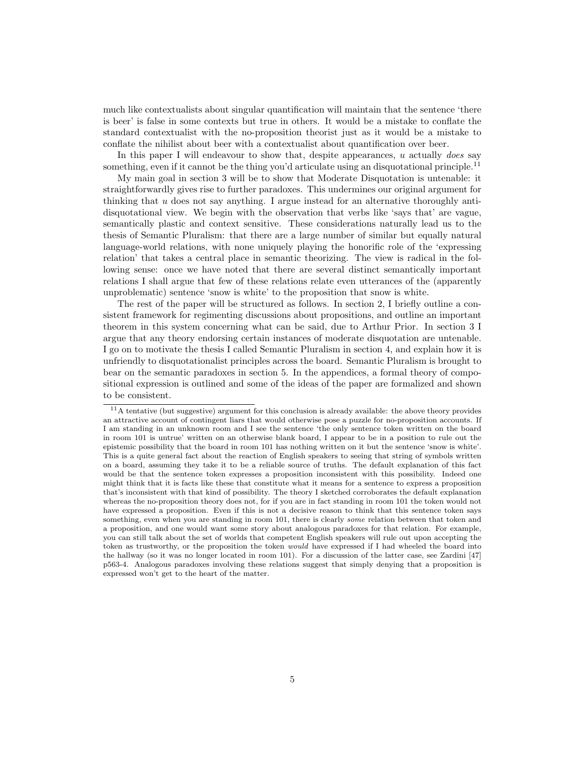much like contextualists about singular quantification will maintain that the sentence 'there is beer' is false in some contexts but true in others. It would be a mistake to conflate the standard contextualist with the no-proposition theorist just as it would be a mistake to conflate the nihilist about beer with a contextualist about quantification over beer.

In this paper I will endeavour to show that, despite appearances,  $u$  actually *does* say something, even if it cannot be the thing you'd articulate using an disquotational principle.<sup>11</sup>

My main goal in section 3 will be to show that Moderate Disquotation is untenable: it straightforwardly gives rise to further paradoxes. This undermines our original argument for thinking that u does not say anything. I argue instead for an alternative thoroughly antidisquotational view. We begin with the observation that verbs like 'says that' are vague, semantically plastic and context sensitive. These considerations naturally lead us to the thesis of Semantic Pluralism: that there are a large number of similar but equally natural language-world relations, with none uniquely playing the honorific role of the 'expressing relation' that takes a central place in semantic theorizing. The view is radical in the following sense: once we have noted that there are several distinct semantically important relations I shall argue that few of these relations relate even utterances of the (apparently unproblematic) sentence 'snow is white' to the proposition that snow is white.

The rest of the paper will be structured as follows. In section 2, I briefly outline a consistent framework for regimenting discussions about propositions, and outline an important theorem in this system concerning what can be said, due to Arthur Prior. In section 3 I argue that any theory endorsing certain instances of moderate disquotation are untenable. I go on to motivate the thesis I called Semantic Pluralism in section 4, and explain how it is unfriendly to disquotationalist principles across the board. Semantic Pluralism is brought to bear on the semantic paradoxes in section 5. In the appendices, a formal theory of compositional expression is outlined and some of the ideas of the paper are formalized and shown to be consistent.

<sup>&</sup>lt;sup>11</sup>A tentative (but suggestive) argument for this conclusion is already available: the above theory provides an attractive account of contingent liars that would otherwise pose a puzzle for no-proposition accounts. If I am standing in an unknown room and I see the sentence 'the only sentence token written on the board in room 101 is untrue' written on an otherwise blank board, I appear to be in a position to rule out the epistemic possibility that the board in room 101 has nothing written on it but the sentence 'snow is white'. This is a quite general fact about the reaction of English speakers to seeing that string of symbols written on a board, assuming they take it to be a reliable source of truths. The default explanation of this fact would be that the sentence token expresses a proposition inconsistent with this possibility. Indeed one might think that it is facts like these that constitute what it means for a sentence to express a proposition that's inconsistent with that kind of possibility. The theory I sketched corroborates the default explanation whereas the no-proposition theory does not, for if you are in fact standing in room 101 the token would not have expressed a proposition. Even if this is not a decisive reason to think that this sentence token says something, even when you are standing in room 101, there is clearly some relation between that token and a proposition, and one would want some story about analogous paradoxes for that relation. For example, you can still talk about the set of worlds that competent English speakers will rule out upon accepting the token as trustworthy, or the proposition the token would have expressed if I had wheeled the board into the hallway (so it was no longer located in room 101). For a discussion of the latter case, see Zardini [47] p563-4. Analogous paradoxes involving these relations suggest that simply denying that a proposition is expressed won't get to the heart of the matter.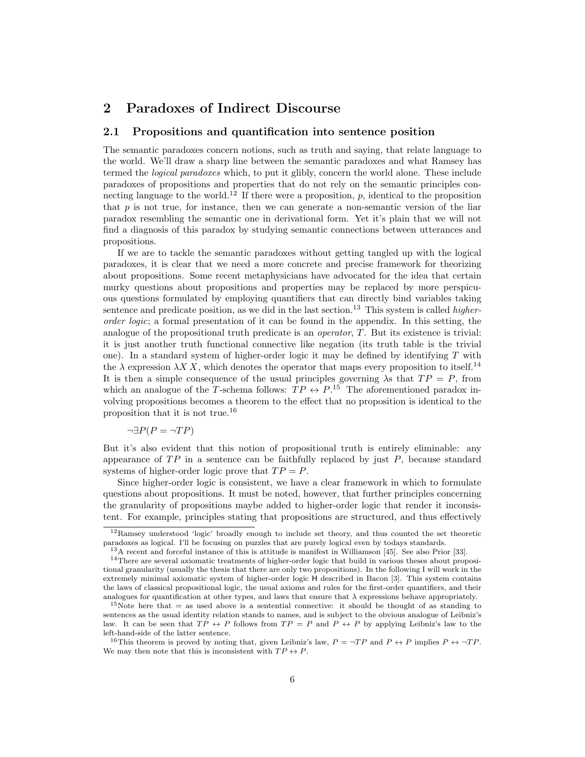## 2 Paradoxes of Indirect Discourse

## 2.1 Propositions and quantification into sentence position

The semantic paradoxes concern notions, such as truth and saying, that relate language to the world. We'll draw a sharp line between the semantic paradoxes and what Ramsey has termed the *logical paradoxes* which, to put it glibly, concern the world alone. These include paradoxes of propositions and properties that do not rely on the semantic principles connecting language to the world.<sup>12</sup> If there were a proposition, p, identical to the proposition that  $p$  is not true, for instance, then we can generate a non-semantic version of the liar paradox resembling the semantic one in derivational form. Yet it's plain that we will not find a diagnosis of this paradox by studying semantic connections between utterances and propositions.

If we are to tackle the semantic paradoxes without getting tangled up with the logical paradoxes, it is clear that we need a more concrete and precise framework for theorizing about propositions. Some recent metaphysicians have advocated for the idea that certain murky questions about propositions and properties may be replaced by more perspicuous questions formulated by employing quantifiers that can directly bind variables taking sentence and predicate position, as we did in the last section.<sup>13</sup> This system is called *higher*order logic; a formal presentation of it can be found in the appendix. In this setting, the analogue of the propositional truth predicate is an *operator*,  $T$ . But its existence is trivial: it is just another truth functional connective like negation (its truth table is the trivial one). In a standard system of higher-order logic it may be defined by identifying  $T$  with the  $\lambda$  expression  $\lambda X X$ , which denotes the operator that maps every proposition to itself.<sup>14</sup> It is then a simple consequence of the usual principles governing  $\lambda$ s that  $TP = P$ , from which an analogue of the T-schema follows:  $TP \leftrightarrow P$ <sup>15</sup>. The aforementioned paradox involving propositions becomes a theorem to the effect that no proposition is identical to the proposition that it is not true.<sup>16</sup>

$$
\neg \exists P(P = \neg TP)
$$

But it's also evident that this notion of propositional truth is entirely eliminable: any appearance of  $TP$  in a sentence can be faithfully replaced by just  $P$ , because standard systems of higher-order logic prove that  $TP = P$ .

Since higher-order logic is consistent, we have a clear framework in which to formulate questions about propositions. It must be noted, however, that further principles concerning the granularity of propositions maybe added to higher-order logic that render it inconsistent. For example, principles stating that propositions are structured, and thus effectively

<sup>12</sup>Ramsey understood 'logic' broadly enough to include set theory, and thus counted the set theoretic paradoxes as logical. I'll be focusing on puzzles that are purely logical even by todays standards.

<sup>13</sup>A recent and forceful instance of this is attitude is manifest in Williamson [45]. See also Prior [33].

<sup>&</sup>lt;sup>14</sup>There are several axiomatic treatments of higher-order logic that build in various theses about propositional granularity (usually the thesis that there are only two propositions). In the following I will work in the extremely minimal axiomatic system of higher-order logic H described in Bacon [3]. This system contains the laws of classical propositional logic, the usual axioms and rules for the first-order quantifiers, and their analogues for quantification at other types, and laws that ensure that  $\lambda$  expressions behave appropriately.

<sup>&</sup>lt;sup>15</sup>Note here that  $=$  as used above is a sentential connective: it should be thought of as standing to sentences as the usual identity relation stands to names, and is subject to the obvious analogue of Leibniz's law. It can be seen that  $TP \leftrightarrow P$  follows from  $TP = P$  and  $P \leftrightarrow P$  by applying Leibniz's law to the left-hand-side of the latter sentence.

<sup>&</sup>lt;sup>16</sup>This theorem is proved by noting that, given Leibniz's law,  $P = \neg TP$  and  $P \leftrightarrow P$  implies  $P \leftrightarrow \neg TP$ . We may then note that this is inconsistent with  $TP \leftrightarrow P$ .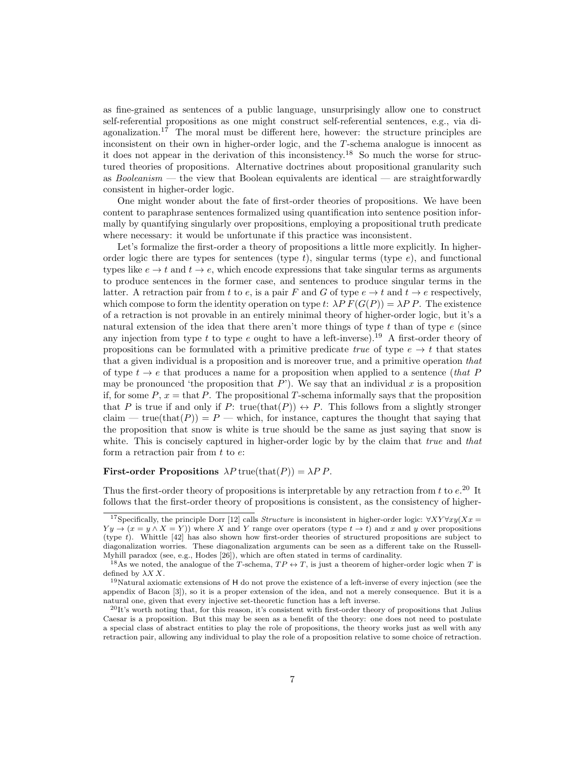as fine-grained as sentences of a public language, unsurprisingly allow one to construct self-referential propositions as one might construct self-referential sentences, e.g., via diagonalization.<sup>17</sup> The moral must be different here, however: the structure principles are inconsistent on their own in higher-order logic, and the T-schema analogue is innocent as it does not appear in the derivation of this inconsistency.<sup>18</sup> So much the worse for structured theories of propositions. Alternative doctrines about propositional granularity such as Booleanism — the view that Boolean equivalents are identical — are straightforwardly consistent in higher-order logic.

One might wonder about the fate of first-order theories of propositions. We have been content to paraphrase sentences formalized using quantification into sentence position informally by quantifying singularly over propositions, employing a propositional truth predicate where necessary: it would be unfortunate if this practice was inconsistent.

Let's formalize the first-order a theory of propositions a little more explicitly. In higherorder logic there are types for sentences (type t), singular terms (type  $e$ ), and functional types like  $e \to t$  and  $t \to e$ , which encode expressions that take singular terms as arguments to produce sentences in the former case, and sentences to produce singular terms in the latter. A retraction pair from t to e, is a pair F and G of type  $e \to t$  and  $t \to e$  respectively, which compose to form the identity operation on type t:  $\lambda P F(G(P)) = \lambda P P$ . The existence of a retraction is not provable in an entirely minimal theory of higher-order logic, but it's a natural extension of the idea that there aren't more things of type  $t$  than of type  $e$  (since any injection from type t to type e ought to have a left-inverse).<sup>19</sup> A first-order theory of propositions can be formulated with a primitive predicate true of type  $e \rightarrow t$  that states that a given individual is a proposition and is moreover true, and a primitive operation that of type  $t \to e$  that produces a name for a proposition when applied to a sentence (that P may be pronounced 'the proposition that  $P'$ ). We say that an individual x is a proposition if, for some P,  $x =$  that P. The propositional T-schema informally says that the proposition that P is true if and only if P: true(that(P))  $\leftrightarrow$  P. This follows from a slightly stronger claim — true(that(P)) = P — which, for instance, captures the thought that saying that the proposition that snow is white is true should be the same as just saying that snow is white. This is concisely captured in higher-order logic by by the claim that true and that form a retraction pair from  $t$  to  $e$ :

#### First-order Propositions  $\lambda P$  true(that(P)) =  $\lambda P P$ .

Thus the first-order theory of propositions is interpretable by any retraction from t to  $e^{20}$  It follows that the first-order theory of propositions is consistent, as the consistency of higher-

<sup>&</sup>lt;sup>17</sup>Specifically, the principle Dorr [12] calls Structure is inconsistent in higher-order logic:  $\forall XY \forall xy (Xx =$  $Yy \to (x = y \land X = Y)$ ) where X and Y range over operators (type  $t \to t$ ) and x and y over propositions (type t). Whittle [42] has also shown how first-order theories of structured propositions are subject to diagonalization worries. These diagonalization arguments can be seen as a different take on the Russell-Myhill paradox (see, e.g., Hodes [26]), which are often stated in terms of cardinality.

<sup>&</sup>lt;sup>18</sup>As we noted, the analogue of the T-schema,  $TP \leftrightarrow T$ , is just a theorem of higher-order logic when T is defined by  $\lambda X X$ .

<sup>&</sup>lt;sup>19</sup>Natural axiomatic extensions of H do not prove the existence of a left-inverse of every injection (see the appendix of Bacon [3]), so it is a proper extension of the idea, and not a merely consequence. But it is a natural one, given that every injective set-theoretic function has a left inverse.

<sup>20</sup>It's worth noting that, for this reason, it's consistent with first-order theory of propositions that Julius Caesar is a proposition. But this may be seen as a benefit of the theory: one does not need to postulate a special class of abstract entities to play the role of propositions, the theory works just as well with any retraction pair, allowing any individual to play the role of a proposition relative to some choice of retraction.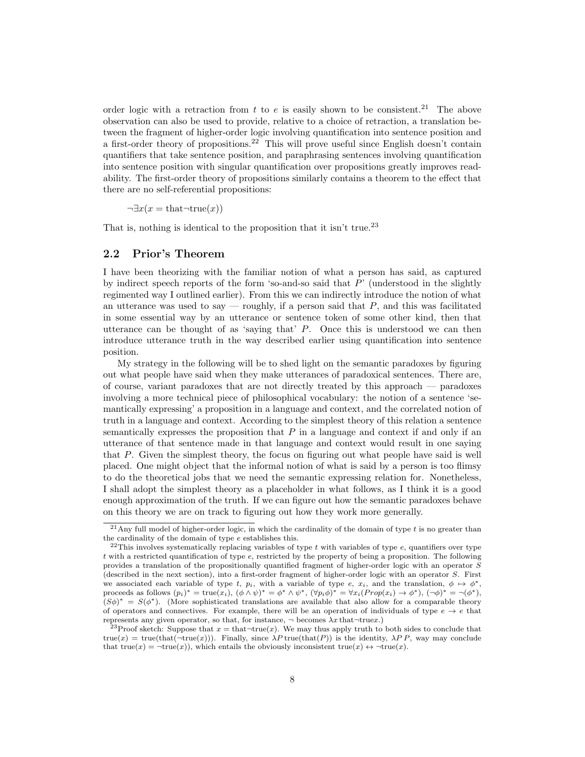order logic with a retraction from t to e is easily shown to be consistent.<sup>21</sup> The above observation can also be used to provide, relative to a choice of retraction, a translation between the fragment of higher-order logic involving quantification into sentence position and a first-order theory of propositions.<sup>22</sup> This will prove useful since English doesn't contain quantifiers that take sentence position, and paraphrasing sentences involving quantification into sentence position with singular quantification over propositions greatly improves readability. The first-order theory of propositions similarly contains a theorem to the effect that there are no self-referential propositions:

 $\neg \exists x (x = \text{that} \neg \text{true}(x))$ 

That is, nothing is identical to the proposition that it isn't true.<sup>23</sup>

## 2.2 Prior's Theorem

I have been theorizing with the familiar notion of what a person has said, as captured by indirect speech reports of the form 'so-and-so said that  $P'$  (understood in the slightly regimented way I outlined earlier). From this we can indirectly introduce the notion of what an utterance was used to say — roughly, if a person said that  $P$ , and this was facilitated in some essential way by an utterance or sentence token of some other kind, then that utterance can be thought of as 'saying that'  $P$ . Once this is understood we can then introduce utterance truth in the way described earlier using quantification into sentence position.

My strategy in the following will be to shed light on the semantic paradoxes by figuring out what people have said when they make utterances of paradoxical sentences. There are, of course, variant paradoxes that are not directly treated by this approach — paradoxes involving a more technical piece of philosophical vocabulary: the notion of a sentence 'semantically expressing' a proposition in a language and context, and the correlated notion of truth in a language and context. According to the simplest theory of this relation a sentence semantically expresses the proposition that  $P$  in a language and context if and only if an utterance of that sentence made in that language and context would result in one saying that P. Given the simplest theory, the focus on figuring out what people have said is well placed. One might object that the informal notion of what is said by a person is too flimsy to do the theoretical jobs that we need the semantic expressing relation for. Nonetheless, I shall adopt the simplest theory as a placeholder in what follows, as I think it is a good enough approximation of the truth. If we can figure out how the semantic paradoxes behave on this theory we are on track to figuring out how they work more generally.

<sup>&</sup>lt;sup>21</sup>Any full model of higher-order logic, in which the cardinality of the domain of type t is no greater than the cardinality of the domain of type e establishes this.

<sup>&</sup>lt;sup>22</sup>This involves systematically replacing variables of type t with variables of type  $e$ , quantifiers over type t with a restricted quantification of type e, restricted by the property of being a proposition. The following provides a translation of the propositionally quantified fragment of higher-order logic with an operator  $\tilde{S}$ (described in the next section), into a first-order fragment of higher-order logic with an operator S. First we associated each variable of type t,  $p_i$ , with a variable of type e,  $x_i$ , and the translation,  $\phi \mapsto \phi^*$ , proceeds as follows  $(p_i)^* = \text{true}(x_i)$ ,  $(\phi \wedge \psi)^* = \phi^* \wedge \psi^*, (\forall p_i \phi)^* = \forall x_i (Prop(x_i) \rightarrow \phi^*)$ ,  $(\neg \phi)^* = \neg (\phi^*)$ ,  $(S\phi)^* = S(\phi^*)$ . (More sophisticated translations are available that also allow for a comparable theory of operators and connectives. For example, there will be an operation of individuals of type  $e \rightarrow e$  that represents any given operator, so that, for instance,  $\neg$  becomes  $\lambda x$  that $\neg$ truex.)

<sup>&</sup>lt;sup>23</sup>Proof sketch: Suppose that  $x = \text{that}-\text{true}(x)$ . We may thus apply truth to both sides to conclude that true(x) = true(that( $\neg$ true(x))). Finally, since  $\lambda P$  true(that(P)) is the identity,  $\lambda P$  P, way may conclude that true(x) =  $\neg$ true(x)), which entails the obviously inconsistent true(x)  $\leftrightarrow \neg$ true(x).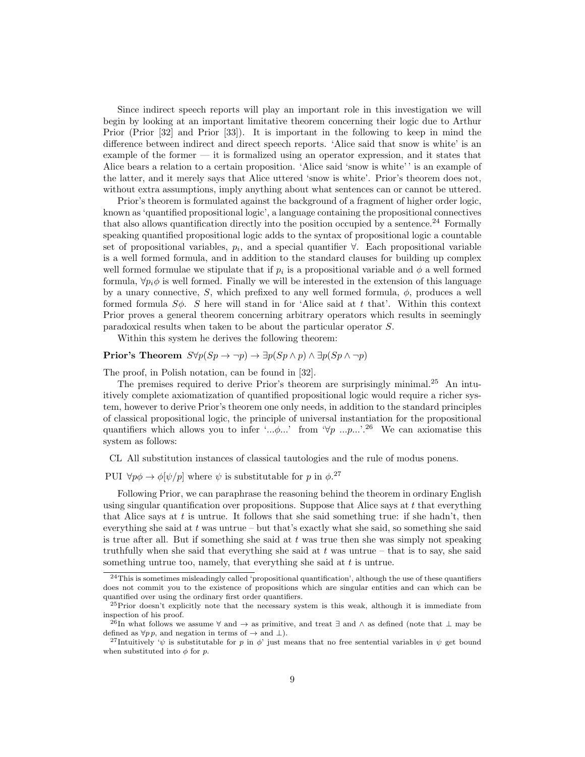Since indirect speech reports will play an important role in this investigation we will begin by looking at an important limitative theorem concerning their logic due to Arthur Prior (Prior [32] and Prior [33]). It is important in the following to keep in mind the difference between indirect and direct speech reports. 'Alice said that snow is white' is an example of the former  $-$  it is formalized using an operator expression, and it states that Alice bears a relation to a certain proposition. 'Alice said 'snow is white' ' is an example of the latter, and it merely says that Alice uttered 'snow is white'. Prior's theorem does not, without extra assumptions, imply anything about what sentences can or cannot be uttered.

Prior's theorem is formulated against the background of a fragment of higher order logic, known as 'quantified propositional logic', a language containing the propositional connectives that also allows quantification directly into the position occupied by a sentence.<sup>24</sup> Formally speaking quantified propositional logic adds to the syntax of propositional logic a countable set of propositional variables,  $p_i$ , and a special quantifier  $\forall$ . Each propositional variable is a well formed formula, and in addition to the standard clauses for building up complex well formed formulae we stipulate that if  $p_i$  is a propositional variable and  $\phi$  a well formed formula,  $\forall p_i \phi$  is well formed. Finally we will be interested in the extension of this language by a unary connective, S, which prefixed to any well formed formula,  $\phi$ , produces a well formed formula  $S\phi$ . S here will stand in for 'Alice said at t that'. Within this context Prior proves a general theorem concerning arbitrary operators which results in seemingly paradoxical results when taken to be about the particular operator S.

Within this system he derives the following theorem:

## **Prior's Theorem**  $S\forall p(Sp \rightarrow \neg p) \rightarrow \exists p(Sp \land p) \land \exists p(Sp \land \neg p)$

The proof, in Polish notation, can be found in [32].

The premises required to derive Prior's theorem are surprisingly minimal.<sup>25</sup> An intuitively complete axiomatization of quantified propositional logic would require a richer system, however to derive Prior's theorem one only needs, in addition to the standard principles of classical propositional logic, the principle of universal instantiation for the propositional quantifiers which allows you to infer '... $\phi$ ...' from ' $\forall p$  ...p...'.<sup>26</sup> We can axiomatise this system as follows:

CL All substitution instances of classical tautologies and the rule of modus ponens.

PUI  $\forall p \phi \rightarrow \phi[\psi/p]$  where  $\psi$  is substitutable for p in  $\phi$ .<sup>27</sup>

Following Prior, we can paraphrase the reasoning behind the theorem in ordinary English using singular quantification over propositions. Suppose that Alice says at t that everything that Alice says at t is untrue. It follows that she said something true: if she hadn't, then everything she said at  $t$  was untrue – but that's exactly what she said, so something she said is true after all. But if something she said at  $t$  was true then she was simply not speaking truthfully when she said that everything she said at  $t$  was untrue  $-$  that is to say, she said something untrue too, namely, that everything she said at  $t$  is untrue.

<sup>&</sup>lt;sup>24</sup>This is sometimes misleadingly called 'propositional quantification', although the use of these quantifiers does not commit you to the existence of propositions which are singular entities and can which can be quantified over using the ordinary first order quantifiers.

 $^{25}$ Prior doesn't explicitly note that the necessary system is this weak, although it is immediate from inspection of his proof.

<sup>&</sup>lt;sup>26</sup>In what follows we assume  $\forall$  and  $\rightarrow$  as primitive, and treat  $\exists$  and  $\land$  as defined (note that  $\bot$  may be defined as  $\forall p \, p$ , and negation in terms of  $\rightarrow$  and  $\bot$ ).

<sup>&</sup>lt;sup>27</sup>Intuitively ' $\psi$  is substitutable for p in  $\phi$ ' just means that no free sentential variables in  $\psi$  get bound when substituted into  $\phi$  for p.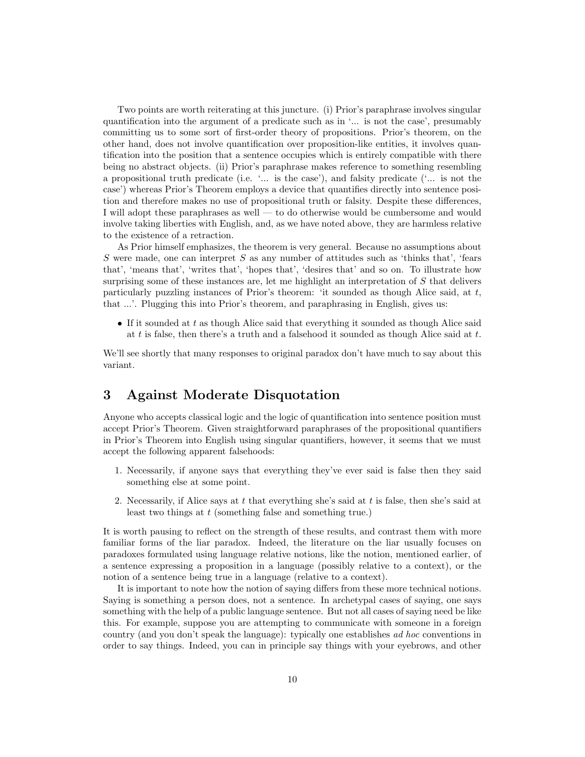Two points are worth reiterating at this juncture. (i) Prior's paraphrase involves singular quantification into the argument of a predicate such as in '... is not the case', presumably committing us to some sort of first-order theory of propositions. Prior's theorem, on the other hand, does not involve quantification over proposition-like entities, it involves quantification into the position that a sentence occupies which is entirely compatible with there being no abstract objects. (ii) Prior's paraphrase makes reference to something resembling a propositional truth predicate (i.e. '... is the case'), and falsity predicate ('... is not the case') whereas Prior's Theorem employs a device that quantifies directly into sentence position and therefore makes no use of propositional truth or falsity. Despite these differences, I will adopt these paraphrases as well — to do otherwise would be cumbersome and would involve taking liberties with English, and, as we have noted above, they are harmless relative to the existence of a retraction.

As Prior himself emphasizes, the theorem is very general. Because no assumptions about S were made, one can interpret S as any number of attitudes such as 'thinks that', 'fears' that', 'means that', 'writes that', 'hopes that', 'desires that' and so on. To illustrate how surprising some of these instances are, let me highlight an interpretation of S that delivers particularly puzzling instances of Prior's theorem: 'it sounded as though Alice said, at  $t$ , that ...'. Plugging this into Prior's theorem, and paraphrasing in English, gives us:

• If it sounded at t as though Alice said that everything it sounded as though Alice said at t is false, then there's a truth and a falsehood it sounded as though Alice said at  $t$ .

We'll see shortly that many responses to original paradox don't have much to say about this variant.

## 3 Against Moderate Disquotation

Anyone who accepts classical logic and the logic of quantification into sentence position must accept Prior's Theorem. Given straightforward paraphrases of the propositional quantifiers in Prior's Theorem into English using singular quantifiers, however, it seems that we must accept the following apparent falsehoods:

- 1. Necessarily, if anyone says that everything they've ever said is false then they said something else at some point.
- 2. Necessarily, if Alice says at t that everything she's said at t is false, then she's said at least two things at t (something false and something true.)

It is worth pausing to reflect on the strength of these results, and contrast them with more familiar forms of the liar paradox. Indeed, the literature on the liar usually focuses on paradoxes formulated using language relative notions, like the notion, mentioned earlier, of a sentence expressing a proposition in a language (possibly relative to a context), or the notion of a sentence being true in a language (relative to a context).

It is important to note how the notion of saying differs from these more technical notions. Saying is something a person does, not a sentence. In archetypal cases of saying, one says something with the help of a public language sentence. But not all cases of saying need be like this. For example, suppose you are attempting to communicate with someone in a foreign country (and you don't speak the language): typically one establishes ad hoc conventions in order to say things. Indeed, you can in principle say things with your eyebrows, and other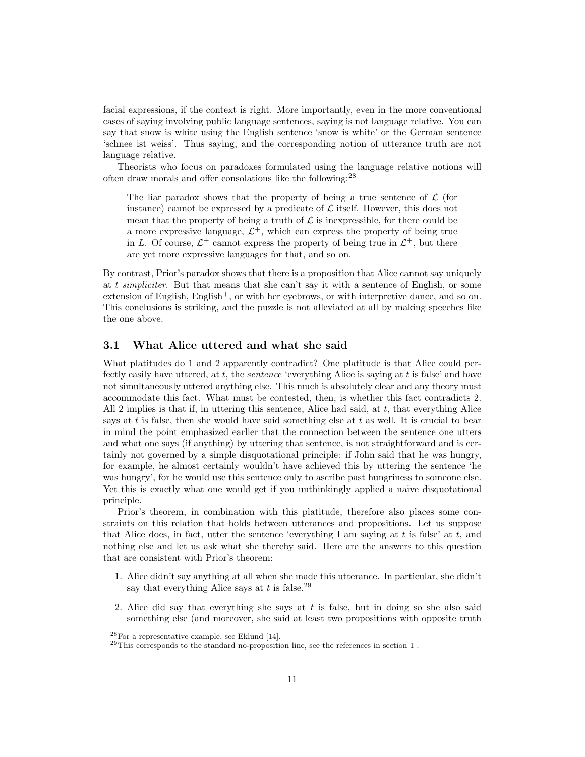facial expressions, if the context is right. More importantly, even in the more conventional cases of saying involving public language sentences, saying is not language relative. You can say that snow is white using the English sentence 'snow is white' or the German sentence 'schnee ist weiss'. Thus saying, and the corresponding notion of utterance truth are not language relative.

Theorists who focus on paradoxes formulated using the language relative notions will often draw morals and offer consolations like the following:<sup>28</sup>

The liar paradox shows that the property of being a true sentence of  $\mathcal L$  (for instance) cannot be expressed by a predicate of  $\mathcal L$  itself. However, this does not mean that the property of being a truth of  $\mathcal L$  is inexpressible, for there could be a more expressive language,  $\mathcal{L}^+$ , which can express the property of being true in L. Of course,  $\mathcal{L}^+$  cannot express the property of being true in  $\mathcal{L}^+$ , but there are yet more expressive languages for that, and so on.

By contrast, Prior's paradox shows that there is a proposition that Alice cannot say uniquely at  $t$  simpliciter. But that means that she can't say it with a sentence of English, or some extension of English, English<sup>+</sup>, or with her eyebrows, or with interpretive dance, and so on. This conclusions is striking, and the puzzle is not alleviated at all by making speeches like the one above.

### 3.1 What Alice uttered and what she said

What platitudes do 1 and 2 apparently contradict? One platitude is that Alice could perfectly easily have uttered, at t, the *sentence* 'everything Alice is saying at t is false' and have not simultaneously uttered anything else. This much is absolutely clear and any theory must accommodate this fact. What must be contested, then, is whether this fact contradicts 2. All  $2$  implies is that if, in uttering this sentence, Alice had said, at  $t$ , that everything Alice says at  $t$  is false, then she would have said something else at  $t$  as well. It is crucial to bear in mind the point emphasized earlier that the connection between the sentence one utters and what one says (if anything) by uttering that sentence, is not straightforward and is certainly not governed by a simple disquotational principle: if John said that he was hungry, for example, he almost certainly wouldn't have achieved this by uttering the sentence 'he was hungry', for he would use this sentence only to ascribe past hungriness to someone else. Yet this is exactly what one would get if you unthinkingly applied a naïve disquotational principle.

Prior's theorem, in combination with this platitude, therefore also places some constraints on this relation that holds between utterances and propositions. Let us suppose that Alice does, in fact, utter the sentence 'everything I am saying at t is false' at t, and nothing else and let us ask what she thereby said. Here are the answers to this question that are consistent with Prior's theorem:

- 1. Alice didn't say anything at all when she made this utterance. In particular, she didn't say that everything Alice says at t is false.<sup>29</sup>
- 2. Alice did say that everything she says at  $t$  is false, but in doing so she also said something else (and moreover, she said at least two propositions with opposite truth

<sup>28</sup>For a representative example, see Eklund [14].

 $^{29}\mathrm{This}$  corresponds to the standard no-proposition line, see the references in section  $1$  .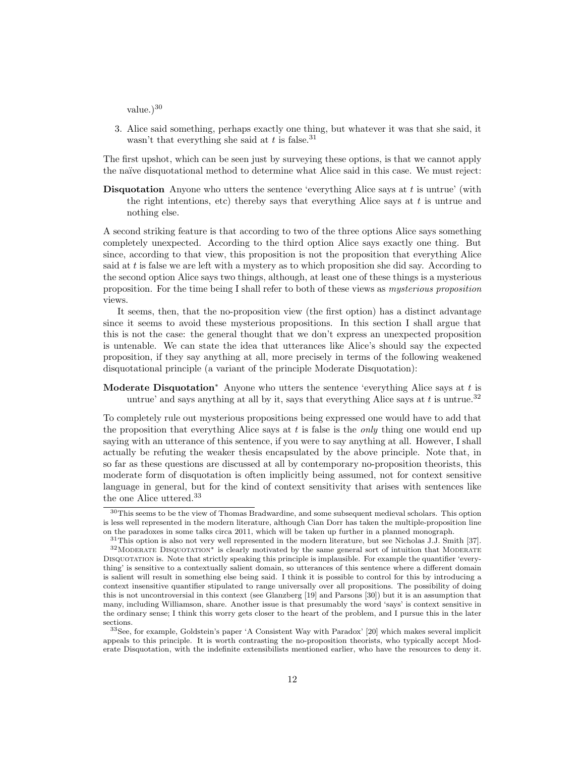value. $)^{30}$ 

3. Alice said something, perhaps exactly one thing, but whatever it was that she said, it wasn't that everything she said at t is false.<sup>31</sup>

The first upshot, which can be seen just by surveying these options, is that we cannot apply the naïve disquotational method to determine what Alice said in this case. We must reject:

**Disquotation** Anyone who utters the sentence 'everything Alice says at  $t$  is untrue' (with the right intentions, etc) thereby says that everything Alice says at  $t$  is untrue and nothing else.

A second striking feature is that according to two of the three options Alice says something completely unexpected. According to the third option Alice says exactly one thing. But since, according to that view, this proposition is not the proposition that everything Alice said at  $t$  is false we are left with a mystery as to which proposition she did say. According to the second option Alice says two things, although, at least one of these things is a mysterious proposition. For the time being I shall refer to both of these views as mysterious proposition views.

It seems, then, that the no-proposition view (the first option) has a distinct advantage since it seems to avoid these mysterious propositions. In this section I shall argue that this is not the case: the general thought that we don't express an unexpected proposition is untenable. We can state the idea that utterances like Alice's should say the expected proposition, if they say anything at all, more precisely in terms of the following weakened disquotational principle (a variant of the principle Moderate Disquotation):

Moderate Disquotation<sup>\*</sup> Anyone who utters the sentence 'everything Alice says at  $t$  is untrue' and says anything at all by it, says that everything Alice says at  $t$  is untrue.<sup>32</sup>

To completely rule out mysterious propositions being expressed one would have to add that the proposition that everything Alice says at  $t$  is false is the *only* thing one would end up saying with an utterance of this sentence, if you were to say anything at all. However, I shall actually be refuting the weaker thesis encapsulated by the above principle. Note that, in so far as these questions are discussed at all by contemporary no-proposition theorists, this moderate form of disquotation is often implicitly being assumed, not for context sensitive language in general, but for the kind of context sensitivity that arises with sentences like the one Alice uttered.<sup>33</sup>

<sup>30</sup>This seems to be the view of Thomas Bradwardine, and some subsequent medieval scholars. This option is less well represented in the modern literature, although Cian Dorr has taken the multiple-proposition line on the paradoxes in some talks circa 2011, which will be taken up further in a planned monograph.

<sup>31</sup>This option is also not very well represented in the modern literature, but see Nicholas J.J. Smith [37]. <sup>32</sup>MODERATE DISQUOTATION<sup>∗</sup> is clearly motivated by the same general sort of intuition that MODERATE Disquotation is. Note that strictly speaking this principle is implausible. For example the quantifier 'everything' is sensitive to a contextually salient domain, so utterances of this sentence where a different domain is salient will result in something else being said. I think it is possible to control for this by introducing a context insensitive quantifier stipulated to range universally over all propositions. The possibility of doing this is not uncontroversial in this context (see Glanzberg [19] and Parsons [30]) but it is an assumption that many, including Williamson, share. Another issue is that presumably the word 'says' is context sensitive in the ordinary sense; I think this worry gets closer to the heart of the problem, and I pursue this in the later sections.

<sup>33</sup>See, for example, Goldstein's paper 'A Consistent Way with Paradox' [20] which makes several implicit appeals to this principle. It is worth contrasting the no-proposition theorists, who typically accept Moderate Disquotation, with the indefinite extensibilists mentioned earlier, who have the resources to deny it.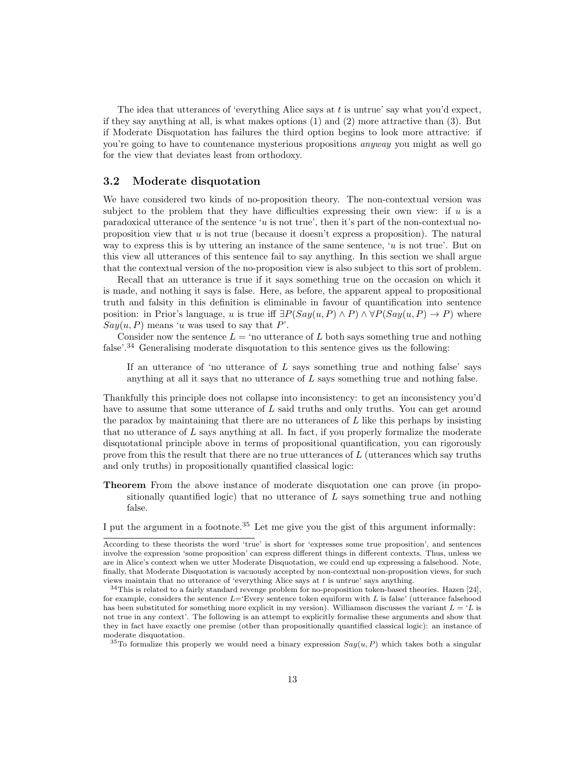The idea that utterances of 'everything Alice says at  $t$  is untrue' say what you'd expect, if they say anything at all, is what makes options (1) and (2) more attractive than (3). But if Moderate Disquotation has failures the third option begins to look more attractive: if you're going to have to countenance mysterious propositions anyway you might as well go for the view that deviates least from orthodoxy.

#### 3.2 Moderate disquotation

We have considered two kinds of no-proposition theory. The non-contextual version was subject to the problem that they have difficulties expressing their own view: if u is a paradoxical utterance of the sentence 'u is not true', then it's part of the non-contextual noproposition view that  $u$  is not true (because it doesn't express a proposition). The natural way to express this is by uttering an instance of the same sentence, 'u is not true'. But on this view all utterances of this sentence fail to say anything. In this section we shall argue that the contextual version of the no-proposition view is also subject to this sort of problem.

Recall that an utterance is true if it says something true on the occasion on which it is made, and nothing it says is false. Here, as before, the apparent appeal to propositional truth and falsity in this definition is eliminable in favour of quantification into sentence position: in Prior's language, u is true iff  $\exists P(Say(u, P) \land P) \land \forall P(Say(u, P) \to P)$  where  $Say(u, P)$  means 'u was used to say that P'.

Consider now the sentence  $L = \text{`no utterance of } L$  both says something true and nothing false'.<sup>34</sup> Generalising moderate disquotation to this sentence gives us the following:

If an utterance of 'no utterance of  $L$  says something true and nothing false' says anything at all it says that no utterance of  $L$  says something true and nothing false.

Thankfully this principle does not collapse into inconsistency: to get an inconsistency you'd have to assume that some utterance of  $L$  said truths and only truths. You can get around the paradox by maintaining that there are no utterances of  $L$  like this perhaps by insisting that no utterance of  $L$  says anything at all. In fact, if you properly formalize the moderate disquotational principle above in terms of propositional quantification, you can rigorously prove from this the result that there are no true utterances of  $L$  (utterances which say truths and only truths) in propositionally quantified classical logic:

Theorem From the above instance of moderate disquotation one can prove (in propositionally quantified logic) that no utterance of  $L$  says something true and nothing false.

I put the argument in a footnote.<sup>35</sup> Let me give you the gist of this argument informally:

According to these theorists the word 'true' is short for 'expresses some true proposition', and sentences involve the expression 'some proposition' can express different things in different contexts. Thus, unless we are in Alice's context when we utter Moderate Disquotation, we could end up expressing a falsehood. Note, finally, that Moderate Disquotation is vacuously accepted by non-contextual non-proposition views, for such views maintain that no utterance of 'everything Alice says at  $t$  is untrue' says anything.

<sup>34</sup>This is related to a fairly standard revenge problem for no-proposition token-based theories. Hazen [24], for example, considers the sentence  $L=$  Every sentence token equiform with  $L$  is false' (utterance falsehood has been substituted for something more explicit in my version). Williamson discusses the variant  $L = L$  is not true in any context'. The following is an attempt to explicitly formalise these arguments and show that they in fact have exactly one premise (other than propositionally quantified classical logic): an instance of moderate disquotation.

<sup>&</sup>lt;sup>35</sup>To formalize this properly we would need a binary expression  $Say(u, P)$  which takes both a singular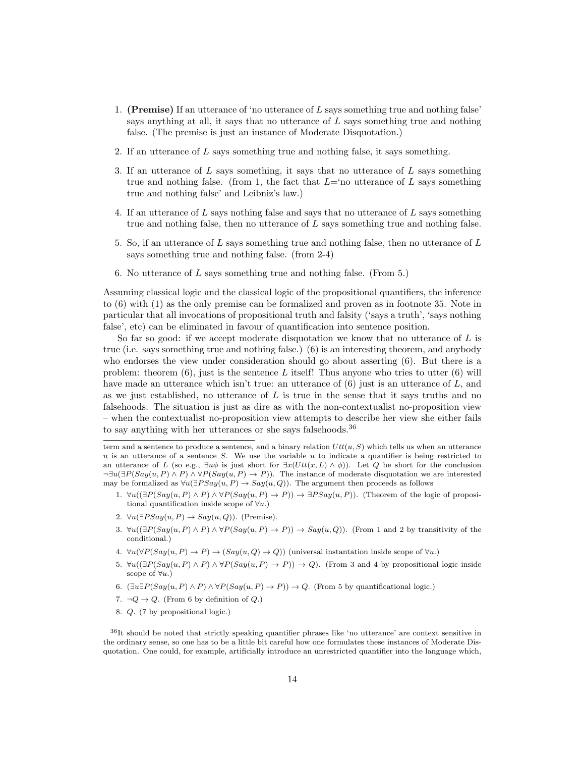- 1. (**Premise**) If an utterance of 'no utterance of  $L$  says something true and nothing false' says anything at all, it says that no utterance of  $L$  says something true and nothing false. (The premise is just an instance of Moderate Disquotation.)
- 2. If an utterance of L says something true and nothing false, it says something.
- 3. If an utterance of L says something, it says that no utterance of L says something true and nothing false. (from 1, the fact that  $L=$  no utterance of L says something true and nothing false' and Leibniz's law.)
- 4. If an utterance of L says nothing false and says that no utterance of L says something true and nothing false, then no utterance of L says something true and nothing false.
- 5. So, if an utterance of L says something true and nothing false, then no utterance of L says something true and nothing false. (from 2-4)
- 6. No utterance of  $L$  says something true and nothing false. (From 5.)

Assuming classical logic and the classical logic of the propositional quantifiers, the inference to (6) with (1) as the only premise can be formalized and proven as in footnote 35. Note in particular that all invocations of propositional truth and falsity ('says a truth', 'says nothing false', etc) can be eliminated in favour of quantification into sentence position.

So far so good: if we accept moderate disquotation we know that no utterance of  $L$  is true (i.e. says something true and nothing false.) (6) is an interesting theorem, and anybody who endorses the view under consideration should go about asserting (6). But there is a problem: theorem  $(6)$ , just is the sentence L itself! Thus anyone who tries to utter  $(6)$  will have made an utterance which isn't true: an utterance of  $(6)$  just is an utterance of  $L$ , and as we just established, no utterance of  $L$  is true in the sense that it says truths and no falsehoods. The situation is just as dire as with the non-contextualist no-proposition view – when the contextualist no-proposition view attempts to describe her view she either fails to say anything with her utterances or she says falsehoods.<sup>36</sup>

- 1.  $\forall u((\exists P(Say(u, P) \land P) \land \forall P(Say(u, P) \rightarrow P)) \rightarrow \exists PSay(u, P))$ . (Theorem of the logic of propositional quantification inside scope of  $\forall u$ .)
- 2.  $\forall u(\exists PSay(u, P) \rightarrow Say(u, Q))$ . (Premise).
- 3.  $\forall u(\exists P(Say(u, P) \land P) \land \forall P(Say(u, P) \to P)) \rightarrow Say(u, Q)$ . (From 1 and 2 by transitivity of the conditional.)
- 4.  $\forall u (\forall P(Say(u, P) \rightarrow P) \rightarrow (Say(u, Q) \rightarrow Q))$  (universal instantation inside scope of  $\forall u$ .)
- 5.  $\forall u(\exists P(Say(u, P) \land P) \land \forall P(Say(u, P) \rightarrow P)) \rightarrow Q)$ . (From 3 and 4 by propositional logic inside scope of  $\forall u$ .)
- 6.  $(\exists u \exists P(Say(u, P) \land P) \land \forall P(Say(u, P) \to P)) \to Q$ . (From 5 by quantificational logic.)
- 7.  $\neg Q \rightarrow Q$ . (From 6 by definition of Q.)
- 8. Q. (7 by propositional logic.)

<sup>36</sup>It should be noted that strictly speaking quantifier phrases like 'no utterance' are context sensitive in the ordinary sense, so one has to be a little bit careful how one formulates these instances of Moderate Disquotation. One could, for example, artificially introduce an unrestricted quantifier into the language which,

term and a sentence to produce a sentence, and a binary relation  $Utt(u, S)$  which tells us when an utterance  $u$  is an utterance of a sentence S. We use the variable  $u$  to indicate a quantifier is being restricted to an utterance of L (so e.g.,  $\exists u\phi$  is just short for  $\exists x(Utt(x,L)\wedge \phi)$ ). Let Q be short for the conclusion  $\neg \exists u(\exists P(Say(u, P) \land P) \land \forall P(Say(u, P) \to P)).$  The instance of moderate disquotation we are interested may be formalized as  $\forall u(\exists PSay(u, P) \rightarrow Say(u, Q))$ . The argument then proceeds as follows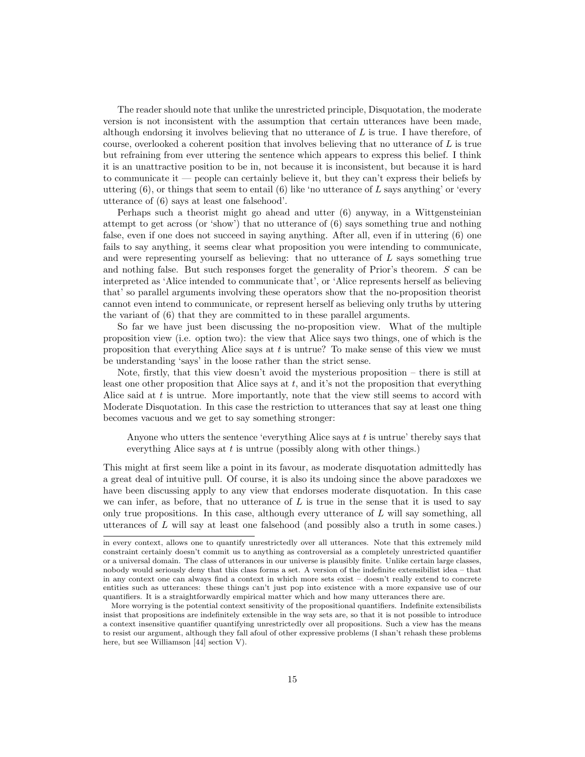The reader should note that unlike the unrestricted principle, Disquotation, the moderate version is not inconsistent with the assumption that certain utterances have been made, although endorsing it involves believing that no utterance of  $L$  is true. I have therefore, of course, overlooked a coherent position that involves believing that no utterance of  $L$  is true but refraining from ever uttering the sentence which appears to express this belief. I think it is an unattractive position to be in, not because it is inconsistent, but because it is hard to communicate it — people can certainly believe it, but they can't express their beliefs by uttering  $(6)$ , or things that seem to entail  $(6)$  like 'no utterance of L says anything' or 'every utterance of (6) says at least one falsehood'.

Perhaps such a theorist might go ahead and utter (6) anyway, in a Wittgensteinian attempt to get across (or 'show') that no utterance of (6) says something true and nothing false, even if one does not succeed in saying anything. After all, even if in uttering (6) one fails to say anything, it seems clear what proposition you were intending to communicate, and were representing yourself as believing: that no utterance of  $L$  says something true and nothing false. But such responses forget the generality of Prior's theorem. S can be interpreted as 'Alice intended to communicate that', or 'Alice represents herself as believing that' so parallel arguments involving these operators show that the no-proposition theorist cannot even intend to communicate, or represent herself as believing only truths by uttering the variant of (6) that they are committed to in these parallel arguments.

So far we have just been discussing the no-proposition view. What of the multiple proposition view (i.e. option two): the view that Alice says two things, one of which is the proposition that everything Alice says at  $t$  is untrue? To make sense of this view we must be understanding 'says' in the loose rather than the strict sense.

Note, firstly, that this view doesn't avoid the mysterious proposition – there is still at least one other proposition that Alice says at  $t$ , and it's not the proposition that everything Alice said at  $t$  is untrue. More importantly, note that the view still seems to accord with Moderate Disquotation. In this case the restriction to utterances that say at least one thing becomes vacuous and we get to say something stronger:

Anyone who utters the sentence 'everything Alice says at  $t$  is untrue' thereby says that everything Alice says at  $t$  is untrue (possibly along with other things.)

This might at first seem like a point in its favour, as moderate disquotation admittedly has a great deal of intuitive pull. Of course, it is also its undoing since the above paradoxes we have been discussing apply to any view that endorses moderate disquotation. In this case we can infer, as before, that no utterance of  $L$  is true in the sense that it is used to say only true propositions. In this case, although every utterance of  $L$  will say something, all utterances of  $L$  will say at least one falsehood (and possibly also a truth in some cases.)

in every context, allows one to quantify unrestrictedly over all utterances. Note that this extremely mild constraint certainly doesn't commit us to anything as controversial as a completely unrestricted quantifier or a universal domain. The class of utterances in our universe is plausibly finite. Unlike certain large classes, nobody would seriously deny that this class forms a set. A version of the indefinite extensibilist idea – that in any context one can always find a context in which more sets exist – doesn't really extend to concrete entities such as utterances: these things can't just pop into existence with a more expansive use of our quantifiers. It is a straightforwardly empirical matter which and how many utterances there are.

More worrying is the potential context sensitivity of the propositional quantifiers. Indefinite extensibilists insist that propositions are indefinitely extensible in the way sets are, so that it is not possible to introduce a context insensitive quantifier quantifying unrestrictedly over all propositions. Such a view has the means to resist our argument, although they fall afoul of other expressive problems (I shan't rehash these problems here, but see Williamson [44] section V).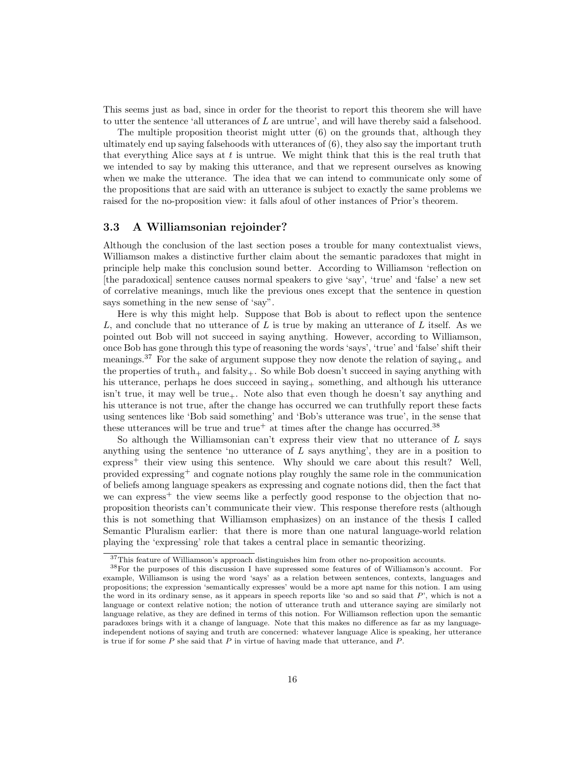This seems just as bad, since in order for the theorist to report this theorem she will have to utter the sentence 'all utterances of L are untrue', and will have thereby said a falsehood.

The multiple proposition theorist might utter (6) on the grounds that, although they ultimately end up saying falsehoods with utterances of (6), they also say the important truth that everything Alice says at  $t$  is untrue. We might think that this is the real truth that we intended to say by making this utterance, and that we represent ourselves as knowing when we make the utterance. The idea that we can intend to communicate only some of the propositions that are said with an utterance is subject to exactly the same problems we raised for the no-proposition view: it falls afoul of other instances of Prior's theorem.

### 3.3 A Williamsonian rejoinder?

Although the conclusion of the last section poses a trouble for many contextualist views, Williamson makes a distinctive further claim about the semantic paradoxes that might in principle help make this conclusion sound better. According to Williamson 'reflection on [the paradoxical] sentence causes normal speakers to give 'say', 'true' and 'false' a new set of correlative meanings, much like the previous ones except that the sentence in question says something in the new sense of 'say".

Here is why this might help. Suppose that Bob is about to reflect upon the sentence  $L$ , and conclude that no utterance of  $L$  is true by making an utterance of  $L$  itself. As we pointed out Bob will not succeed in saying anything. However, according to Williamson, once Bob has gone through this type of reasoning the words 'says', 'true' and 'false' shift their meanings.<sup>37</sup> For the sake of argument suppose they now denote the relation of saying<sub>+</sub> and the properties of truth<sub>+</sub> and falsity<sub>+</sub>. So while Bob doesn't succeed in saying anything with his utterance, perhaps he does succeed in saying<sub>+</sub> something, and although his utterance isn't true, it may well be true<sub>+</sub>. Note also that even though he doesn't say anything and his utterance is not true, after the change has occurred we can truthfully report these facts using sentences like 'Bob said something' and 'Bob's utterance was true', in the sense that these utterances will be true and true+ at times after the change has occurred.<sup>38</sup>

So although the Williamsonian can't express their view that no utterance of  $L$  says anything using the sentence 'no utterance of  $L$  says anything', they are in a position to express<sup>+</sup> their view using this sentence. Why should we care about this result? Well, provided expressing<sup>+</sup> and cognate notions play roughly the same role in the communication of beliefs among language speakers as expressing and cognate notions did, then the fact that we can express<sup>+</sup> the view seems like a perfectly good response to the objection that noproposition theorists can't communicate their view. This response therefore rests (although this is not something that Williamson emphasizes) on an instance of the thesis I called Semantic Pluralism earlier: that there is more than one natural language-world relation playing the 'expressing' role that takes a central place in semantic theorizing.

<sup>&</sup>lt;sup>37</sup>This feature of Williamson's approach distinguishes him from other no-proposition accounts.

<sup>38</sup>For the purposes of this discussion I have supressed some features of of Williamson's account. For example, Williamson is using the word 'says' as a relation between sentences, contexts, languages and propositions; the expression 'semantically expresses' would be a more apt name for this notion. I am using the word in its ordinary sense, as it appears in speech reports like 'so and so said that P', which is not a language or context relative notion; the notion of utterance truth and utterance saying are similarly not language relative, as they are defined in terms of this notion. For Williamson reflection upon the semantic paradoxes brings with it a change of language. Note that this makes no difference as far as my languageindependent notions of saying and truth are concerned: whatever language Alice is speaking, her utterance is true if for some  $P$  she said that  $P$  in virtue of having made that utterance, and  $P$ .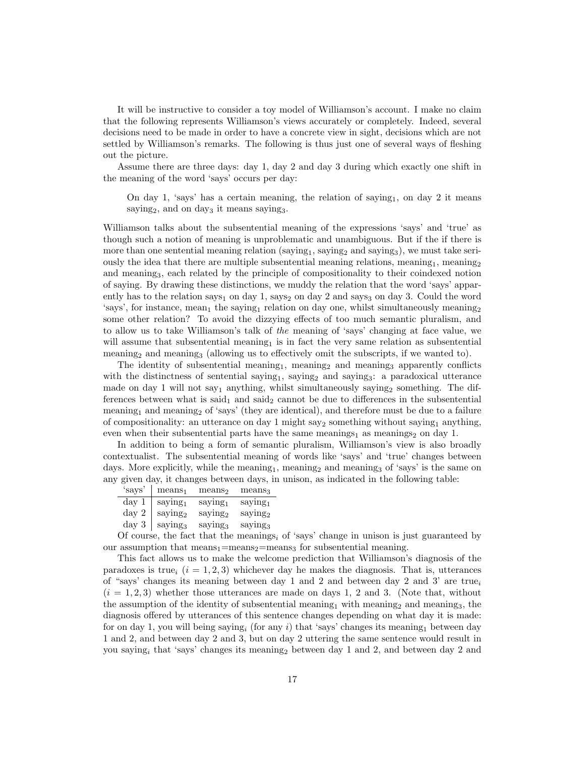It will be instructive to consider a toy model of Williamson's account. I make no claim that the following represents Williamson's views accurately or completely. Indeed, several decisions need to be made in order to have a concrete view in sight, decisions which are not settled by Williamson's remarks. The following is thus just one of several ways of fleshing out the picture.

Assume there are three days: day 1, day 2 and day 3 during which exactly one shift in the meaning of the word 'says' occurs per day:

On day 1, 'says' has a certain meaning, the relation of saying<sub>1</sub>, on day 2 it means saying<sub>2</sub>, and on day<sub>3</sub> it means saying<sub>3</sub>.

Williamson talks about the subsentential meaning of the expressions 'says' and 'true' as though such a notion of meaning is unproblematic and unambiguous. But if the if there is more than one sentential meaning relation (saying<sub>1</sub>, saying<sub>2</sub> and saying<sub>3</sub>), we must take seriously the idea that there are multiple subsentential meaning relations, meaning<sub>1</sub>, meaning<sub>2</sub> and meaning3, each related by the principle of compositionality to their coindexed notion of saying. By drawing these distinctions, we muddy the relation that the word 'says' apparently has to the relation says<sub>1</sub> on day 1, says<sub>2</sub> on day 2 and says<sub>3</sub> on day 3. Could the word 'says', for instance, mean<sub>1</sub> the saying<sub>1</sub> relation on day one, whilst simultaneously meaning<sub>2</sub> some other relation? To avoid the dizzying effects of too much semantic pluralism, and to allow us to take Williamson's talk of the meaning of 'says' changing at face value, we will assume that subsentential meaning<sub>1</sub> is in fact the very same relation as subsentential meaning<sub>2</sub> and meaning<sub>3</sub> (allowing us to effectively omit the subscripts, if we wanted to).

The identity of subsentential meaning<sub>1</sub>, meaning<sub>2</sub> and meaning<sub>3</sub> apparently conflicts with the distinctness of sentential saying<sub>1</sub>, saying<sub>2</sub> and saying<sub>3</sub>: a paradoxical utterance made on day 1 will not say<sub>1</sub> anything, whilst simultaneously saying<sub>2</sub> something. The differences between what is said<sub>1</sub> and said<sub>2</sub> cannot be due to differences in the subsentential meaning<sub>1</sub> and meaning<sub>2</sub> of 'says' (they are identical), and therefore must be due to a failure of compositionality: an utterance on day 1 might  $\text{say}_2$  something without saying<sub>1</sub> anything, even when their subsentential parts have the same meanings<sub>1</sub> as meanings<sub>2</sub> on day 1.

In addition to being a form of semantic pluralism, Williamson's view is also broadly contextualist. The subsentential meaning of words like 'says' and 'true' changes between days. More explicitly, while the meaning<sub>1</sub>, meaning<sub>2</sub> and meaning<sub>3</sub> of 'says' is the same on any given day, it changes between days, in unison, as indicated in the following table:

| 'says'      | means <sub>1</sub>  | means <sub>2</sub>  | means <sub>3</sub>  |
|-------------|---------------------|---------------------|---------------------|
| day 1       | say $\log_1$        | saying <sub>1</sub> | saying <sub>1</sub> |
| day 2       | saying <sub>2</sub> | saying <sub>2</sub> | saying <sub>2</sub> |
| $\rm day~3$ | saying <sub>3</sub> | saying <sub>3</sub> | saying <sub>3</sub> |
| ∩£<br>.     | $\pm$ 1. $\pm$      |                     | .                   |

Of course, the fact that the meanings<sub>i</sub> of 'says' change in unison is just guaranteed by our assumption that  $means_1=means_2=means_3$  for subsentential meaning.

This fact allows us to make the welcome prediction that Williamson's diagnosis of the paradoxes is true,  $(i = 1, 2, 3)$  whichever day he makes the diagnosis. That is, utterances of "says' changes its meaning between day 1 and 2 and between day 2 and 3' are true.  $(i = 1, 2, 3)$  whether those utterances are made on days 1, 2 and 3. (Note that, without the assumption of the identity of subsentential meaning<sub>1</sub> with meaning<sub>2</sub> and meaning<sub>3</sub>, the diagnosis offered by utterances of this sentence changes depending on what day it is made: for on day 1, you will being saying<sub>i</sub> (for any i) that 'says' changes its meaning<sub>1</sub> between day 1 and 2, and between day 2 and 3, but on day 2 uttering the same sentence would result in you saying<sub>i</sub> that 'says' changes its meaning<sub>2</sub> between day 1 and 2, and between day 2 and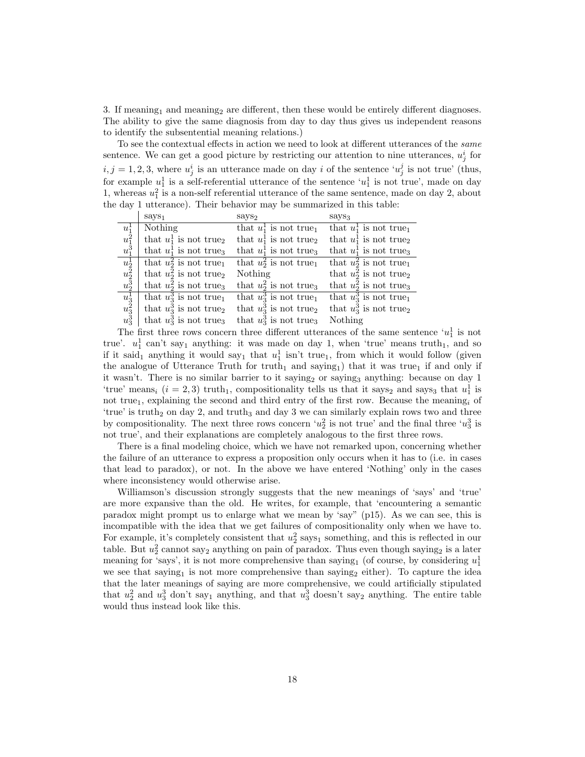3. If meaning<sub>1</sub> and meaning<sub>2</sub> are different, then these would be entirely different diagnoses. The ability to give the same diagnosis from day to day thus gives us independent reasons to identify the subsentential meaning relations.)

To see the contextual effects in action we need to look at different utterances of the same sentence. We can get a good picture by restricting our attention to nine utterances,  $u_j^i$  for  $i, j = 1, 2, 3$ , where  $u_j^i$  is an utterance made on day i of the sentence ' $u_j^j$  is not true' (thus, for example  $u_1^1$  is a self-referential utterance of the sentence ' $u_1^1$  is not true', made on day 1, whereas  $u_1^2$  is a non-self referential utterance of the same sentence, made on day 2, about the day 1 utterance). Their behavior may be summarized in this table:

|                                        | says <sub>1</sub>                     | SayS <sub>2</sub>                     | SayS <sub>3</sub>                     |
|----------------------------------------|---------------------------------------|---------------------------------------|---------------------------------------|
|                                        | Nothing                               | that $u_1^1$ is not true              | that $u_1^1$ is not true              |
| $u_1^1$<br>$u_1^2$                     | that $u_1^1$ is not true <sub>2</sub> | that $u_1^1$ is not true <sub>2</sub> | that $u_1^1$ is not true <sub>2</sub> |
| $u_1^{\bar{3}}$                        | that $u_1^1$ is not true <sub>3</sub> | that $u_1^1$ is not true <sub>3</sub> | that $u_1^1$ is not true <sub>3</sub> |
| $u_2^1$                                | that $u_2^2$ is not true.             | that $u_2^2$ is not true              | that $u_2^2$ is not true              |
| $u_2^2\\ u_2^3$                        | that $u_2^2$ is not true <sub>2</sub> | Nothing                               | that $u_2^2$ is not true <sub>2</sub> |
|                                        | that $u_2^2$ is not true <sub>3</sub> | that $u_2^2$ is not true <sub>3</sub> | that $u_2^2$ is not true <sub>3</sub> |
| $u_3^1$                                | that $u_3^3$ is not true <sub>1</sub> | that $u_3^3$ is not true              | that $u_3^3$ is not true              |
| $u_3^{\tilde{2}}$<br>$u_3^{\tilde{3}}$ | that $u_3^3$ is not true <sub>2</sub> | that $u_3^3$ is not true <sub>2</sub> | that $u_3^3$ is not true <sub>2</sub> |
|                                        | that $u_3^3$ is not true <sub>3</sub> | that $u_3^3$ is not true <sub>3</sub> | Nothing                               |
|                                        |                                       |                                       |                                       |

The first three rows concern three different utterances of the same sentence  $u_1^1$  is not true'.  $u_1^1$  can't say<sub>1</sub> anything: it was made on day 1, when 'true' means truth<sub>1</sub>, and so if it said<sub>1</sub> anything it would say<sub>1</sub> that  $u_1^1$  isn't true<sub>1</sub>, from which it would follow (given the analogue of Utterance Truth for truth<sub>1</sub> and saying<sub>1</sub>) that it was true<sub>1</sub> if and only if it wasn't. There is no similar barrier to it saying<sub>2</sub> or saying<sub>3</sub> anything: because on day 1 'true' means<sub>i</sub> ( $i = 2, 3$ ) truth<sub>1</sub>, compositionality tells us that it says<sub>2</sub> and says<sub>3</sub> that  $u_1^1$  is not true<sub>1</sub>, explaining the second and third entry of the first row. Because the meaning<sub>i</sub> of 'true' is truth<sub>2</sub> on day 2, and truth<sub>3</sub> and day 3 we can similarly explain rows two and three by compositionality. The next three rows concern  $u_2^2$  is not true' and the final three  $u_3^3$  is not true', and their explanations are completely analogous to the first three rows.

There is a final modeling choice, which we have not remarked upon, concerning whether the failure of an utterance to express a proposition only occurs when it has to (i.e. in cases that lead to paradox), or not. In the above we have entered 'Nothing' only in the cases where inconsistency would otherwise arise.

Williamson's discussion strongly suggests that the new meanings of 'says' and 'true' are more expansive than the old. He writes, for example, that 'encountering a semantic paradox might prompt us to enlarge what we mean by 'say" (p15). As we can see, this is incompatible with the idea that we get failures of compositionality only when we have to. For example, it's completely consistent that  $u_2^2$  says<sub>1</sub> something, and this is reflected in our table. But  $u_2^2$  cannot say<sub>2</sub> anything on pain of paradox. Thus even though saying<sub>2</sub> is a later meaning for 'says', it is not more comprehensive than saying<sub>1</sub> (of course, by considering  $u_1^1$ we see that saying<sub>1</sub> is not more comprehensive than saying<sub>2</sub> either). To capture the idea that the later meanings of saying are more comprehensive, we could artificially stipulated that  $u_2^2$  and  $u_3^3$  don't say<sub>1</sub> anything, and that  $u_3^3$  doesn't say<sub>2</sub> anything. The entire table would thus instead look like this.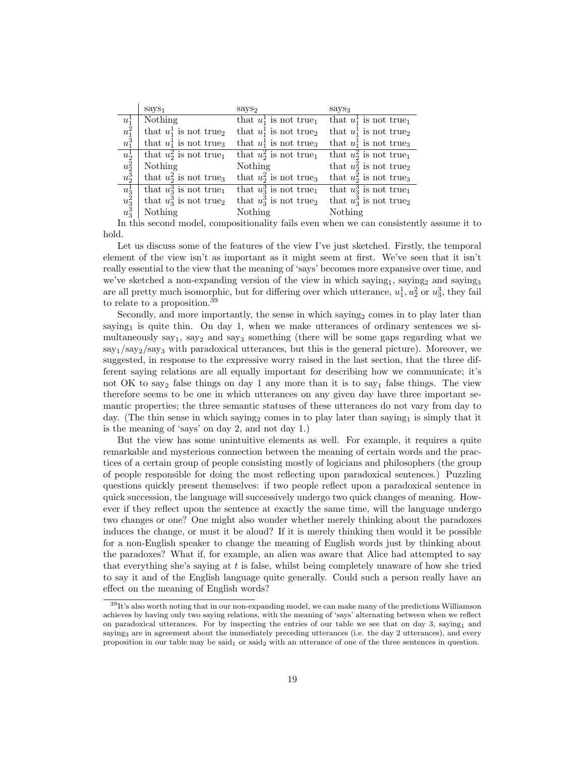|                                                             | says <sub>1</sub>                     | says <sub>2</sub>                     | says <sub>3</sub>                     |
|-------------------------------------------------------------|---------------------------------------|---------------------------------------|---------------------------------------|
| $u_1^1$                                                     | $\overline{\text{Nothing}}$           | that $u_1^1$ is not true <sub>1</sub> | that $u_1^1$ is not true <sub>1</sub> |
| $u_1^{\frac{1}{2}}$<br>$u_1^{\frac{1}{3}}$                  | that $u_1^1$ is not true <sub>2</sub> | that $u_1^1$ is not true <sub>2</sub> | that $u_1^1$ is not true <sub>2</sub> |
|                                                             | that $u_1^1$ is not true <sub>3</sub> | that $u_1^1$ is not true <sub>3</sub> | that $u_1^1$ is not true <sub>3</sub> |
| $\frac{u_2^1}{u_2^2}\ u_2^3$                                | that $u_2^2$ is not true <sub>1</sub> | that $u_2^2$ is not true <sub>1</sub> | that $u_2^2$ is not true              |
|                                                             | Nothing                               | Nothing                               | that $u_2^2$ is not true <sub>2</sub> |
|                                                             | that $u_2^2$ is not true <sub>3</sub> | that $u_2^2$ is not true <sub>3</sub> | that $u_2^2$ is not true <sub>3</sub> |
|                                                             | that $u_3^3$ is not true              | that $u_3^3$ is not true <sub>1</sub> | that $u_3^3$ is not true <sub>1</sub> |
| $\begin{array}{c}\n u_3^1 \\ u_3^2 \\ u_3^3 \\ \end{array}$ | that $u_3^3$ is not true <sub>2</sub> | that $u_3^3$ is not true <sub>2</sub> | that $u_3^3$ is not true <sub>2</sub> |
|                                                             | Nothing                               | Nothing                               | Nothing                               |

In this second model, compositionality fails even when we can consistently assume it to hold.

Let us discuss some of the features of the view I've just sketched. Firstly, the temporal element of the view isn't as important as it might seem at first. We've seen that it isn't really essential to the view that the meaning of 'says' becomes more expansive over time, and we've sketched a non-expanding version of the view in which saying<sub>1</sub>, saying<sub>2</sub> and saying<sub>3</sub> are all pretty much isomorphic, but for differing over which utterance,  $u_1^1, u_2^2$  or  $u_3^3$ , they fail to relate to a proposition.<sup>39</sup>

Secondly, and more importantly, the sense in which saying<sub>2</sub> comes in to play later than saying<sub>1</sub> is quite thin. On day 1, when we make utterances of ordinary sentences we simultaneously say<sub>1</sub>, say<sub>2</sub> and say<sub>3</sub> something (there will be some gaps regarding what we  $\frac{\text{say}_1}{\text{say}_2}{\text{say}_3}$  with paradoxical utterances, but this is the general picture). Moreover, we suggested, in response to the expressive worry raised in the last section, that the three different saying relations are all equally important for describing how we communicate; it's not OK to say<sub>2</sub> false things on day 1 any more than it is to say<sub>1</sub> false things. The view therefore seems to be one in which utterances on any given day have three important semantic properties; the three semantic statuses of these utterances do not vary from day to day. (The thin sense in which saying<sub>2</sub> comes in to play later than saying<sub>1</sub> is simply that it is the meaning of 'says' on day 2, and not day 1.)

But the view has some unintuitive elements as well. For example, it requires a quite remarkable and mysterious connection between the meaning of certain words and the practices of a certain group of people consisting mostly of logicians and philosophers (the group of people responsible for doing the most reflecting upon paradoxical sentences.) Puzzling questions quickly present themselves: if two people reflect upon a paradoxical sentence in quick succession, the language will successively undergo two quick changes of meaning. However if they reflect upon the sentence at exactly the same time, will the language undergo two changes or one? One might also wonder whether merely thinking about the paradoxes induces the change, or must it be aloud? If it is merely thinking then would it be possible for a non-English speaker to change the meaning of English words just by thinking about the paradoxes? What if, for example, an alien was aware that Alice had attempted to say that everything she's saying at  $t$  is false, whilst being completely unaware of how she tried to say it and of the English language quite generally. Could such a person really have an effect on the meaning of English words?

 $39$ It's also worth noting that in our non-expanding model, we can make many of the predictions Williamson achieves by having only two saying relations, with the meaning of 'says' alternating between when we reflect on paradoxical utterances. For by inspecting the entries of our table we see that on day 3, saying<sup>1</sup> and saying<sub>3</sub> are in agreement about the immediately preceding utterances (i.e. the day 2 utterances), and every proposition in our table may be said<sub>1</sub> or said<sub>2</sub> with an utterance of one of the three sentences in question.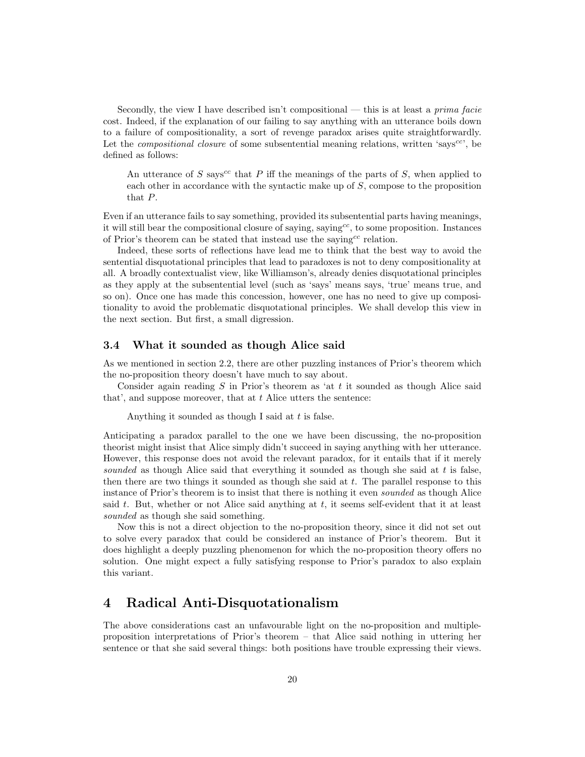Secondly, the view I have described isn't compositional — this is at least a *prima facie* cost. Indeed, if the explanation of our failing to say anything with an utterance boils down to a failure of compositionality, a sort of revenge paradox arises quite straightforwardly. Let the *compositional closure* of some subsentential meaning relations, written 'says<sup>cc</sup>', be defined as follows:

An utterance of S says<sup>cc</sup> that P iff the meanings of the parts of S, when applied to each other in accordance with the syntactic make up of S, compose to the proposition that P.

Even if an utterance fails to say something, provided its subsentential parts having meanings, it will still bear the compositional closure of saying, saying<sup>cc</sup>, to some proposition. Instances of Prior's theorem can be stated that instead use the saying<sup>cc</sup> relation.

Indeed, these sorts of reflections have lead me to think that the best way to avoid the sentential disquotational principles that lead to paradoxes is not to deny compositionality at all. A broadly contextualist view, like Williamson's, already denies disquotational principles as they apply at the subsentential level (such as 'says' means says, 'true' means true, and so on). Once one has made this concession, however, one has no need to give up compositionality to avoid the problematic disquotational principles. We shall develop this view in the next section. But first, a small digression.

## 3.4 What it sounded as though Alice said

As we mentioned in section 2.2, there are other puzzling instances of Prior's theorem which the no-proposition theory doesn't have much to say about.

Consider again reading  $S$  in Prior's theorem as 'at t it sounded as though Alice said that', and suppose moreover, that at  $t$  Alice utters the sentence:

Anything it sounded as though I said at  $t$  is false.

Anticipating a paradox parallel to the one we have been discussing, the no-proposition theorist might insist that Alice simply didn't succeed in saying anything with her utterance. However, this response does not avoid the relevant paradox, for it entails that if it merely sounded as though Alice said that everything it sounded as though she said at  $t$  is false, then there are two things it sounded as though she said at  $t$ . The parallel response to this instance of Prior's theorem is to insist that there is nothing it even sounded as though Alice said  $t$ . But, whether or not Alice said anything at  $t$ , it seems self-evident that it at least sounded as though she said something.

Now this is not a direct objection to the no-proposition theory, since it did not set out to solve every paradox that could be considered an instance of Prior's theorem. But it does highlight a deeply puzzling phenomenon for which the no-proposition theory offers no solution. One might expect a fully satisfying response to Prior's paradox to also explain this variant.

## 4 Radical Anti-Disquotationalism

The above considerations cast an unfavourable light on the no-proposition and multipleproposition interpretations of Prior's theorem – that Alice said nothing in uttering her sentence or that she said several things: both positions have trouble expressing their views.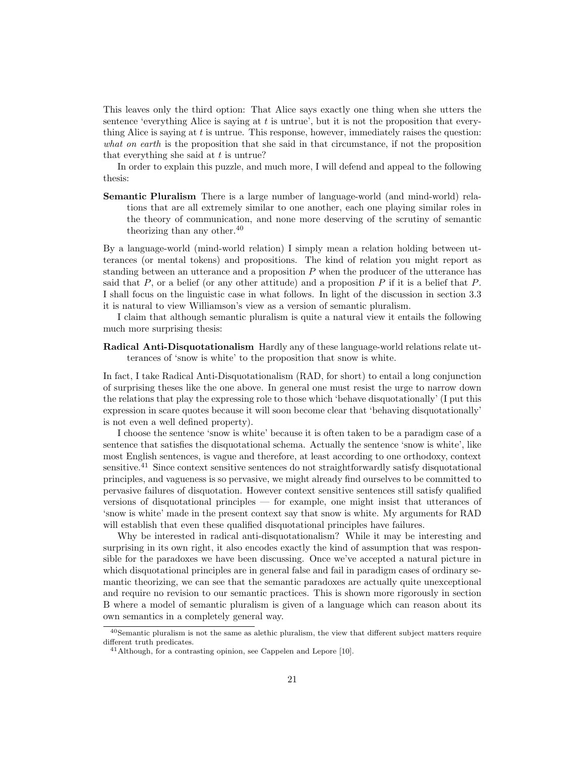This leaves only the third option: That Alice says exactly one thing when she utters the sentence 'everything Alice is saying at  $t$  is untrue', but it is not the proposition that everything Alice is saying at  $t$  is untrue. This response, however, immediately raises the question: what on earth is the proposition that she said in that circumstance, if not the proposition that everything she said at  $t$  is untrue?

In order to explain this puzzle, and much more, I will defend and appeal to the following thesis:

Semantic Pluralism There is a large number of language-world (and mind-world) relations that are all extremely similar to one another, each one playing similar roles in the theory of communication, and none more deserving of the scrutiny of semantic theorizing than any other.<sup>40</sup>

By a language-world (mind-world relation) I simply mean a relation holding between utterances (or mental tokens) and propositions. The kind of relation you might report as standing between an utterance and a proposition  $P$  when the producer of the utterance has said that  $P$ , or a belief (or any other attitude) and a proposition  $P$  if it is a belief that  $P$ . I shall focus on the linguistic case in what follows. In light of the discussion in section 3.3 it is natural to view Williamson's view as a version of semantic pluralism.

I claim that although semantic pluralism is quite a natural view it entails the following much more surprising thesis:

Radical Anti-Disquotationalism Hardly any of these language-world relations relate utterances of 'snow is white' to the proposition that snow is white.

In fact, I take Radical Anti-Disquotationalism (RAD, for short) to entail a long conjunction of surprising theses like the one above. In general one must resist the urge to narrow down the relations that play the expressing role to those which 'behave disquotationally' (I put this expression in scare quotes because it will soon become clear that 'behaving disquotationally' is not even a well defined property).

I choose the sentence 'snow is white' because it is often taken to be a paradigm case of a sentence that satisfies the disquotational schema. Actually the sentence 'snow is white', like most English sentences, is vague and therefore, at least according to one orthodoxy, context sensitive.<sup>41</sup> Since context sensitive sentences do not straightforwardly satisfy disquotational principles, and vagueness is so pervasive, we might already find ourselves to be committed to pervasive failures of disquotation. However context sensitive sentences still satisfy qualified versions of disquotational principles — for example, one might insist that utterances of 'snow is white' made in the present context say that snow is white. My arguments for RAD will establish that even these qualified disquotational principles have failures.

Why be interested in radical anti-disquotationalism? While it may be interesting and surprising in its own right, it also encodes exactly the kind of assumption that was responsible for the paradoxes we have been discussing. Once we've accepted a natural picture in which disquotational principles are in general false and fail in paradigm cases of ordinary semantic theorizing, we can see that the semantic paradoxes are actually quite unexceptional and require no revision to our semantic practices. This is shown more rigorously in section B where a model of semantic pluralism is given of a language which can reason about its own semantics in a completely general way.

<sup>40</sup>Semantic pluralism is not the same as alethic pluralism, the view that different subject matters require different truth predicates.

 $^{41}$ Although, for a contrasting opinion, see Cappelen and Lepore [10].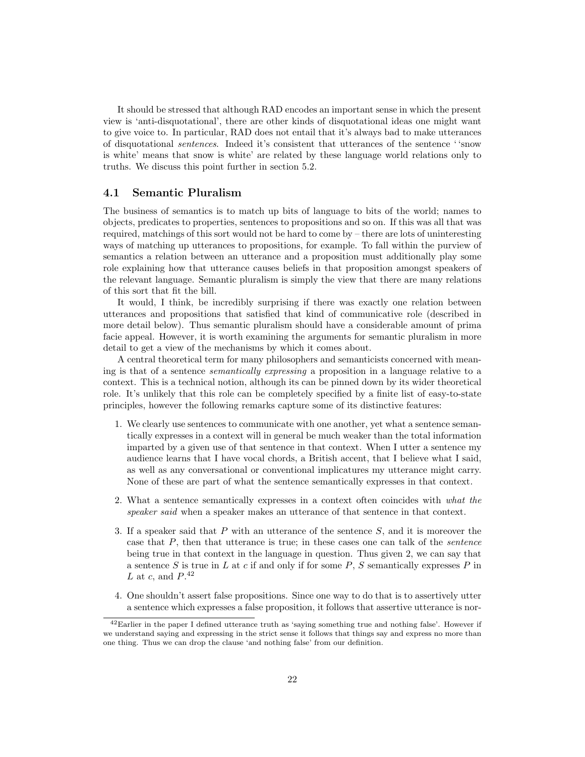It should be stressed that although RAD encodes an important sense in which the present view is 'anti-disquotational', there are other kinds of disquotational ideas one might want to give voice to. In particular, RAD does not entail that it's always bad to make utterances of disquotational sentences. Indeed it's consistent that utterances of the sentence ' 'snow is white' means that snow is white' are related by these language world relations only to truths. We discuss this point further in section 5.2.

## 4.1 Semantic Pluralism

The business of semantics is to match up bits of language to bits of the world; names to objects, predicates to properties, sentences to propositions and so on. If this was all that was required, matchings of this sort would not be hard to come by – there are lots of uninteresting ways of matching up utterances to propositions, for example. To fall within the purview of semantics a relation between an utterance and a proposition must additionally play some role explaining how that utterance causes beliefs in that proposition amongst speakers of the relevant language. Semantic pluralism is simply the view that there are many relations of this sort that fit the bill.

It would, I think, be incredibly surprising if there was exactly one relation between utterances and propositions that satisfied that kind of communicative role (described in more detail below). Thus semantic pluralism should have a considerable amount of prima facie appeal. However, it is worth examining the arguments for semantic pluralism in more detail to get a view of the mechanisms by which it comes about.

A central theoretical term for many philosophers and semanticists concerned with meaning is that of a sentence semantically expressing a proposition in a language relative to a context. This is a technical notion, although its can be pinned down by its wider theoretical role. It's unlikely that this role can be completely specified by a finite list of easy-to-state principles, however the following remarks capture some of its distinctive features:

- 1. We clearly use sentences to communicate with one another, yet what a sentence semantically expresses in a context will in general be much weaker than the total information imparted by a given use of that sentence in that context. When I utter a sentence my audience learns that I have vocal chords, a British accent, that I believe what I said, as well as any conversational or conventional implicatures my utterance might carry. None of these are part of what the sentence semantically expresses in that context.
- 2. What a sentence semantically expresses in a context often coincides with what the speaker said when a speaker makes an utterance of that sentence in that context.
- 3. If a speaker said that  $P$  with an utterance of the sentence  $S$ , and it is moreover the case that P, then that utterance is true; in these cases one can talk of the sentence being true in that context in the language in question. Thus given 2, we can say that a sentence S is true in L at c if and only if for some  $P$ , S semantically expresses P in L at c, and  $P^{42}$
- 4. One shouldn't assert false propositions. Since one way to do that is to assertively utter a sentence which expresses a false proposition, it follows that assertive utterance is nor-

<sup>42</sup>Earlier in the paper I defined utterance truth as 'saying something true and nothing false'. However if we understand saying and expressing in the strict sense it follows that things say and express no more than one thing. Thus we can drop the clause 'and nothing false' from our definition.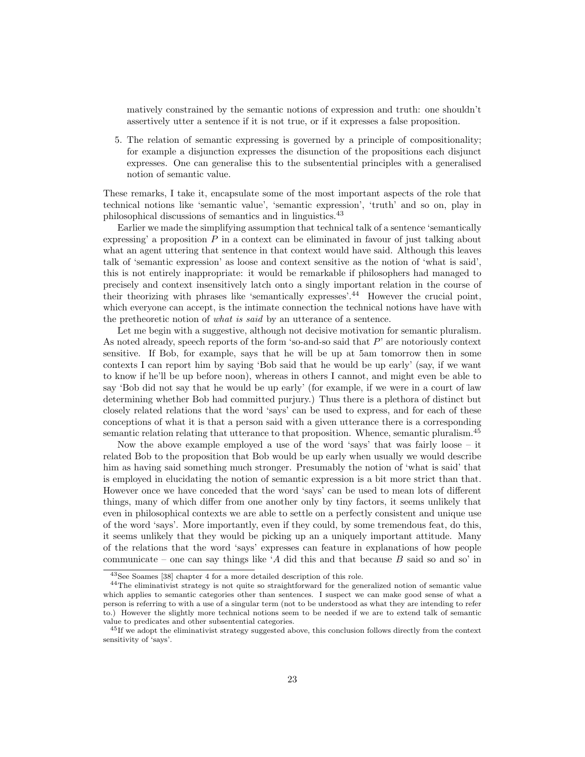matively constrained by the semantic notions of expression and truth: one shouldn't assertively utter a sentence if it is not true, or if it expresses a false proposition.

5. The relation of semantic expressing is governed by a principle of compositionality; for example a disjunction expresses the disunction of the propositions each disjunct expresses. One can generalise this to the subsentential principles with a generalised notion of semantic value.

These remarks, I take it, encapsulate some of the most important aspects of the role that technical notions like 'semantic value', 'semantic expression', 'truth' and so on, play in philosophical discussions of semantics and in linguistics.<sup>43</sup>

Earlier we made the simplifying assumption that technical talk of a sentence 'semantically expressing' a proposition  $P$  in a context can be eliminated in favour of just talking about what an agent uttering that sentence in that context would have said. Although this leaves talk of 'semantic expression' as loose and context sensitive as the notion of 'what is said', this is not entirely inappropriate: it would be remarkable if philosophers had managed to precisely and context insensitively latch onto a singly important relation in the course of their theorizing with phrases like 'semantically expresses'.<sup>44</sup> However the crucial point, which everyone can accept, is the intimate connection the technical notions have have with the pretheoretic notion of *what is said* by an utterance of a sentence.

Let me begin with a suggestive, although not decisive motivation for semantic pluralism. As noted already, speech reports of the form 'so-and-so said that  $P'$  are notoriously context sensitive. If Bob, for example, says that he will be up at 5am tomorrow then in some contexts I can report him by saying 'Bob said that he would be up early' (say, if we want to know if he'll be up before noon), whereas in others I cannot, and might even be able to say 'Bob did not say that he would be up early' (for example, if we were in a court of law determining whether Bob had committed purjury.) Thus there is a plethora of distinct but closely related relations that the word 'says' can be used to express, and for each of these conceptions of what it is that a person said with a given utterance there is a corresponding semantic relation relating that utterance to that proposition. Whence, semantic pluralism.<sup>45</sup>

Now the above example employed a use of the word 'says' that was fairly loose – it related Bob to the proposition that Bob would be up early when usually we would describe him as having said something much stronger. Presumably the notion of 'what is said' that is employed in elucidating the notion of semantic expression is a bit more strict than that. However once we have conceded that the word 'says' can be used to mean lots of different things, many of which differ from one another only by tiny factors, it seems unlikely that even in philosophical contexts we are able to settle on a perfectly consistent and unique use of the word 'says'. More importantly, even if they could, by some tremendous feat, do this, it seems unlikely that they would be picking up an a uniquely important attitude. Many of the relations that the word 'says' expresses can feature in explanations of how people communicate – one can say things like 'A did this and that because B said so and so' in

<sup>43</sup>See Soames [38] chapter 4 for a more detailed description of this role.

<sup>&</sup>lt;sup>44</sup>The eliminativist strategy is not quite so straightforward for the generalized notion of semantic value which applies to semantic categories other than sentences. I suspect we can make good sense of what a person is referring to with a use of a singular term (not to be understood as what they are intending to refer to.) However the slightly more technical notions seem to be needed if we are to extend talk of semantic value to predicates and other subsentential categories.

<sup>&</sup>lt;sup>45</sup>If we adopt the eliminativist strategy suggested above, this conclusion follows directly from the context sensitivity of 'says'.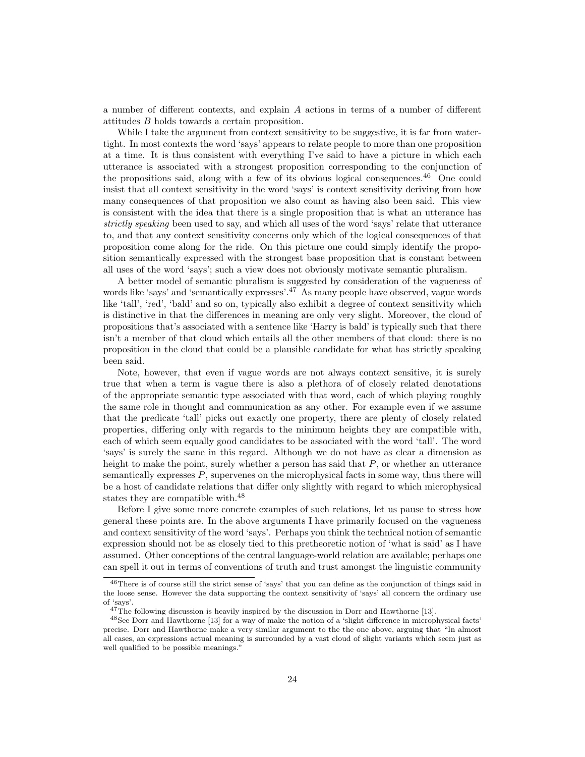a number of different contexts, and explain A actions in terms of a number of different attitudes B holds towards a certain proposition.

While I take the argument from context sensitivity to be suggestive, it is far from watertight. In most contexts the word 'says' appears to relate people to more than one proposition at a time. It is thus consistent with everything I've said to have a picture in which each utterance is associated with a strongest proposition corresponding to the conjunction of the propositions said, along with a few of its obvious logical consequences. $46$  One could insist that all context sensitivity in the word 'says' is context sensitivity deriving from how many consequences of that proposition we also count as having also been said. This view is consistent with the idea that there is a single proposition that is what an utterance has strictly speaking been used to say, and which all uses of the word 'says' relate that utterance to, and that any context sensitivity concerns only which of the logical consequences of that proposition come along for the ride. On this picture one could simply identify the proposition semantically expressed with the strongest base proposition that is constant between all uses of the word 'says'; such a view does not obviously motivate semantic pluralism.

A better model of semantic pluralism is suggested by consideration of the vagueness of words like 'says' and 'semantically expresses'.<sup>47</sup> As many people have observed, vague words like 'tall', 'red', 'bald' and so on, typically also exhibit a degree of context sensitivity which is distinctive in that the differences in meaning are only very slight. Moreover, the cloud of propositions that's associated with a sentence like 'Harry is bald' is typically such that there isn't a member of that cloud which entails all the other members of that cloud: there is no proposition in the cloud that could be a plausible candidate for what has strictly speaking been said.

Note, however, that even if vague words are not always context sensitive, it is surely true that when a term is vague there is also a plethora of of closely related denotations of the appropriate semantic type associated with that word, each of which playing roughly the same role in thought and communication as any other. For example even if we assume that the predicate 'tall' picks out exactly one property, there are plenty of closely related properties, differing only with regards to the minimum heights they are compatible with, each of which seem equally good candidates to be associated with the word 'tall'. The word 'says' is surely the same in this regard. Although we do not have as clear a dimension as height to make the point, surely whether a person has said that  $P$ , or whether an utterance semantically expresses  $P$ , supervenes on the microphysical facts in some way, thus there will be a host of candidate relations that differ only slightly with regard to which microphysical states they are compatible with.<sup>48</sup>

Before I give some more concrete examples of such relations, let us pause to stress how general these points are. In the above arguments I have primarily focused on the vagueness and context sensitivity of the word 'says'. Perhaps you think the technical notion of semantic expression should not be as closely tied to this pretheoretic notion of 'what is said' as I have assumed. Other conceptions of the central language-world relation are available; perhaps one can spell it out in terms of conventions of truth and trust amongst the linguistic community

<sup>46</sup>There is of course still the strict sense of 'says' that you can define as the conjunction of things said in the loose sense. However the data supporting the context sensitivity of 'says' all concern the ordinary use of 'says'.

 $47$ The following discussion is heavily inspired by the discussion in Dorr and Hawthorne [13].

<sup>48</sup>See Dorr and Hawthorne [13] for a way of make the notion of a 'slight difference in microphysical facts' precise. Dorr and Hawthorne make a very similar argument to the the one above, arguing that "In almost all cases, an expressions actual meaning is surrounded by a vast cloud of slight variants which seem just as well qualified to be possible meanings."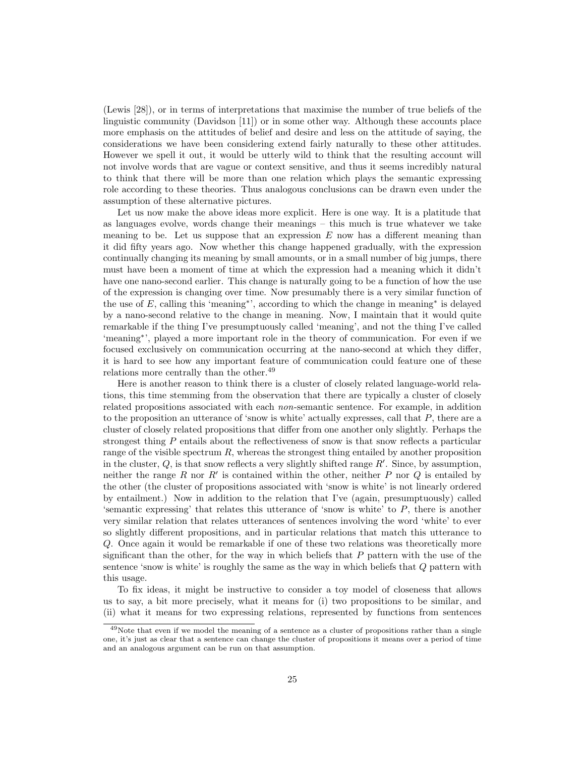(Lewis [28]), or in terms of interpretations that maximise the number of true beliefs of the linguistic community (Davidson [11]) or in some other way. Although these accounts place more emphasis on the attitudes of belief and desire and less on the attitude of saying, the considerations we have been considering extend fairly naturally to these other attitudes. However we spell it out, it would be utterly wild to think that the resulting account will not involve words that are vague or context sensitive, and thus it seems incredibly natural to think that there will be more than one relation which plays the semantic expressing role according to these theories. Thus analogous conclusions can be drawn even under the assumption of these alternative pictures.

Let us now make the above ideas more explicit. Here is one way. It is a platitude that as languages evolve, words change their meanings – this much is true whatever we take meaning to be. Let us suppose that an expression  $E$  now has a different meaning than it did fifty years ago. Now whether this change happened gradually, with the expression continually changing its meaning by small amounts, or in a small number of big jumps, there must have been a moment of time at which the expression had a meaning which it didn't have one nano-second earlier. This change is naturally going to be a function of how the use of the expression is changing over time. Now presumably there is a very similar function of the use of E, calling this 'meaning<sup>∗</sup> ', according to which the change in meaning<sup>∗</sup> is delayed by a nano-second relative to the change in meaning. Now, I maintain that it would quite remarkable if the thing I've presumptuously called 'meaning', and not the thing I've called 'meaning<sup>∗</sup> ', played a more important role in the theory of communication. For even if we focused exclusively on communication occurring at the nano-second at which they differ, it is hard to see how any important feature of communication could feature one of these relations more centrally than the other.<sup>49</sup>

Here is another reason to think there is a cluster of closely related language-world relations, this time stemming from the observation that there are typically a cluster of closely related propositions associated with each *non*-semantic sentence. For example, in addition to the proposition an utterance of 'snow is white' actually expresses, call that P, there are a cluster of closely related propositions that differ from one another only slightly. Perhaps the strongest thing P entails about the reflectiveness of snow is that snow reflects a particular range of the visible spectrum  $R$ , whereas the strongest thing entailed by another proposition in the cluster,  $Q$ , is that snow reflects a very slightly shifted range  $R'$ . Since, by assumption, neither the range R nor R' is contained within the other, neither P nor Q is entailed by the other (the cluster of propositions associated with 'snow is white' is not linearly ordered by entailment.) Now in addition to the relation that I've (again, presumptuously) called 'semantic expressing' that relates this utterance of 'snow is white' to P, there is another very similar relation that relates utterances of sentences involving the word 'white' to ever so slightly different propositions, and in particular relations that match this utterance to Q. Once again it would be remarkable if one of these two relations was theoretically more significant than the other, for the way in which beliefs that  $P$  pattern with the use of the sentence 'snow is white' is roughly the same as the way in which beliefs that Q pattern with this usage.

To fix ideas, it might be instructive to consider a toy model of closeness that allows us to say, a bit more precisely, what it means for (i) two propositions to be similar, and (ii) what it means for two expressing relations, represented by functions from sentences

<sup>49</sup>Note that even if we model the meaning of a sentence as a cluster of propositions rather than a single one, it's just as clear that a sentence can change the cluster of propositions it means over a period of time and an analogous argument can be run on that assumption.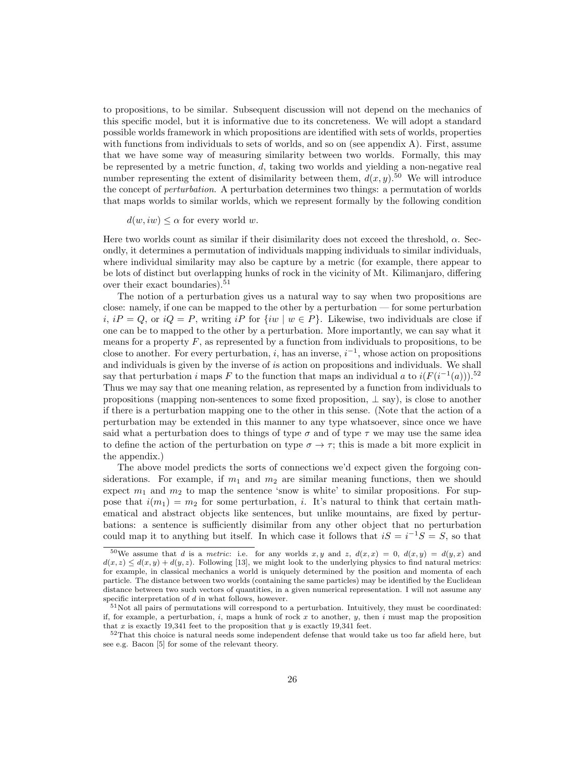to propositions, to be similar. Subsequent discussion will not depend on the mechanics of this specific model, but it is informative due to its concreteness. We will adopt a standard possible worlds framework in which propositions are identified with sets of worlds, properties with functions from individuals to sets of worlds, and so on (see appendix A). First, assume that we have some way of measuring similarity between two worlds. Formally, this may be represented by a metric function,  $d$ , taking two worlds and yielding a non-negative real number representing the extent of disimilarity between them,  $d(x, y)$ .<sup>50</sup> We will introduce the concept of perturbation. A perturbation determines two things: a permutation of worlds that maps worlds to similar worlds, which we represent formally by the following condition

#### $d(w, iw) \leq \alpha$  for every world w.

Here two worlds count as similar if their disimilarity does not exceed the threshold,  $\alpha$ . Secondly, it determines a permutation of individuals mapping individuals to similar individuals, where individual similarity may also be capture by a metric (for example, there appear to be lots of distinct but overlapping hunks of rock in the vicinity of Mt. Kilimanjaro, differing over their exact boundaries).<sup>51</sup>

The notion of a perturbation gives us a natural way to say when two propositions are close: namely, if one can be mapped to the other by a perturbation — for some perturbation i,  $iP = Q$ , or  $iQ = P$ , writing iP for  $\{iw \mid w \in P\}$ . Likewise, two individuals are close if one can be to mapped to the other by a perturbation. More importantly, we can say what it means for a property  $F$ , as represented by a function from individuals to propositions, to be close to another. For every perturbation, i, has an inverse,  $i^{-1}$ , whose action on propositions and individuals is given by the inverse of is action on propositions and individuals. We shall say that perturbation i maps F to the function that maps an individual a to  $i(F(i^{-1}(a)))$ .<sup>52</sup> Thus we may say that one meaning relation, as represented by a function from individuals to propositions (mapping non-sentences to some fixed proposition,  $\perp$  say), is close to another if there is a perturbation mapping one to the other in this sense. (Note that the action of a perturbation may be extended in this manner to any type whatsoever, since once we have said what a perturbation does to things of type  $\sigma$  and of type  $\tau$  we may use the same idea to define the action of the perturbation on type  $\sigma \to \tau$ ; this is made a bit more explicit in the appendix.)

The above model predicts the sorts of connections we'd expect given the forgoing considerations. For example, if  $m_1$  and  $m_2$  are similar meaning functions, then we should expect  $m_1$  and  $m_2$  to map the sentence 'snow is white' to similar propositions. For suppose that  $i(m_1) = m_2$  for some perturbation, i. It's natural to think that certain mathematical and abstract objects like sentences, but unlike mountains, are fixed by perturbations: a sentence is sufficiently disimilar from any other object that no perturbation could map it to anything but itself. In which case it follows that  $iS = i^{-1}S = S$ , so that

<sup>&</sup>lt;sup>50</sup>We assume that d is a metric: i.e. for any worlds x, y and z,  $d(x, x) = 0$ ,  $d(x, y) = d(y, x)$  and  $d(x, z) \leq d(x, y) + d(y, z)$ . Following [13], we might look to the underlying physics to find natural metrics: for example, in classical mechanics a world is uniquely determined by the position and momenta of each particle. The distance between two worlds (containing the same particles) may be identified by the Euclidean distance between two such vectors of quantities, in a given numerical representation. I will not assume any specific interpretation of  $d$  in what follows, however.

<sup>&</sup>lt;sup>51</sup>Not all pairs of permutations will correspond to a perturbation. Intuitively, they must be coordinated: if, for example, a perturbation, i, maps a hunk of rock  $x$  to another,  $y$ , then i must map the proposition that x is exactly 19,341 feet to the proposition that y is exactly 19,341 feet.

<sup>&</sup>lt;sup>52</sup>That this choice is natural needs some independent defense that would take us too far afield here, but see e.g. Bacon [5] for some of the relevant theory.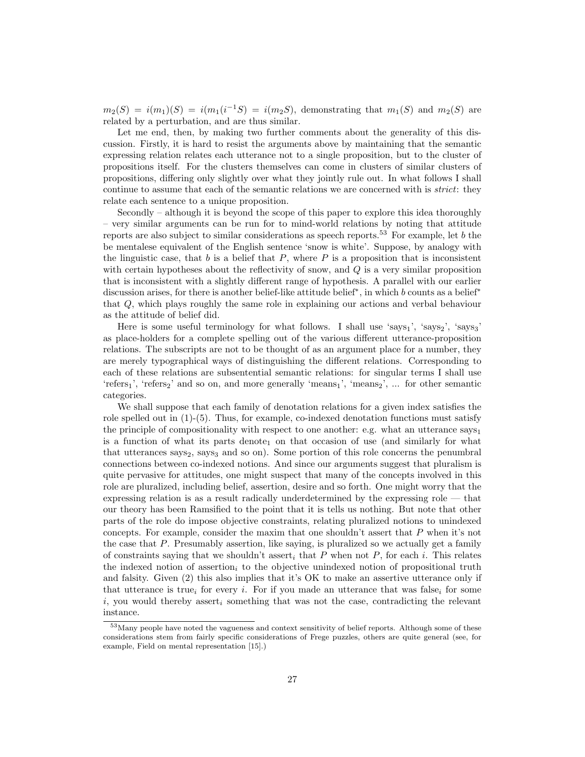$m_2(S) = i(m_1)(S) = i(m_1(i^{-1}S) = i(m_2S)$ , demonstrating that  $m_1(S)$  and  $m_2(S)$  are related by a perturbation, and are thus similar.

Let me end, then, by making two further comments about the generality of this discussion. Firstly, it is hard to resist the arguments above by maintaining that the semantic expressing relation relates each utterance not to a single proposition, but to the cluster of propositions itself. For the clusters themselves can come in clusters of similar clusters of propositions, differing only slightly over what they jointly rule out. In what follows I shall continue to assume that each of the semantic relations we are concerned with is *strict*: they relate each sentence to a unique proposition.

Secondly – although it is beyond the scope of this paper to explore this idea thoroughly – very similar arguments can be run for to mind-world relations by noting that attitude reports are also subject to similar considerations as speech reports.<sup>53</sup> For example, let b the be mentalese equivalent of the English sentence 'snow is white'. Suppose, by analogy with the linguistic case, that b is a belief that  $P$ , where  $P$  is a proposition that is inconsistent with certain hypotheses about the reflectivity of snow, and  $Q$  is a very similar proposition that is inconsistent with a slightly different range of hypothesis. A parallel with our earlier discussion arises, for there is another belief-like attitude belief<sup>\*</sup>, in which b counts as a belief<sup>\*</sup> that Q, which plays roughly the same role in explaining our actions and verbal behaviour as the attitude of belief did.

Here is some useful terminology for what follows. I shall use 'says<sub>1</sub>', 'says<sub>2</sub>', 'says<sub>3</sub>' as place-holders for a complete spelling out of the various different utterance-proposition relations. The subscripts are not to be thought of as an argument place for a number, they are merely typographical ways of distinguishing the different relations. Corresponding to each of these relations are subsentential semantic relations: for singular terms I shall use 'refers<sub>1</sub>', 'refers<sub>2</sub>' and so on, and more generally 'means<sub>1</sub>', 'means<sub>2</sub>', ... for other semantic categories.

We shall suppose that each family of denotation relations for a given index satisfies the role spelled out in  $(1)-(5)$ . Thus, for example, co-indexed denotation functions must satisfy the principle of compositionality with respect to one another: e.g. what an utterance says<sub>1</sub> is a function of what its parts denote<sub>1</sub> on that occasion of use (and similarly for what that utterances  $ss_1, ss_2, ss_3$  and so on). Some portion of this role concerns the penumbral connections between co-indexed notions. And since our arguments suggest that pluralism is quite pervasive for attitudes, one might suspect that many of the concepts involved in this role are pluralized, including belief, assertion, desire and so forth. One might worry that the expressing relation is as a result radically underdetermined by the expressing role — that our theory has been Ramsified to the point that it is tells us nothing. But note that other parts of the role do impose objective constraints, relating pluralized notions to unindexed concepts. For example, consider the maxim that one shouldn't assert that  $P$  when it's not the case that  $P$ . Presumably assertion, like saying, is pluralized so we actually get a family of constraints saying that we shouldn't assert<sub>i</sub> that P when not P, for each i. This relates the indexed notion of assertion<sub>i</sub> to the objective unindexed notion of propositional truth and falsity. Given (2) this also implies that it's OK to make an assertive utterance only if that utterance is true, for every i. For if you made an utterance that was false, for some i, you would thereby assert<sub>i</sub> something that was not the case, contradicting the relevant instance.

<sup>&</sup>lt;sup>53</sup>Many people have noted the vagueness and context sensitivity of belief reports. Although some of these considerations stem from fairly specific considerations of Frege puzzles, others are quite general (see, for example, Field on mental representation [15].)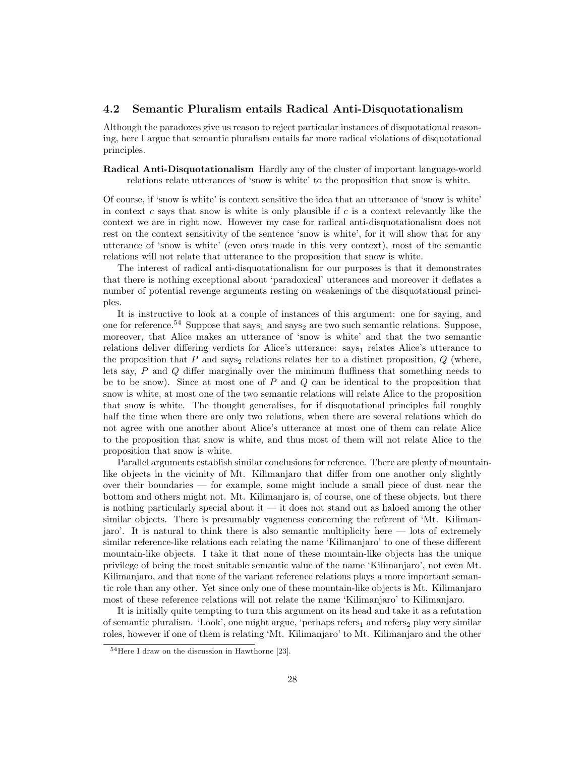### 4.2 Semantic Pluralism entails Radical Anti-Disquotationalism

Although the paradoxes give us reason to reject particular instances of disquotational reasoning, here I argue that semantic pluralism entails far more radical violations of disquotational principles.

Radical Anti-Disquotationalism Hardly any of the cluster of important language-world relations relate utterances of 'snow is white' to the proposition that snow is white.

Of course, if 'snow is white' is context sensitive the idea that an utterance of 'snow is white' in context c says that snow is white is only plausible if c is a context relevantly like the context we are in right now. However my case for radical anti-disquotationalism does not rest on the context sensitivity of the sentence 'snow is white', for it will show that for any utterance of 'snow is white' (even ones made in this very context), most of the semantic relations will not relate that utterance to the proposition that snow is white.

The interest of radical anti-disquotationalism for our purposes is that it demonstrates that there is nothing exceptional about 'paradoxical' utterances and moreover it deflates a number of potential revenge arguments resting on weakenings of the disquotational principles.

It is instructive to look at a couple of instances of this argument: one for saying, and one for reference.<sup>54</sup> Suppose that says<sub>1</sub> and says<sub>2</sub> are two such semantic relations. Suppose, moreover, that Alice makes an utterance of 'snow is white' and that the two semantic relations deliver differing verdicts for Alice's utterance:  $says<sub>1</sub>$  relates Alice's utterance to the proposition that P and says<sub>2</sub> relations relates her to a distinct proposition,  $Q$  (where, lets say, P and Q differ marginally over the minimum fluffiness that something needs to be to be snow). Since at most one of  $P$  and  $Q$  can be identical to the proposition that snow is white, at most one of the two semantic relations will relate Alice to the proposition that snow is white. The thought generalises, for if disquotational principles fail roughly half the time when there are only two relations, when there are several relations which do not agree with one another about Alice's utterance at most one of them can relate Alice to the proposition that snow is white, and thus most of them will not relate Alice to the proposition that snow is white.

Parallel arguments establish similar conclusions for reference. There are plenty of mountainlike objects in the vicinity of Mt. Kilimanjaro that differ from one another only slightly over their boundaries — for example, some might include a small piece of dust near the bottom and others might not. Mt. Kilimanjaro is, of course, one of these objects, but there is nothing particularly special about it — it does not stand out as haloed among the other similar objects. There is presumably vagueness concerning the referent of 'Mt. Kilimanjaro'. It is natural to think there is also semantic multiplicity here — lots of extremely similar reference-like relations each relating the name 'Kilimanjaro' to one of these different mountain-like objects. I take it that none of these mountain-like objects has the unique privilege of being the most suitable semantic value of the name 'Kilimanjaro', not even Mt. Kilimanjaro, and that none of the variant reference relations plays a more important semantic role than any other. Yet since only one of these mountain-like objects is Mt. Kilimanjaro most of these reference relations will not relate the name 'Kilimanjaro' to Kilimanjaro.

It is initially quite tempting to turn this argument on its head and take it as a refutation of semantic pluralism. 'Look', one might argue, 'perhaps refers<sub>1</sub> and refers<sub>2</sub> play very similar roles, however if one of them is relating 'Mt. Kilimanjaro' to Mt. Kilimanjaro and the other

<sup>54</sup>Here I draw on the discussion in Hawthorne [23].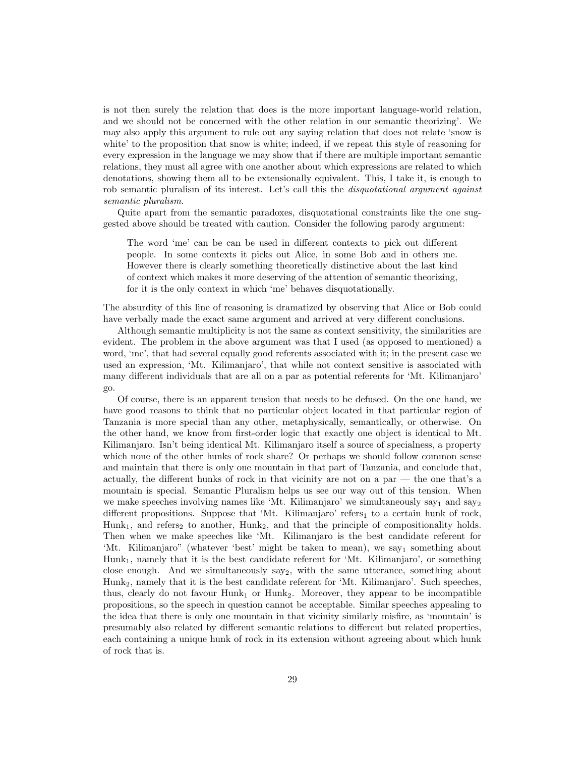is not then surely the relation that does is the more important language-world relation, and we should not be concerned with the other relation in our semantic theorizing'. We may also apply this argument to rule out any saying relation that does not relate 'snow is white' to the proposition that snow is white; indeed, if we repeat this style of reasoning for every expression in the language we may show that if there are multiple important semantic relations, they must all agree with one another about which expressions are related to which denotations, showing them all to be extensionally equivalent. This, I take it, is enough to rob semantic pluralism of its interest. Let's call this the *disquotational argument against* semantic pluralism.

Quite apart from the semantic paradoxes, disquotational constraints like the one suggested above should be treated with caution. Consider the following parody argument:

The word 'me' can be can be used in different contexts to pick out different people. In some contexts it picks out Alice, in some Bob and in others me. However there is clearly something theoretically distinctive about the last kind of context which makes it more deserving of the attention of semantic theorizing, for it is the only context in which 'me' behaves disquotationally.

The absurdity of this line of reasoning is dramatized by observing that Alice or Bob could have verbally made the exact same argument and arrived at very different conclusions.

Although semantic multiplicity is not the same as context sensitivity, the similarities are evident. The problem in the above argument was that I used (as opposed to mentioned) a word, 'me', that had several equally good referents associated with it; in the present case we used an expression, 'Mt. Kilimanjaro', that while not context sensitive is associated with many different individuals that are all on a par as potential referents for 'Mt. Kilimanjaro' go.

Of course, there is an apparent tension that needs to be defused. On the one hand, we have good reasons to think that no particular object located in that particular region of Tanzania is more special than any other, metaphysically, semantically, or otherwise. On the other hand, we know from first-order logic that exactly one object is identical to Mt. Kilimanjaro. Isn't being identical Mt. Kilimanjaro itself a source of specialness, a property which none of the other hunks of rock share? Or perhaps we should follow common sense and maintain that there is only one mountain in that part of Tanzania, and conclude that, actually, the different hunks of rock in that vicinity are not on a par  $-$  the one that's a mountain is special. Semantic Pluralism helps us see our way out of this tension. When we make speeches involving names like 'Mt. Kilimanjaro' we simultaneously say<sub>1</sub> and say<sub>2</sub> different propositions. Suppose that 'Mt. Kilimanjaro' refers<sub>1</sub> to a certain hunk of rock,  $Hunk<sub>1</sub>$ , and refers<sub>2</sub> to another,  $Hunk<sub>2</sub>$ , and that the principle of compositionality holds. Then when we make speeches like 'Mt. Kilimanjaro is the best candidate referent for 'Mt. Kilimanjaro" (whatever 'best' might be taken to mean), we say 1 something about  $Hunk<sub>1</sub>$ , namely that it is the best candidate referent for 'Mt. Kilimanjaro', or something close enough. And we simultaneously  $say_2$ , with the same utterance, something about Hunk2, namely that it is the best candidate referent for 'Mt. Kilimanjaro'. Such speeches, thus, clearly do not favour  $Hunk<sub>1</sub>$  or  $Hunk<sub>2</sub>$ . Moreover, they appear to be incompatible propositions, so the speech in question cannot be acceptable. Similar speeches appealing to the idea that there is only one mountain in that vicinity similarly misfire, as 'mountain' is presumably also related by different semantic relations to different but related properties, each containing a unique hunk of rock in its extension without agreeing about which hunk of rock that is.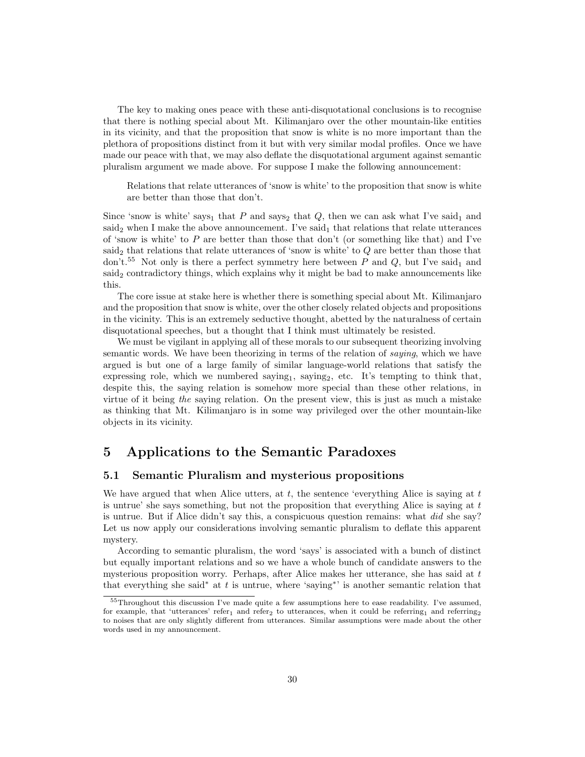The key to making ones peace with these anti-disquotational conclusions is to recognise that there is nothing special about Mt. Kilimanjaro over the other mountain-like entities in its vicinity, and that the proposition that snow is white is no more important than the plethora of propositions distinct from it but with very similar modal profiles. Once we have made our peace with that, we may also deflate the disquotational argument against semantic pluralism argument we made above. For suppose I make the following announcement:

Relations that relate utterances of 'snow is white' to the proposition that snow is white are better than those that don't.

Since 'snow is white' says<sub>1</sub> that P and says<sub>2</sub> that Q, then we can ask what I've said<sub>1</sub> and said<sub>2</sub> when I make the above announcement. I've said<sub>1</sub> that relations that relate utterances of 'snow is white' to  $P$  are better than those that don't (or something like that) and I've said<sub>2</sub> that relations that relate utterances of 'snow is white' to  $Q$  are better than those that don't.<sup>55</sup> Not only is there a perfect symmetry here between P and Q, but I've said<sub>1</sub> and said<sub>2</sub> contradictory things, which explains why it might be bad to make announcements like this.

The core issue at stake here is whether there is something special about Mt. Kilimanjaro and the proposition that snow is white, over the other closely related objects and propositions in the vicinity. This is an extremely seductive thought, abetted by the naturalness of certain disquotational speeches, but a thought that I think must ultimately be resisted.

We must be vigilant in applying all of these morals to our subsequent theorizing involving semantic words. We have been theorizing in terms of the relation of saying, which we have argued is but one of a large family of similar language-world relations that satisfy the expressing role, which we numbered saying<sub>1</sub>, saying<sub>2</sub>, etc. It's tempting to think that, despite this, the saying relation is somehow more special than these other relations, in virtue of it being the saying relation. On the present view, this is just as much a mistake as thinking that Mt. Kilimanjaro is in some way privileged over the other mountain-like objects in its vicinity.

## 5 Applications to the Semantic Paradoxes

## 5.1 Semantic Pluralism and mysterious propositions

We have argued that when Alice utters, at  $t$ , the sentence 'everything Alice is saying at  $t$ is untrue' she says something, but not the proposition that everything Alice is saying at  $t$ is untrue. But if Alice didn't say this, a conspicuous question remains: what did she say? Let us now apply our considerations involving semantic pluralism to deflate this apparent mystery.

According to semantic pluralism, the word 'says' is associated with a bunch of distinct but equally important relations and so we have a whole bunch of candidate answers to the mysterious proposition worry. Perhaps, after Alice makes her utterance, she has said at t that everything she said<sup>∗</sup> at t is untrue, where 'saying<sup>∗</sup> ' is another semantic relation that

<sup>55</sup>Throughout this discussion I've made quite a few assumptions here to ease readability. I've assumed, for example, that 'utterances' refer<sub>1</sub> and referz to utterances, when it could be referring<sub>1</sub> and referring<sub>2</sub> to noises that are only slightly different from utterances. Similar assumptions were made about the other words used in my announcement.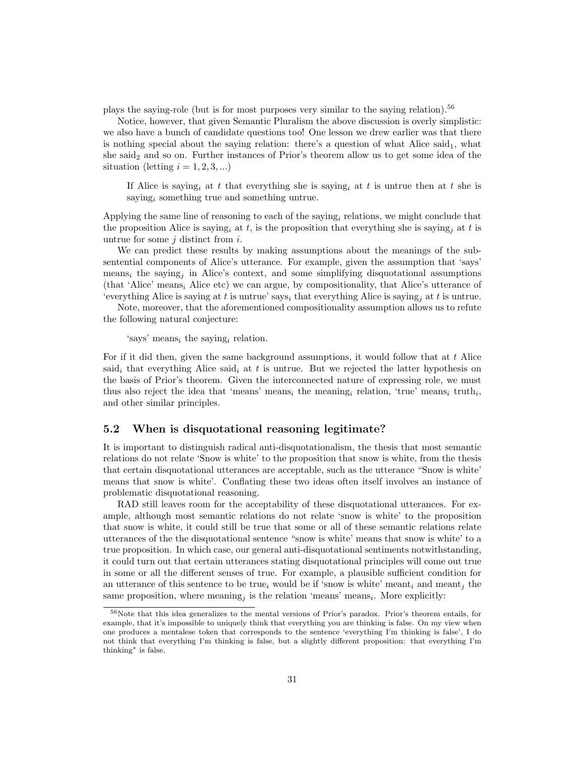plays the saying-role (but is for most purposes very similar to the saying relation).<sup>56</sup>

Notice, however, that given Semantic Pluralism the above discussion is overly simplistic: we also have a bunch of candidate questions too! One lesson we drew earlier was that there is nothing special about the saying relation: there's a question of what Alice said<sub>1</sub>, what she said<sub>2</sub> and so on. Further instances of Prior's theorem allow us to get some idea of the situation (letting  $i = 1, 2, 3, ...$ )

If Alice is saying<sub>i</sub> at t that everything she is saying<sub>i</sub> at t is untrue then at t she is saying<sub>i</sub> something true and something untrue.

Applying the same line of reasoning to each of the saying $_i$  relations, we might conclude that the proposition Alice is saying<sub>i</sub> at t, is the proposition that everything she is saying<sub>i</sub> at t is untrue for some  $i$  distinct from  $i$ .

We can predict these results by making assumptions about the meanings of the subsentential components of Alice's utterance. For example, given the assumption that 'says' means<sub>i</sub> the saying<sub>j</sub> in Alice's context, and some simplifying disquotational assumptions (that 'Alice' means<sub>i</sub> Alice etc) we can argue, by compositionality, that Alice's utterance of 'everything Alice is saying at t is untrue' says<sub>i</sub> that everything Alice is saying<sub>j</sub> at t is untrue.

Note, moreover, that the aforementioned compositionality assumption allows us to refute the following natural conjecture:

'says' means<sub>i</sub> the saying<sub>i</sub> relation.

For if it did then, given the same background assumptions, it would follow that at  $t$  Alice said<sub>i</sub> that everything Alice said<sub>i</sub> at t is untrue. But we rejected the latter hypothesis on the basis of Prior's theorem. Given the interconnected nature of expressing role, we must thus also reject the idea that 'means' means<sub>i</sub> the meaning<sub>i</sub> relation, 'true' means<sub>i</sub> truth<sub>i</sub>, and other similar principles.

### 5.2 When is disquotational reasoning legitimate?

It is important to distinguish radical anti-disquotationalism, the thesis that most semantic relations do not relate 'Snow is white' to the proposition that snow is white, from the thesis that certain disquotational utterances are acceptable, such as the utterance "Snow is white' means that snow is white'. Conflating these two ideas often itself involves an instance of problematic disquotational reasoning.

RAD still leaves room for the acceptability of these disquotational utterances. For example, although most semantic relations do not relate 'snow is white' to the proposition that snow is white, it could still be true that some or all of these semantic relations relate utterances of the the disquotational sentence "snow is white' means that snow is white' to a true proposition. In which case, our general anti-disquotational sentiments notwithstanding, it could turn out that certain utterances stating disquotational principles will come out true in some or all the different senses of true. For example, a plausible sufficient condition for an utterance of this sentence to be true; would be if 'snow is white' meant<sub>i</sub> and meant<sub>i</sub> the same proposition, where meaning<sub>j</sub> is the relation 'means' means<sub>i</sub>. More explicitly:

<sup>56</sup>Note that this idea generalizes to the mental versions of Prior's paradox. Prior's theorem entails, for example, that it's impossible to uniquely think that everything you are thinking is false. On my view when one produces a mentalese token that corresponds to the sentence 'everything I'm thinking is false', I do not think that everything I'm thinking is false, but a slightly different proposition: that everything I'm thinking<sup>∗</sup> is false.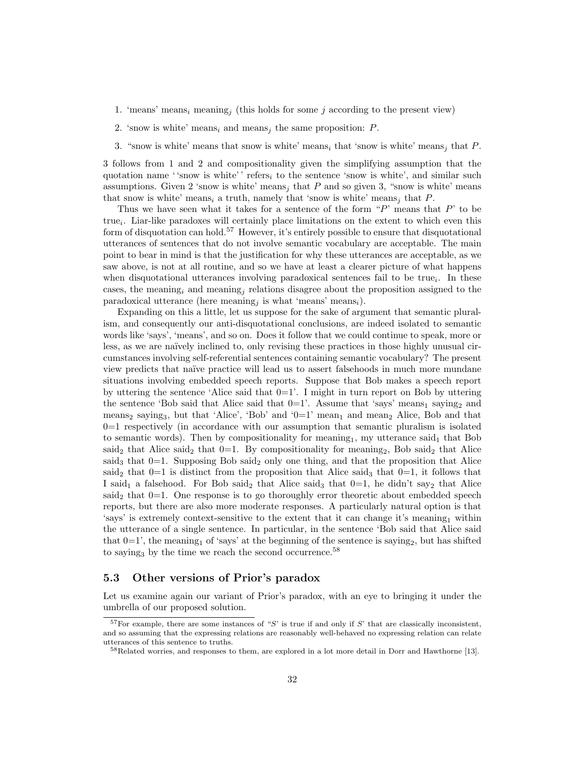- 1. 'means' means<sub>i</sub> meaning<sub>i</sub> (this holds for some j according to the present view)
- 2. 'snow is white' means<sub>i</sub> and means<sub>i</sub> the same proposition:  $P$ .
- 3. "snow is white' means that snow is white' means<sub>i</sub> that 'snow is white' means<sub>i</sub> that P.

3 follows from 1 and 2 and compositionality given the simplifying assumption that the quotation name ''snow is white''  $refers<sub>i</sub>$  to the sentence 'snow is white', and similar such assumptions. Given 2 'snow is white' means<sub>j</sub> that P and so given 3, "snow is white' means that snow is white' means<sub>i</sub> a truth, namely that 'snow is white' means<sub>i</sub> that P.

Thus we have seen what it takes for a sentence of the form  $P'$  means that P' to be true<sub>i</sub>. Liar-like paradoxes will certainly place limitations on the extent to which even this form of disquotation can hold.<sup>57</sup> However, it's entirely possible to ensure that disquotational utterances of sentences that do not involve semantic vocabulary are acceptable. The main point to bear in mind is that the justification for why these utterances are acceptable, as we saw above, is not at all routine, and so we have at least a clearer picture of what happens when disquotational utterances involving paradoxical sentences fail to be true<sub>i</sub>. In these cases, the meaning<sub>i</sub> and meaning<sub>i</sub> relations disagree about the proposition assigned to the paradoxical utterance (here meaning<sub>i</sub> is what 'means' means<sub>i</sub>).

Expanding on this a little, let us suppose for the sake of argument that semantic pluralism, and consequently our anti-disquotational conclusions, are indeed isolated to semantic words like 'says', 'means', and so on. Does it follow that we could continue to speak, more or less, as we are naïvely inclined to, only revising these practices in those highly unusual circumstances involving self-referential sentences containing semantic vocabulary? The present view predicts that na¨ıve practice will lead us to assert falsehoods in much more mundane situations involving embedded speech reports. Suppose that Bob makes a speech report by uttering the sentence 'Alice said that  $0=1'$ . I might in turn report on Bob by uttering the sentence 'Bob said that Alice said that  $0=1'$ . Assume that 'says' means<sub>1</sub> saying<sub>2</sub> and means<sub>2</sub> saying<sub>3</sub>, but that 'Alice', 'Bob' and ' $0=1$ ' mean<sub>1</sub> and mean<sub>2</sub> Alice, Bob and that  $0=1$  respectively (in accordance with our assumption that semantic pluralism is isolated to semantic words). Then by compositionality for meaning<sub>1</sub>, my utterance said<sub>1</sub> that Bob said<sub>2</sub> that Alice said<sub>2</sub> that  $0=1$ . By compositionality for meaning<sub>2</sub>, Bob said<sub>2</sub> that Alice said<sub>3</sub> that  $0=1$ . Supposing Bob said<sub>2</sub> only one thing, and that the proposition that Alice said<sub>2</sub> that  $0=1$  is distinct from the proposition that Alice said<sub>3</sub> that  $0=1$ , it follows that I said<sub>1</sub> a falsehood. For Bob said<sub>2</sub> that Alice said<sub>3</sub> that  $0=1$ , he didn't say<sub>2</sub> that Alice said<sub>2</sub> that  $0=1$ . One response is to go thoroughly error theoretic about embedded speech reports, but there are also more moderate responses. A particularly natural option is that 'says' is extremely context-sensitive to the extent that it can change it's meaning<sup>1</sup> within the utterance of a single sentence. In particular, in the sentence 'Bob said that Alice said that  $0=1'$ , the meaning<sub>1</sub> of 'says' at the beginning of the sentence is saying<sub>2</sub>, but has shifted to saying<sub>3</sub> by the time we reach the second occurrence.<sup>58</sup>

## 5.3 Other versions of Prior's paradox

Let us examine again our variant of Prior's paradox, with an eye to bringing it under the umbrella of our proposed solution.

 $57$  For example, there are some instances of "S' is true if and only if S' that are classically inconsistent, and so assuming that the expressing relations are reasonably well-behaved no expressing relation can relate utterances of this sentence to truths.

<sup>&</sup>lt;sup>58</sup>Related worries, and responses to them, are explored in a lot more detail in Dorr and Hawthorne [13].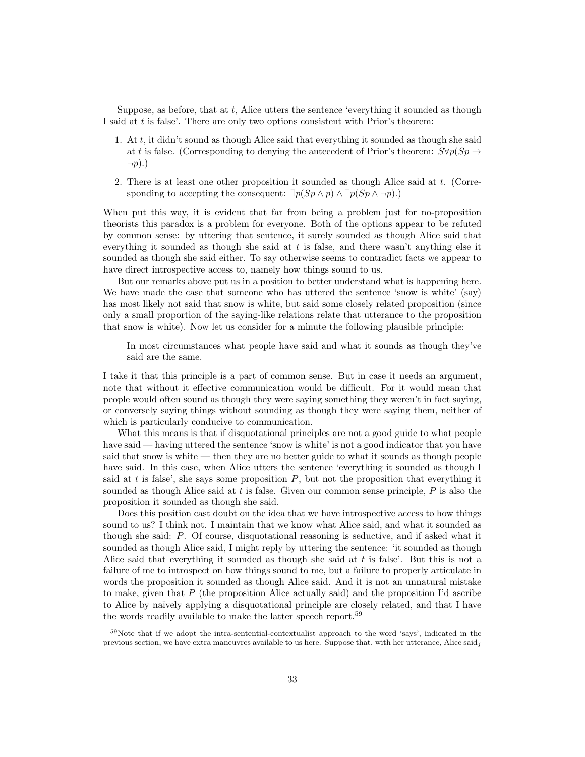Suppose, as before, that at  $t$ , Alice utters the sentence 'everything it sounded as though I said at t is false'. There are only two options consistent with Prior's theorem:

- 1. At t, it didn't sound as though Alice said that everything it sounded as though she said at t is false. (Corresponding to denying the antecedent of Prior's theorem:  $S\forall p(Sp \rightarrow$  $\neg p)$ .)
- 2. There is at least one other proposition it sounded as though Alice said at  $t$ . (Corresponding to accepting the consequent:  $\exists p(Sp \land p) \land \exists p(Sp \land \neg p)$ .)

When put this way, it is evident that far from being a problem just for no-proposition theorists this paradox is a problem for everyone. Both of the options appear to be refuted by common sense: by uttering that sentence, it surely sounded as though Alice said that everything it sounded as though she said at  $t$  is false, and there wasn't anything else it sounded as though she said either. To say otherwise seems to contradict facts we appear to have direct introspective access to, namely how things sound to us.

But our remarks above put us in a position to better understand what is happening here. We have made the case that someone who has uttered the sentence 'snow is white' (say) has most likely not said that snow is white, but said some closely related proposition (since only a small proportion of the saying-like relations relate that utterance to the proposition that snow is white). Now let us consider for a minute the following plausible principle:

In most circumstances what people have said and what it sounds as though they've said are the same.

I take it that this principle is a part of common sense. But in case it needs an argument, note that without it effective communication would be difficult. For it would mean that people would often sound as though they were saying something they weren't in fact saying, or conversely saying things without sounding as though they were saying them, neither of which is particularly conducive to communication.

What this means is that if disquotational principles are not a good guide to what people have said — having uttered the sentence 'snow is white' is not a good indicator that you have said that snow is white — then they are no better guide to what it sounds as though people have said. In this case, when Alice utters the sentence 'everything it sounded as though I said at t is false', she says some proposition  $P$ , but not the proposition that everything it sounded as though Alice said at t is false. Given our common sense principle,  $P$  is also the proposition it sounded as though she said.

Does this position cast doubt on the idea that we have introspective access to how things sound to us? I think not. I maintain that we know what Alice said, and what it sounded as though she said: P. Of course, disquotational reasoning is seductive, and if asked what it sounded as though Alice said, I might reply by uttering the sentence: 'it sounded as though Alice said that everything it sounded as though she said at  $t$  is false. But this is not a failure of me to introspect on how things sound to me, but a failure to properly articulate in words the proposition it sounded as though Alice said. And it is not an unnatural mistake to make, given that  $P$  (the proposition Alice actually said) and the proposition I'd ascribe to Alice by naïvely applying a disquotational principle are closely related, and that I have the words readily available to make the latter speech report.<sup>59</sup>

<sup>59</sup>Note that if we adopt the intra-sentential-contextualist approach to the word 'says', indicated in the previous section, we have extra maneuvres available to us here. Suppose that, with her utterance, Alice said<sub>j</sub>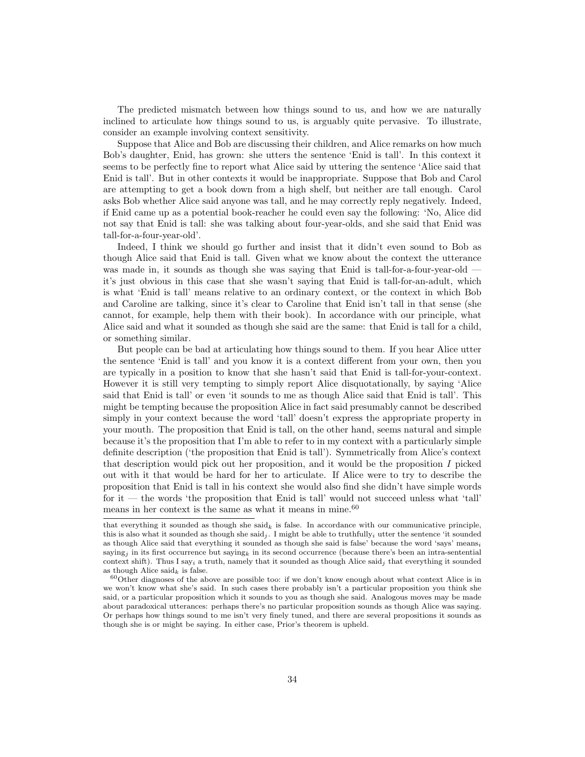The predicted mismatch between how things sound to us, and how we are naturally inclined to articulate how things sound to us, is arguably quite pervasive. To illustrate, consider an example involving context sensitivity.

Suppose that Alice and Bob are discussing their children, and Alice remarks on how much Bob's daughter, Enid, has grown: she utters the sentence 'Enid is tall'. In this context it seems to be perfectly fine to report what Alice said by uttering the sentence 'Alice said that Enid is tall'. But in other contexts it would be inappropriate. Suppose that Bob and Carol are attempting to get a book down from a high shelf, but neither are tall enough. Carol asks Bob whether Alice said anyone was tall, and he may correctly reply negatively. Indeed, if Enid came up as a potential book-reacher he could even say the following: 'No, Alice did not say that Enid is tall: she was talking about four-year-olds, and she said that Enid was tall-for-a-four-year-old'.

Indeed, I think we should go further and insist that it didn't even sound to Bob as though Alice said that Enid is tall. Given what we know about the context the utterance was made in, it sounds as though she was saying that Enid is tall-for-a-four-year-old it's just obvious in this case that she wasn't saying that Enid is tall-for-an-adult, which is what 'Enid is tall' means relative to an ordinary context, or the context in which Bob and Caroline are talking, since it's clear to Caroline that Enid isn't tall in that sense (she cannot, for example, help them with their book). In accordance with our principle, what Alice said and what it sounded as though she said are the same: that Enid is tall for a child, or something similar.

But people can be bad at articulating how things sound to them. If you hear Alice utter the sentence 'Enid is tall' and you know it is a context different from your own, then you are typically in a position to know that she hasn't said that Enid is tall-for-your-context. However it is still very tempting to simply report Alice disquotationally, by saying 'Alice said that Enid is tall' or even 'it sounds to me as though Alice said that Enid is tall'. This might be tempting because the proposition Alice in fact said presumably cannot be described simply in your context because the word 'tall' doesn't express the appropriate property in your mouth. The proposition that Enid is tall, on the other hand, seems natural and simple because it's the proposition that I'm able to refer to in my context with a particularly simple definite description ('the proposition that Enid is tall'). Symmetrically from Alice's context that description would pick out her proposition, and it would be the proposition  $I$  picked out with it that would be hard for her to articulate. If Alice were to try to describe the proposition that Enid is tall in his context she would also find she didn't have simple words for it — the words 'the proposition that Enid is tall' would not succeed unless what 'tall' means in her context is the same as what it means in mine.<sup>60</sup>

that everything it sounded as though she said<sub>k</sub> is false. In accordance with our communicative principle, this is also what it sounded as though she said<sub>j</sub>. I might be able to truthfully<sub>i</sub> utter the sentence 'it sounded as though Alice said that everything it sounded as though she said is false' because the word 'says' means, saying<sub>i</sub> in its first occurrence but saying<sub>k</sub> in its second occurrence (because there's been an intra-sentential context shift). Thus I say<sub>i</sub> a truth, namely that it sounded as though Alice said<sub>i</sub> that everything it sounded as though Alice said<sub>k</sub> is false.

 $60$ Other diagnoses of the above are possible too: if we don't know enough about what context Alice is in we won't know what she's said. In such cases there probably isn't a particular proposition you think she said, or a particular proposition which it sounds to you as though she said. Analogous moves may be made about paradoxical utterances: perhaps there's no particular proposition sounds as though Alice was saying. Or perhaps how things sound to me isn't very finely tuned, and there are several propositions it sounds as though she is or might be saying. In either case, Prior's theorem is upheld.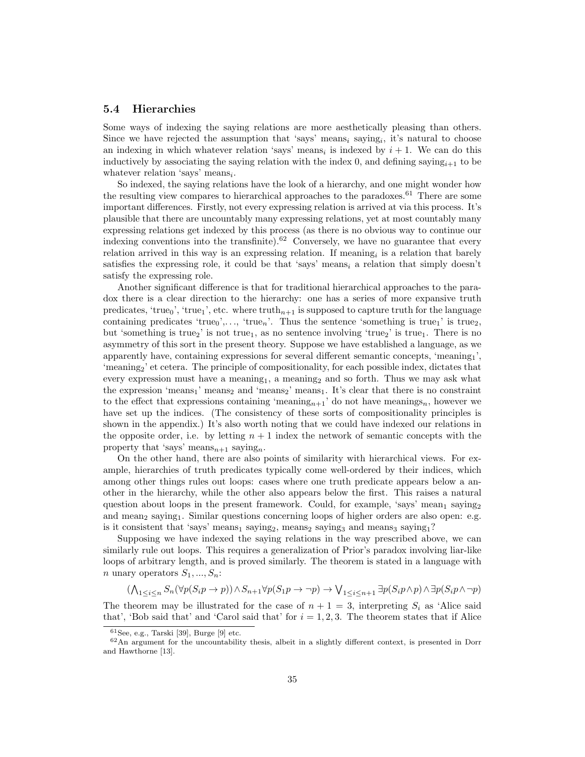### 5.4 Hierarchies

Some ways of indexing the saying relations are more aesthetically pleasing than others. Since we have rejected the assumption that 'says' means<sub>i</sub> saying<sub>i</sub>, it's natural to choose an indexing in which whatever relation 'says' means<sub>i</sub> is indexed by  $i + 1$ . We can do this inductively by associating the saying relation with the index 0, and defining saying $_{i+1}$  to be whatever relation 'says' means<sub>i</sub>.

So indexed, the saying relations have the look of a hierarchy, and one might wonder how the resulting view compares to hierarchical approaches to the paradoxes.<sup>61</sup> There are some important differences. Firstly, not every expressing relation is arrived at via this process. It's plausible that there are uncountably many expressing relations, yet at most countably many expressing relations get indexed by this process (as there is no obvious way to continue our indexing conventions into the transfinite). $^{62}$  Conversely, we have no guarantee that every relation arrived in this way is an expressing relation. If meaning<sub>i</sub> is a relation that barely satisfies the expressing role, it could be that 'says' means<sub>i</sub> a relation that simply doesn't satisfy the expressing role.

Another significant difference is that for traditional hierarchical approaches to the paradox there is a clear direction to the hierarchy: one has a series of more expansive truth predicates, 'true<sub>0</sub>', 'true<sub>1</sub>', etc. where truth<sub>n+1</sub> is supposed to capture truth for the language containing predicates 'true<sub>0</sub>',..., 'true<sub>n</sub>'. Thus the sentence 'something is true<sub>1</sub>' is true<sub>2</sub>, but 'something is true<sub>2</sub>' is not true<sub>1</sub>, as no sentence involving 'true<sub>2</sub>' is true<sub>1</sub>. There is no asymmetry of this sort in the present theory. Suppose we have established a language, as we apparently have, containing expressions for several different semantic concepts, 'meaning1', 'meaning2' et cetera. The principle of compositionality, for each possible index, dictates that every expression must have a meaning<sub>1</sub>, a meaning<sub>2</sub> and so forth. Thus we may ask what the expression 'means<sub>1</sub>' means<sub>2</sub> and 'means<sub>2</sub>' means<sub>1</sub>. It's clear that there is no constraint to the effect that expressions containing 'meaning<sub>n+1</sub>' do not have meanings<sub>n</sub>, however we have set up the indices. (The consistency of these sorts of compositionality principles is shown in the appendix.) It's also worth noting that we could have indexed our relations in the opposite order, i.e. by letting  $n + 1$  index the network of semantic concepts with the property that 'says' means<sub>n+1</sub> saying<sub>n</sub>.

On the other hand, there are also points of similarity with hierarchical views. For example, hierarchies of truth predicates typically come well-ordered by their indices, which among other things rules out loops: cases where one truth predicate appears below a another in the hierarchy, while the other also appears below the first. This raises a natural question about loops in the present framework. Could, for example, 'says' mean<sub>1</sub> saying<sub>2</sub> and mean<sub>2</sub> saying<sub>1</sub>. Similar questions concerning loops of higher orders are also open: e.g. is it consistent that 'says' means<sub>1</sub> saying<sub>2</sub>, means<sub>2</sub> saying<sub>3</sub> and means<sub>3</sub> saying<sub>1</sub>?

Supposing we have indexed the saying relations in the way prescribed above, we can similarly rule out loops. This requires a generalization of Prior's paradox involving liar-like loops of arbitrary length, and is proved similarly. The theorem is stated in a language with n unary operators  $S_1, ..., S_n$ :

$$
(\bigwedge_{1\leq i\leq n}S_n(\forall p(S_ip\rightarrow p))\wedge S_{n+1}\forall p(S_1p\rightarrow \neg p)\rightarrow \bigvee_{1\leq i\leq n+1}\exists p(S_ip\wedge p)\wedge \exists p(S_ip\wedge \neg p)
$$

The theorem may be illustrated for the case of  $n + 1 = 3$ , interpreting  $S_i$  as 'Alice said that', 'Bob said that' and 'Carol said that' for  $i = 1, 2, 3$ . The theorem states that if Alice

 $61$ See, e.g., Tarski [39], Burge [9] etc.

 $62$ An argument for the uncountability thesis, albeit in a slightly different context, is presented in Dorr and Hawthorne [13].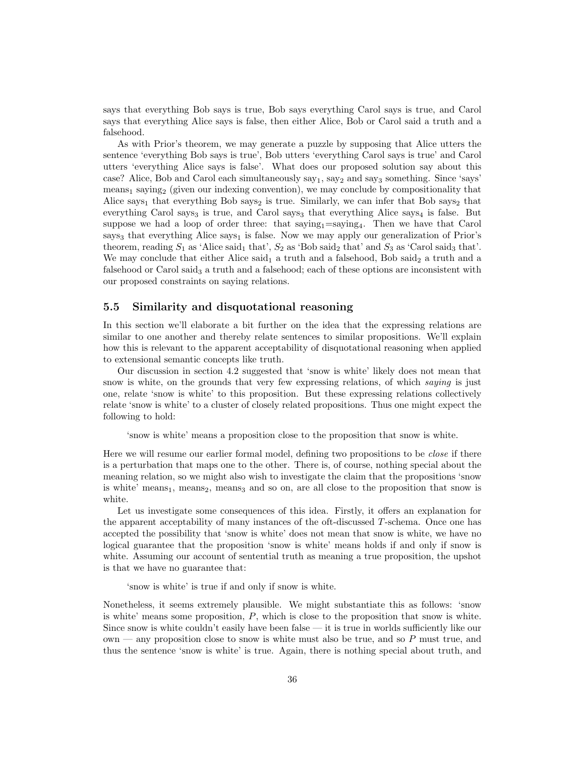says that everything Bob says is true, Bob says everything Carol says is true, and Carol says that everything Alice says is false, then either Alice, Bob or Carol said a truth and a falsehood.

As with Prior's theorem, we may generate a puzzle by supposing that Alice utters the sentence 'everything Bob says is true', Bob utters 'everything Carol says is true' and Carol utters 'everything Alice says is false'. What does our proposed solution say about this case? Alice, Bob and Carol each simultaneously  $say_1$ ,  $say_2$  and  $say_3$  something. Since 'says' means<sub>1</sub> saying<sub>2</sub> (given our indexing convention), we may conclude by compositionality that Alice says<sub>1</sub> that everything Bob says<sub>2</sub> is true. Similarly, we can infer that Bob says<sub>2</sub> that everything Carol says<sub>3</sub> is true, and Carol says<sub>3</sub> that everything Alice says<sub>4</sub> is false. But suppose we had a loop of order three: that saying<sub>1</sub>=saying<sub>4</sub>. Then we have that Carol says<sub>3</sub> that everything Alice says<sub>1</sub> is false. Now we may apply our generalization of Prior's theorem, reading  $S_1$  as 'Alice said<sub>1</sub> that',  $S_2$  as 'Bob said<sub>2</sub> that' and  $S_3$  as 'Carol said<sub>3</sub> that'. We may conclude that either Alice said<sub>1</sub> a truth and a falsehood, Bob said<sub>2</sub> a truth and a falsehood or Carol said<sub>3</sub> a truth and a falsehood; each of these options are inconsistent with our proposed constraints on saying relations.

#### 5.5 Similarity and disquotational reasoning

In this section we'll elaborate a bit further on the idea that the expressing relations are similar to one another and thereby relate sentences to similar propositions. We'll explain how this is relevant to the apparent acceptability of disquotational reasoning when applied to extensional semantic concepts like truth.

Our discussion in section 4.2 suggested that 'snow is white' likely does not mean that snow is white, on the grounds that very few expressing relations, of which saying is just one, relate 'snow is white' to this proposition. But these expressing relations collectively relate 'snow is white' to a cluster of closely related propositions. Thus one might expect the following to hold:

'snow is white' means a proposition close to the proposition that snow is white.

Here we will resume our earlier formal model, defining two propositions to be *close* if there is a perturbation that maps one to the other. There is, of course, nothing special about the meaning relation, so we might also wish to investigate the claim that the propositions 'snow is white' means<sub>1</sub>, means<sub>2</sub>, means<sub>3</sub> and so on, are all close to the proposition that snow is white.

Let us investigate some consequences of this idea. Firstly, it offers an explanation for the apparent acceptability of many instances of the oft-discussed T-schema. Once one has accepted the possibility that 'snow is white' does not mean that snow is white, we have no logical guarantee that the proposition 'snow is white' means holds if and only if snow is white. Assuming our account of sentential truth as meaning a true proposition, the upshot is that we have no guarantee that:

'snow is white' is true if and only if snow is white.

Nonetheless, it seems extremely plausible. We might substantiate this as follows: 'snow is white' means some proposition,  $P$ , which is close to the proposition that snow is white. Since snow is white couldn't easily have been false  $-$  it is true in worlds sufficiently like our  $own - any proposition close to snow is white must also be true, and so P must true, and$ thus the sentence 'snow is white' is true. Again, there is nothing special about truth, and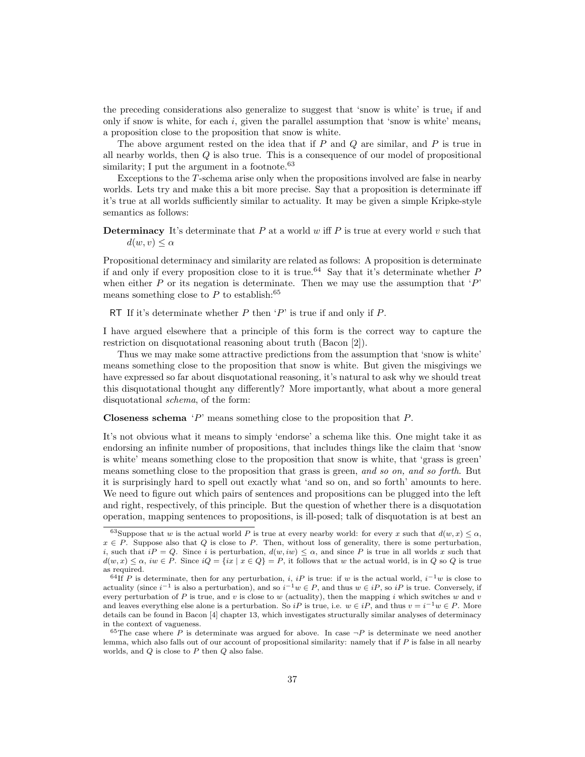the preceding considerations also generalize to suggest that 'snow is white' is true<sub>i</sub> if and only if snow is white, for each i, given the parallel assumption that 'snow is white' means a proposition close to the proposition that snow is white.

The above argument rested on the idea that if  $P$  and  $Q$  are similar, and  $P$  is true in all nearby worlds, then Q is also true. This is a consequence of our model of propositional similarity; I put the argument in a footnote.  $63$ 

Exceptions to the T-schema arise only when the propositions involved are false in nearby worlds. Lets try and make this a bit more precise. Say that a proposition is determinate iff it's true at all worlds sufficiently similar to actuality. It may be given a simple Kripke-style semantics as follows:

**Determinacy** It's determinate that P at a world w iff P is true at every world v such that  $d(w, v) \leq \alpha$ 

Propositional determinacy and similarity are related as follows: A proposition is determinate if and only if every proposition close to it is true.<sup>64</sup> Say that it's determinate whether  $P$ when either  $P$  or its negation is determinate. Then we may use the assumption that  $P'$ means something close to  $P$  to establish:<sup>65</sup>

RT If it's determinate whether  $P$  then ' $P$ ' is true if and only if  $P$ .

I have argued elsewhere that a principle of this form is the correct way to capture the restriction on disquotational reasoning about truth (Bacon [2]).

Thus we may make some attractive predictions from the assumption that 'snow is white' means something close to the proposition that snow is white. But given the misgivings we have expressed so far about disquotational reasoning, it's natural to ask why we should treat this disquotational thought any differently? More importantly, what about a more general disquotational *schema*, of the form:

**Closeness schema**  $P'$  means something close to the proposition that  $P$ .

It's not obvious what it means to simply 'endorse' a schema like this. One might take it as endorsing an infinite number of propositions, that includes things like the claim that 'snow is white' means something close to the proposition that snow is white, that 'grass is green' means something close to the proposition that grass is green, and so on, and so forth. But it is surprisingly hard to spell out exactly what 'and so on, and so forth' amounts to here. We need to figure out which pairs of sentences and propositions can be plugged into the left and right, respectively, of this principle. But the question of whether there is a disquotation operation, mapping sentences to propositions, is ill-posed; talk of disquotation is at best an

<sup>&</sup>lt;sup>63</sup>Suppose that w is the actual world P is true at every nearby world: for every x such that  $d(w, x) \leq \alpha$ ,  $x \in P$ . Suppose also that Q is close to P. Then, without loss of generality, there is some perturbation, i, such that  $iP = Q$ . Since i is perturbation,  $d(w, iw) \leq \alpha$ , and since P is true in all worlds x such that  $d(w, x) \leq \alpha$ , iw  $\in P$ . Since  $iQ = \{ix \mid x \in Q\} = P$ , it follows that w the actual world, is in Q so Q is true as required.

<sup>&</sup>lt;sup>64</sup>If P is determinate, then for any perturbation, i, iP is true: if w is the actual world,  $i^{-1}w$  is close to actuality (since  $i^{-1}$  is also a perturbation), and so  $i^{-1}w \in P$ , and thus  $w \in iP$ , so  $iP$  is true. Conversely, if every perturbation of P is true, and v is close to w (actuality), then the mapping i which switches w and v and leaves everything else alone is a perturbation. So iP is true, i.e.  $w \in iP$ , and thus  $v = i^{-1}w \in P$ . More details can be found in Bacon [4] chapter 13, which investigates structurally similar analyses of determinacy in the context of vagueness.

<sup>&</sup>lt;sup>65</sup>The case where P is determinate was argued for above. In case  $\neg P$  is determinate we need another lemma, which also falls out of our account of propositional similarity: namely that if P is false in all nearby worlds, and  $Q$  is close to  $P$  then  $Q$  also false.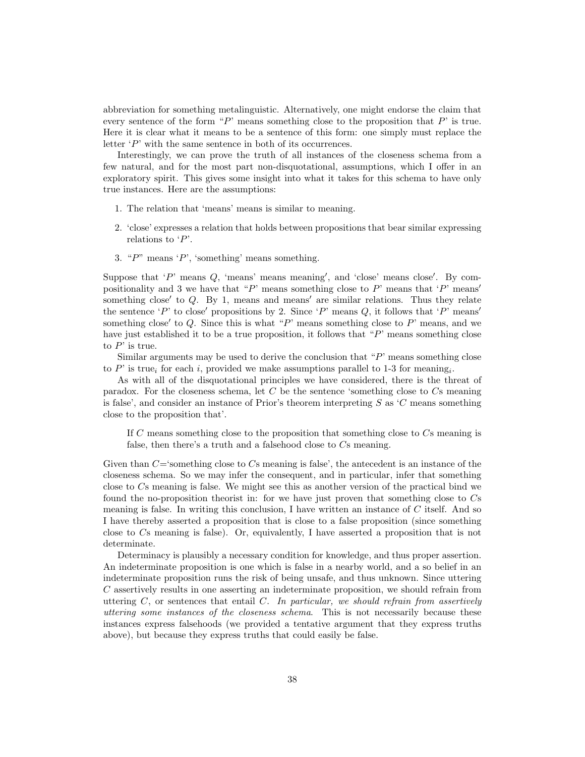abbreviation for something metalinguistic. Alternatively, one might endorse the claim that every sentence of the form " $P$ " means something close to the proposition that  $P$ " is true. Here it is clear what it means to be a sentence of this form: one simply must replace the letter  $P'$  with the same sentence in both of its occurrences.

Interestingly, we can prove the truth of all instances of the closeness schema from a few natural, and for the most part non-disquotational, assumptions, which I offer in an exploratory spirit. This gives some insight into what it takes for this schema to have only true instances. Here are the assumptions:

- 1. The relation that 'means' means is similar to meaning.
- 2. 'close' expresses a relation that holds between propositions that bear similar expressing relations to  $P'$ .
- 3. " $P$ " means ' $P$ ', 'something' means something.

Suppose that 'P' means  $Q$ , 'means' means meaning', and 'close' means close'. By compositionality and 3 we have that "P' means something close to P' means that 'P' means' something close' to  $Q$ . By 1, means and means' are similar relations. Thus they relate the sentence 'P' to close' propositions by 2. Since 'P' means  $Q$ , it follows that 'P' means' something close' to  $Q$ . Since this is what "P' means something close to P' means, and we have just established it to be a true proposition, it follows that " $P$ " means something close to  $P'$  is true.

Similar arguments may be used to derive the conclusion that " $P$ " means something close to P' is true<sub>i</sub> for each i, provided we make assumptions parallel to 1-3 for meaning<sub>i</sub>.

As with all of the disquotational principles we have considered, there is the threat of paradox. For the closeness schema, let C be the sentence 'something close to Cs meaning is false', and consider an instance of Prior's theorem interpreting  $S$  as 'C means something close to the proposition that'.

If C means something close to the proposition that something close to Cs meaning is false, then there's a truth and a falsehood close to Cs meaning.

Given than  $C=$ 'something close to Cs meaning is false', the antecedent is an instance of the closeness schema. So we may infer the consequent, and in particular, infer that something close to Cs meaning is false. We might see this as another version of the practical bind we found the no-proposition theorist in: for we have just proven that something close to Cs meaning is false. In writing this conclusion, I have written an instance of  $C$  itself. And so I have thereby asserted a proposition that is close to a false proposition (since something close to Cs meaning is false). Or, equivalently, I have asserted a proposition that is not determinate.

Determinacy is plausibly a necessary condition for knowledge, and thus proper assertion. An indeterminate proposition is one which is false in a nearby world, and a so belief in an indeterminate proposition runs the risk of being unsafe, and thus unknown. Since uttering C assertively results in one asserting an indeterminate proposition, we should refrain from uttering  $C$ , or sentences that entail  $C$ . In particular, we should refrain from assertively uttering some instances of the closeness schema. This is not necessarily because these instances express falsehoods (we provided a tentative argument that they express truths above), but because they express truths that could easily be false.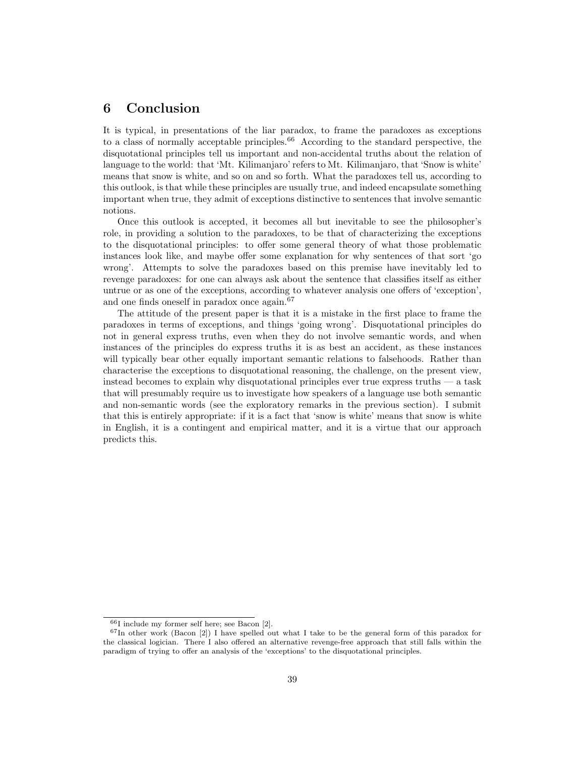## 6 Conclusion

It is typical, in presentations of the liar paradox, to frame the paradoxes as exceptions to a class of normally acceptable principles.<sup>66</sup> According to the standard perspective, the disquotational principles tell us important and non-accidental truths about the relation of language to the world: that 'Mt. Kilimanjaro' refers to Mt. Kilimanjaro, that 'Snow is white' means that snow is white, and so on and so forth. What the paradoxes tell us, according to this outlook, is that while these principles are usually true, and indeed encapsulate something important when true, they admit of exceptions distinctive to sentences that involve semantic notions.

Once this outlook is accepted, it becomes all but inevitable to see the philosopher's role, in providing a solution to the paradoxes, to be that of characterizing the exceptions to the disquotational principles: to offer some general theory of what those problematic instances look like, and maybe offer some explanation for why sentences of that sort 'go wrong'. Attempts to solve the paradoxes based on this premise have inevitably led to revenge paradoxes: for one can always ask about the sentence that classifies itself as either untrue or as one of the exceptions, according to whatever analysis one offers of 'exception', and one finds oneself in paradox once again.<sup>67</sup>

The attitude of the present paper is that it is a mistake in the first place to frame the paradoxes in terms of exceptions, and things 'going wrong'. Disquotational principles do not in general express truths, even when they do not involve semantic words, and when instances of the principles do express truths it is as best an accident, as these instances will typically bear other equally important semantic relations to falsehoods. Rather than characterise the exceptions to disquotational reasoning, the challenge, on the present view, instead becomes to explain why disquotational principles ever true express truths — a task that will presumably require us to investigate how speakers of a language use both semantic and non-semantic words (see the exploratory remarks in the previous section). I submit that this is entirely appropriate: if it is a fact that 'snow is white' means that snow is white in English, it is a contingent and empirical matter, and it is a virtue that our approach predicts this.

<sup>66</sup>I include my former self here; see Bacon [2].

 $67$ In other work (Bacon [2]) I have spelled out what I take to be the general form of this paradox for the classical logician. There I also offered an alternative revenge-free approach that still falls within the paradigm of trying to offer an analysis of the 'exceptions' to the disquotational principles.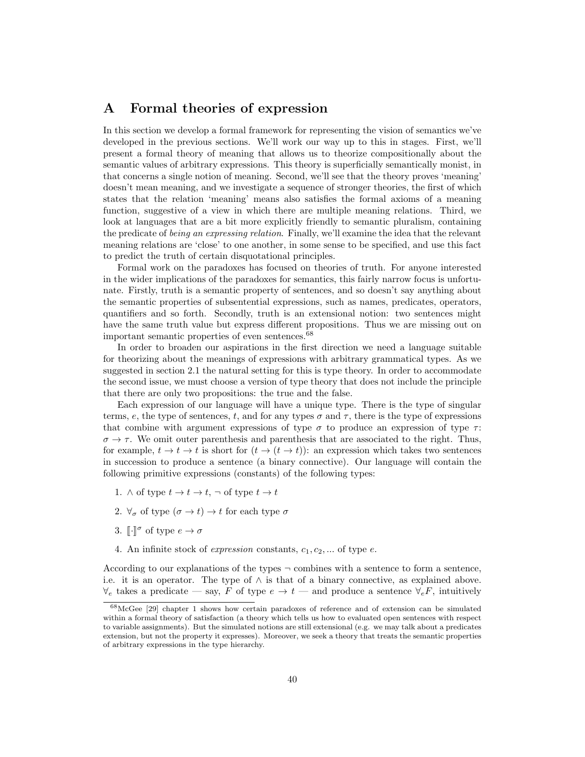## A Formal theories of expression

In this section we develop a formal framework for representing the vision of semantics we've developed in the previous sections. We'll work our way up to this in stages. First, we'll present a formal theory of meaning that allows us to theorize compositionally about the semantic values of arbitrary expressions. This theory is superficially semantically monist, in that concerns a single notion of meaning. Second, we'll see that the theory proves 'meaning' doesn't mean meaning, and we investigate a sequence of stronger theories, the first of which states that the relation 'meaning' means also satisfies the formal axioms of a meaning function, suggestive of a view in which there are multiple meaning relations. Third, we look at languages that are a bit more explicitly friendly to semantic pluralism, containing the predicate of being an expressing relation. Finally, we'll examine the idea that the relevant meaning relations are 'close' to one another, in some sense to be specified, and use this fact to predict the truth of certain disquotational principles.

Formal work on the paradoxes has focused on theories of truth. For anyone interested in the wider implications of the paradoxes for semantics, this fairly narrow focus is unfortunate. Firstly, truth is a semantic property of sentences, and so doesn't say anything about the semantic properties of subsentential expressions, such as names, predicates, operators, quantifiers and so forth. Secondly, truth is an extensional notion: two sentences might have the same truth value but express different propositions. Thus we are missing out on important semantic properties of even sentences.<sup>68</sup>

In order to broaden our aspirations in the first direction we need a language suitable for theorizing about the meanings of expressions with arbitrary grammatical types. As we suggested in section 2.1 the natural setting for this is type theory. In order to accommodate the second issue, we must choose a version of type theory that does not include the principle that there are only two propositions: the true and the false.

Each expression of our language will have a unique type. There is the type of singular terms, e, the type of sentences, t, and for any types  $\sigma$  and  $\tau$ , there is the type of expressions that combine with argument expressions of type  $\sigma$  to produce an expression of type  $\tau$ :  $\sigma \to \tau$ . We omit outer parenthesis and parenthesis that are associated to the right. Thus, for example,  $t \to t \to t$  is short for  $(t \to (t \to t))$ : an expression which takes two sentences in succession to produce a sentence (a binary connective). Our language will contain the following primitive expressions (constants) of the following types:

- 1.  $\wedge$  of type  $t \to t \to t$ ,  $\neg$  of type  $t \to t$
- 2.  $\forall_{\sigma}$  of type  $(\sigma \to t) \to t$  for each type  $\sigma$
- 3.  $\lbrack \cdot \rbrack^{\sigma}$  of type  $e \to \sigma$
- 4. An infinite stock of *expression* constants,  $c_1, c_2, \ldots$  of type  $e$ .

According to our explanations of the types  $\neg$  combines with a sentence to form a sentence, i.e. it is an operator. The type of  $\wedge$  is that of a binary connective, as explained above.  $\forall_e$  takes a predicate — say, F of type  $e \to t$  — and produce a sentence  $\forall_e F$ , intuitively

<sup>68</sup>McGee [29] chapter 1 shows how certain paradoxes of reference and of extension can be simulated within a formal theory of satisfaction (a theory which tells us how to evaluated open sentences with respect to variable assignments). But the simulated notions are still extensional (e.g. we may talk about a predicates extension, but not the property it expresses). Moreover, we seek a theory that treats the semantic properties of arbitrary expressions in the type hierarchy.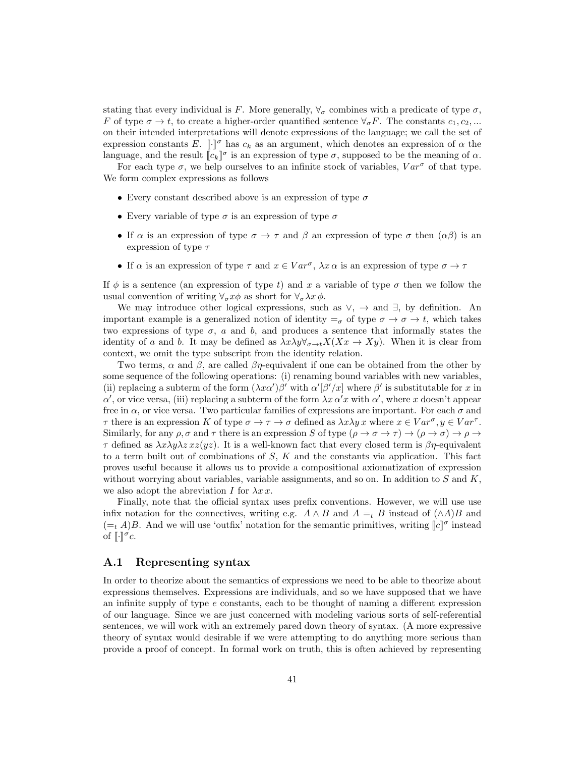stating that every individual is F. More generally,  $\forall_{\sigma}$  combines with a predicate of type  $\sigma$ , F of type  $\sigma \to t$ , to create a higher-order quantified sentence  $\forall_{\sigma} F$ . The constants  $c_1, c_2, ...$ on their intended interpretations will denote expressions of the language; we call the set of expression constants E.  $\llbracket \cdot \rrbracket^{\sigma}$  has  $c_k$  as an argument, which denotes an expression of  $\alpha$  the language and the result  $\llbracket a \rrbracket^{\sigma}$  is an expression of type  $\tau$  supposed to be the meaning of  $\alpha$ language, and the result  $[\![c_k]\!]^\sigma$  is an expression of type  $\sigma$ , supposed to be the meaning of  $\alpha$ .<br>For each type  $\sigma$ , we help expective to an infinite stock of variables.  $Var^\sigma$  of that type

For each type  $\sigma$ , we help ourselves to an infinite stock of variables,  $Var^{\sigma}$  of that type. We form complex expressions as follows

- Every constant described above is an expression of type  $\sigma$
- Every variable of type  $\sigma$  is an expression of type  $\sigma$
- If  $\alpha$  is an expression of type  $\sigma \to \tau$  and  $\beta$  an expression of type  $\sigma$  then  $(\alpha\beta)$  is an expression of type  $\tau$
- If  $\alpha$  is an expression of type  $\tau$  and  $x \in Var^{\sigma}$ ,  $\lambda x \alpha$  is an expression of type  $\sigma \to \tau$

If  $\phi$  is a sentence (an expression of type t) and x a variable of type  $\sigma$  then we follow the usual convention of writing  $\forall_{\sigma} x \phi$  as short for  $\forall_{\sigma} \lambda x \phi$ .

We may introduce other logical expressions, such as  $\vee$ ,  $\rightarrow$  and  $\exists$ , by definition. An important example is a generalized notion of identity  $=\sigma$  of type  $\sigma \to \sigma \to t$ , which takes two expressions of type  $\sigma$ , a and b, and produces a sentence that informally states the identity of a and b. It may be defined as  $\lambda x \lambda y \forall_{\sigma \to t} X(Xx \to Xy)$ . When it is clear from context, we omit the type subscript from the identity relation.

Two terms,  $\alpha$  and  $\beta$ , are called  $\beta\eta$ -equivalent if one can be obtained from the other by some sequence of the following operations: (i) renaming bound variables with new variables, (ii) replacing a subterm of the form  $(\lambda x \alpha') \beta'$  with  $\alpha' [\beta'/x]$  where  $\beta'$  is substitutable for x in  $\alpha'$ , or vice versa, (iii) replacing a subterm of the form  $\lambda x \alpha' x$  with  $\alpha'$ , where x doesn't appear free in  $\alpha$ , or vice versa. Two particular families of expressions are important. For each  $\sigma$  and  $\tau$  there is an expression K of type  $\sigma \to \tau \to \sigma$  defined as  $\lambda x \lambda y x$  where  $x \in Var^{\sigma}, y \in Var^{\tau}$ . Similarly, for any  $\rho, \sigma$  and  $\tau$  there is an expression S of type  $(\rho \to \sigma \to \tau) \to (\rho \to \sigma) \to \rho \to$  $\tau$  defined as  $\lambda x \lambda y \lambda z x z(yz)$ . It is a well-known fact that every closed term is  $\beta \eta$ -equivalent to a term built out of combinations of  $S$ ,  $K$  and the constants via application. This fact proves useful because it allows us to provide a compositional axiomatization of expression without worrying about variables, variable assignments, and so on. In addition to  $S$  and  $K$ , we also adopt the abreviation I for  $\lambda x \, x$ .

Finally, note that the official syntax uses prefix conventions. However, we will use use infix notation for the connectives, writing e.g.  $A \wedge B$  and  $A =_t B$  instead of  $(\wedge A)B$  and  $(=t A)B$ . And we will use 'outfix' notation for the semantic primitives, writing  $[[c]]^{\sigma}$  instead of  $\lbrack \cdot \rbrack^{\sigma}c$ .

## A.1 Representing syntax

In order to theorize about the semantics of expressions we need to be able to theorize about expressions themselves. Expressions are individuals, and so we have supposed that we have an infinite supply of type e constants, each to be thought of naming a different expression of our language. Since we are just concerned with modeling various sorts of self-referential sentences, we will work with an extremely pared down theory of syntax. (A more expressive theory of syntax would desirable if we were attempting to do anything more serious than provide a proof of concept. In formal work on truth, this is often achieved by representing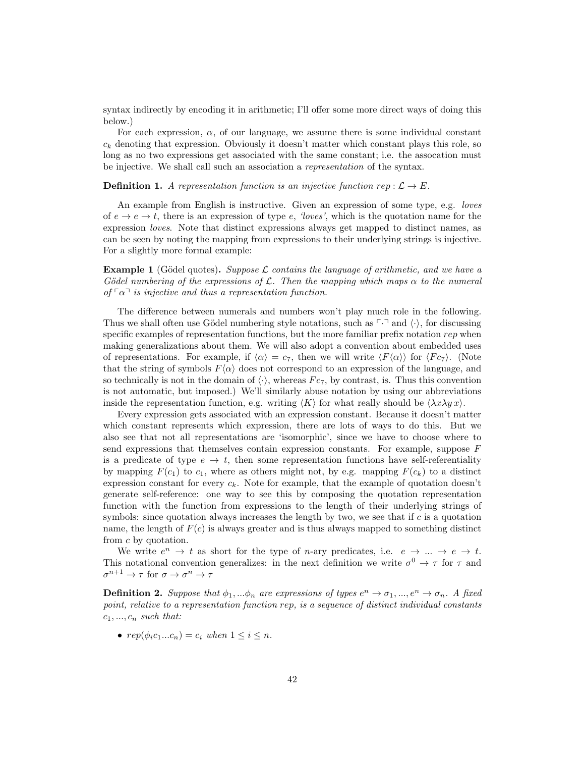syntax indirectly by encoding it in arithmetic; I'll offer some more direct ways of doing this below.)

For each expression,  $\alpha$ , of our language, we assume there is some individual constant  $c_k$  denoting that expression. Obviously it doesn't matter which constant plays this role, so long as no two expressions get associated with the same constant; i.e. the assocation must be injective. We shall call such an association a representation of the syntax.

#### **Definition 1.** A representation function is an injective function rep :  $\mathcal{L} \to E$ .

An example from English is instructive. Given an expression of some type, e.g. loves of  $e \to e \to t$ , there is an expression of type e, 'loves', which is the quotation name for the expression loves. Note that distinct expressions always get mapped to distinct names, as can be seen by noting the mapping from expressions to their underlying strings is injective. For a slightly more formal example:

**Example 1** (Gödel quotes). Suppose  $\mathcal{L}$  contains the language of arithmetic, and we have a Gödel numbering of the expressions of  $\mathcal{L}$ . Then the mapping which maps  $\alpha$  to the numeral of  $\lceil \alpha \rceil$  is injective and thus a representation function.

The difference between numerals and numbers won't play much role in the following. Thus we shall often use Gödel numbering style notations, such as  $\lceil \cdot \rceil$  and  $\langle \cdot \rangle$ , for discussing specific examples of representation functions, but the more familiar prefix notation  $rep$  when making generalizations about them. We will also adopt a convention about embedded uses of representations. For example, if  $\langle \alpha \rangle = c_7$ , then we will write  $\langle F(\alpha) \rangle$  for  $\langle F c_7 \rangle$ . (Note that the string of symbols  $F\langle \alpha \rangle$  does not correspond to an expression of the language, and so technically is not in the domain of  $\langle \cdot \rangle$ , whereas  $Fc_7$ , by contrast, is. Thus this convention is not automatic, but imposed.) We'll similarly abuse notation by using our abbreviations inside the representation function, e.g. writing  $\langle K \rangle$  for what really should be  $\langle \lambda x \lambda y x \rangle$ .

Every expression gets associated with an expression constant. Because it doesn't matter which constant represents which expression, there are lots of ways to do this. But we also see that not all representations are 'isomorphic', since we have to choose where to send expressions that themselves contain expression constants. For example, suppose F is a predicate of type  $e \rightarrow t$ , then some representation functions have self-referentiality by mapping  $F(c_1)$  to  $c_1$ , where as others might not, by e.g. mapping  $F(c_k)$  to a distinct expression constant for every  $c_k$ . Note for example, that the example of quotation doesn't generate self-reference: one way to see this by composing the quotation representation function with the function from expressions to the length of their underlying strings of symbols: since quotation always increases the length by two, we see that if  $c$  is a quotation name, the length of  $F(c)$  is always greater and is thus always mapped to something distinct from c by quotation.

We write  $e^n \to t$  as short for the type of *n*-ary predicates, i.e.  $e \to \dots \to e \to t$ . This notational convention generalizes: in the next definition we write  $\sigma^0 \to \tau$  for  $\tau$  and  $\sigma^{n+1} \to \tau$  for  $\sigma \to \sigma^n \to \tau$ 

**Definition 2.** Suppose that  $\phi_1, \ldots, \phi_n$  are expressions of types  $e^n \to \sigma_1, \ldots, e^n \to \sigma_n$ . A fixed point, relative to a representation function rep, is a sequence of distinct individual constants  $c_1, ..., c_n$  such that:

•  $rep(\phi_i c_1...c_n) = c_i$  when  $1 \leq i \leq n$ .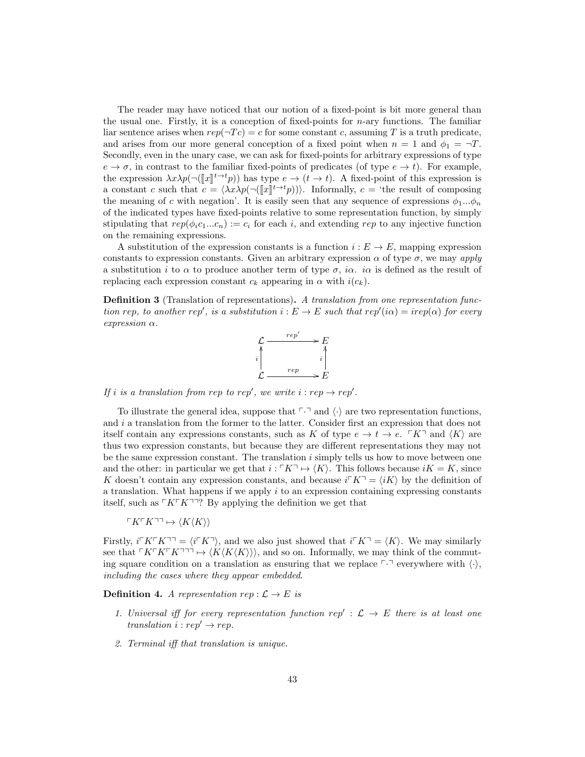The reader may have noticed that our notion of a fixed-point is bit more general than the usual one. Firstly, it is a conception of fixed-points for  $n$ -ary functions. The familiar liar sentence arises when  $rep(\neg T c) = c$  for some constant c, assuming T is a truth predicate, and arises from our more general conception of a fixed point when  $n = 1$  and  $\phi_1 = \neg T$ . Secondly, even in the unary case, we can ask for fixed-points for arbitrary expressions of type  $e \to \sigma$ , in contrast to the familiar fixed-points of predicates (of type  $e \to t$ ). For example, the expression  $\lambda x \lambda p(\neg (\llbracket x \rrbracket^{t \to t} p))$  has type  $e \to (t \to t)$ . A fixed-point of this expression is a constant c such that  $c = \langle \lambda x \lambda p (\neg (\llbracket x \rrbracket^{t \to t} p))) \rangle$ . Informally,  $c =$  'the result of composing the meaning of c with negation'. It is easily seen that any sequence of expressions  $\phi_1...\phi_n$ of the indicated types have fixed-points relative to some representation function, by simply stipulating that  $rep(\phi_i c_1...c_n) := c_i$  for each i, and extending rep to any injective function on the remaining expressions.

A substitution of the expression constants is a function  $i: E \to E$ , mapping expression constants to expression constants. Given an arbitrary expression  $\alpha$  of type  $\sigma$ , we may apply a substitution i to  $\alpha$  to produce another term of type  $\sigma$ , i $\alpha$ , i $\alpha$  is defined as the result of replacing each expression constant  $c_k$  appearing in  $\alpha$  with  $i(c_k)$ .

Definition 3 (Translation of representations). A translation from one representation function rep, to another rep', is a substitution  $i : E \to E$  such that rep'(i $\alpha$ ) = irep( $\alpha$ ) for every expression α.



If i is a translation from rep to rep', we write  $i : rep \rightarrow rep'$ .

To illustrate the general idea, suppose that  $\lceil \cdot \rceil$  and  $\langle \cdot \rangle$  are two representation functions, and  $i$  a translation from the former to the latter. Consider first an expression that does not itself contain any expressions constants, such as K of type  $e \to t \to e$ .  $\lceil K \rceil$  and  $\langle K \rangle$  are thus two expression constants, but because they are different representations they may not be the same expression constant. The translation  $i$  simply tells us how to move between one and the other: in particular we get that  $i : \ulcorner K \urcorner \mapsto \langle K \rangle$ . This follows because  $iK = K$ , since K doesn't contain any expression constants, and because  $i\bar{K}^{\dagger} = \langle iK \rangle$  by the definition of a translation. What happens if we apply  $i$  to an expression containing expressing constants itself, such as  $\lceil K \rceil K \rceil$ ? By applying the definition we get that

$$
\ulcorner K \ulcorner K \urcorner \urcorner \mapsto \langle K \langle K \rangle \rangle
$$

Firstly,  $i\ulcorner K\ulcorner K\urcorner \urcorner = \langle i\ulcorner K\urcorner \rangle$ , and we also just showed that  $i\ulcorner K\urcorner = \langle K \rangle$ . We may similarly see that  $\ulcorner K\ulcorner K\ulcorner K\ulcorner\urcorner\urcorner \rightarrow \langle K\langle K\langle K\rangle\rangle\rangle$ , and so on. Informally, we may think of the commuting square condition on a translation as ensuring that we replace  $\ulcorner \cdot \urcorner$  everywhere with  $\langle \cdot \rangle$ , including the cases where they appear embedded.

**Definition 4.** A representation rep :  $\mathcal{L} \rightarrow E$  is

- 1. Universal iff for every representation function rep' :  $\mathcal{L} \to E$  there is at least one translation  $i : rep' \rightarrow rep$ .
- 2. Terminal iff that translation is unique.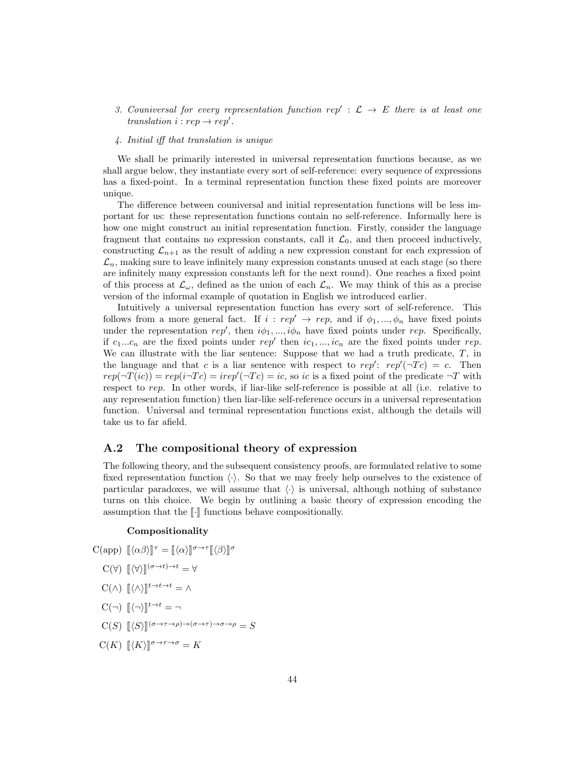3. Couniversal for every representation function rep' :  $\mathcal{L} \rightarrow E$  there is at least one translation  $i : rep \rightarrow rep'.$ 

#### 4. Initial iff that translation is unique

We shall be primarily interested in universal representation functions because, as we shall argue below, they instantiate every sort of self-reference: every sequence of expressions has a fixed-point. In a terminal representation function these fixed points are moreover unique.

The difference between couniversal and initial representation functions will be less important for us: these representation functions contain no self-reference. Informally here is how one might construct an initial representation function. Firstly, consider the language fragment that contains no expression constants, call it  $\mathcal{L}_0$ , and then proceed inductively, constructing  $\mathcal{L}_{n+1}$  as the result of adding a new expression constant for each expression of  $\mathcal{L}_n$ , making sure to leave infinitely many expression constants unused at each stage (so there are infinitely many expression constants left for the next round). One reaches a fixed point of this process at  $\mathcal{L}_{\omega}$ , defined as the union of each  $\mathcal{L}_n$ . We may think of this as a precise version of the informal example of quotation in English we introduced earlier.

Intuitively a universal representation function has every sort of self-reference. This follows from a more general fact. If  $i : rep' \rightarrow rep$ , and if  $\phi_1, ..., \phi_n$  have fixed points under the representation  $rep'$ , then  $i\phi_1, ..., i\phi_n$  have fixed points under rep. Specifically, if  $c_1...c_n$  are the fixed points under rep' then  $ic_1,...,ic_n$  are the fixed points under rep. We can illustrate with the liar sentence: Suppose that we had a truth predicate,  $T$ , in the language and that c is a liar sentence with respect to rep':  $rep'(\neg T c) = c$ . Then  $rep(\neg T(ic)) = rep(i\neg Tc) = irep'(\neg Tc) = ic$ , so ic is a fixed point of the predicate  $\neg T$  with respect to rep. In other words, if liar-like self-reference is possible at all (i.e. relative to any representation function) then liar-like self-reference occurs in a universal representation function. Universal and terminal representation functions exist, although the details will take us to far afield.

### A.2 The compositional theory of expression

The following theory, and the subsequent consistency proofs, are formulated relative to some fixed representation function  $\langle \cdot \rangle$ . So that we may freely help ourselves to the existence of particular paradoxes, we will assume that  $\langle \cdot \rangle$  is universal, although nothing of substance turns on this choice. We begin by outlining a basic theory of expression encoding the assumption that the  $\llbracket \cdot \rrbracket$  functions behave compositionally.

#### Compositionality

- C(app)  $[\langle \alpha \beta \rangle]^\tau = [\langle \alpha \rangle]^{\sigma \to \tau} [\langle \beta \rangle]^\sigma$ 
	- $C(\forall) \ [\langle \forall \rangle]^{(\sigma \to t) \to t} = \forall$
	- $C(\wedge) \quad [\langle \wedge \rangle]^{t \to t \to t} = \wedge$
	- $C(\neg) \quad [\neg]^{t \to t} = \neg$
	- $C(S)$   $\left[ \langle S \rangle \right]^{(\sigma \to \tau \to \rho) \to (\sigma \to \tau) \to \sigma \to \rho} = S$
	- $C(K)$   $\left[ \langle K \rangle \right]^{\sigma \to \tau \to \sigma} = K$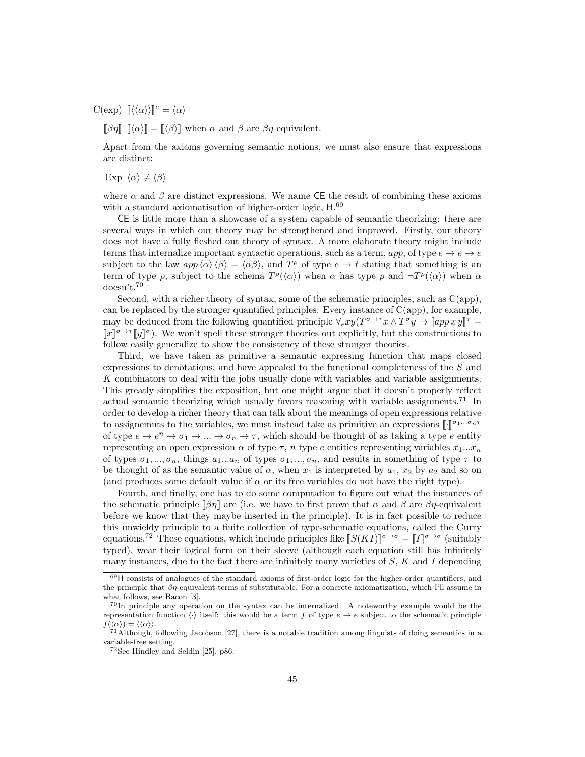C(exp)  $[\langle \langle \alpha \rangle \rangle]$ <sup>e</sup> =  $\langle \alpha \rangle$ 

 $\llbracket \beta \eta \rrbracket \llbracket \langle \alpha \rangle \rrbracket = \llbracket \langle \beta \rangle \rrbracket$  when  $\alpha$  and  $\beta$  are  $\beta \eta$  equivalent.

Apart from the axioms governing semantic notions, we must also ensure that expressions are distinct:

Exp  $\langle \alpha \rangle \neq \langle \beta \rangle$ 

where  $\alpha$  and  $\beta$  are distinct expressions. We name CE the result of combining these axioms with a standard axiomatisation of higher-order logic,  $H^{.69}$ 

CE is little more than a showcase of a system capable of semantic theorizing: there are several ways in which our theory may be strengthened and improved. Firstly, our theory does not have a fully fleshed out theory of syntax. A more elaborate theory might include terms that internalize important syntactic operations, such as a term, app, of type  $e \to e \to e$ subject to the law  $app \langle \alpha \rangle \langle \beta \rangle = \langle \alpha \beta \rangle$ , and  $T^{\rho}$  of type  $e \to t$  stating that something is an term of type  $\rho$ , subject to the schema  $T^{\rho}(\langle \alpha \rangle)$  when  $\alpha$  has type  $\rho$  and  $\neg T^{\rho}(\langle \alpha \rangle)$  when  $\alpha$ doesn't.<sup>70</sup>

Second, with a richer theory of syntax, some of the schematic principles, such as C(app), can be replaced by the stronger quantified principles. Every instance of  $C(\text{app})$ , for example, may be deduced from the following quantified principle  $\forall_e xy(T^{\sigma \to \tau} x \land T^{\sigma} y \to [app x y]^{\tau} =$ <br> $\llbracket x \rrbracket^{\sigma \to \tau} \llbracket y \rrbracket^{\sigma}$ . We won't spall these streament theories out evolutively but the constructions to  $\llbracket x \rrbracket^{\sigma \to \tau} \llbracket y \rrbracket^{\sigma}$ . We won't spell these stronger theories out explicitly, but the constructions to follow open't represent the constructions of these stronger theories follow easily generalize to show the consistency of these stronger theories.

Third, we have taken as primitive a semantic expressing function that maps closed expressions to denotations, and have appealed to the functional completeness of the S and  $K$  combinators to deal with the jobs usually done with variables and variable assignments. This greatly simplifies the exposition, but one might argue that it doesn't properly reflect actual semantic theorizing which usually favors reasoning with variable assignments.<sup>71</sup> In order to develop a richer theory that can talk about the meanings of open expressions relative to assignemnts to the variables, we must instead take as primitive an expressions  $\llbracket \cdot \rrbracket^{\sigma_1 \dots \sigma_n \tau}$ of type  $e \to e^n \to \sigma_1 \to \ldots \to \sigma_n \to \tau$ , which should be thought of as taking a type e entity representing an open expression  $\alpha$  of type  $\tau$ , n type e entities representing variables  $x_1...x_n$ of types  $\sigma_1, ..., \sigma_n$ , things  $a_1...a_n$  of types  $\sigma_1, ..., \sigma_n$ , and results in something of type  $\tau$  to be thought of as the semantic value of  $\alpha$ , when  $x_1$  is interpreted by  $a_1$ ,  $x_2$  by  $a_2$  and so on (and produces some default value if  $\alpha$  or its free variables do not have the right type).

Fourth, and finally, one has to do some computation to figure out what the instances of the schematic principle  $[\beta\eta]$  are (i.e. we have to first prove that  $\alpha$  and  $\beta$  are  $\beta\eta$ -equivalent before we know that they maybe inserted in the principle). It is in fact possible to reduce this unwieldy principle to a finite collection of type-schematic equations, called the Curry equations.<sup>72</sup> These equations, which include principles like  $[[S(KI)]]^{\sigma \to \sigma} = [I]^{\sigma \to \sigma}$  (suitably<br>typed), wear, their logical form on their closus (although onch equation still be infinitely typed), wear their logical form on their sleeve (although each equation still has infinitely many instances, due to the fact there are infinitely many varieties of  $S$ ,  $K$  and  $I$  depending

<sup>&</sup>lt;sup>69</sup>H consists of analogues of the standard axioms of first-order logic for the higher-order quantifiers, and the principle that  $\beta\eta$ -equivalent terms of substitutable. For a concrete axiomatization, which I'll assume in what follows, see Bacon [3].

<sup>&</sup>lt;sup>70</sup>In principle any operation on the syntax can be internalized. A noteworthy example would be the representation function  $\langle \cdot \rangle$  itself: this would be a term f of type  $e \to e$  subject to the schematic principle  $f(\langle \alpha \rangle) = \langle \langle \alpha \rangle \rangle.$ 

 $71$ Although, following Jacobson [27], there is a notable tradition among linguists of doing semantics in a variable-free setting.

<sup>72</sup>See Hindley and Seldin [25], p86.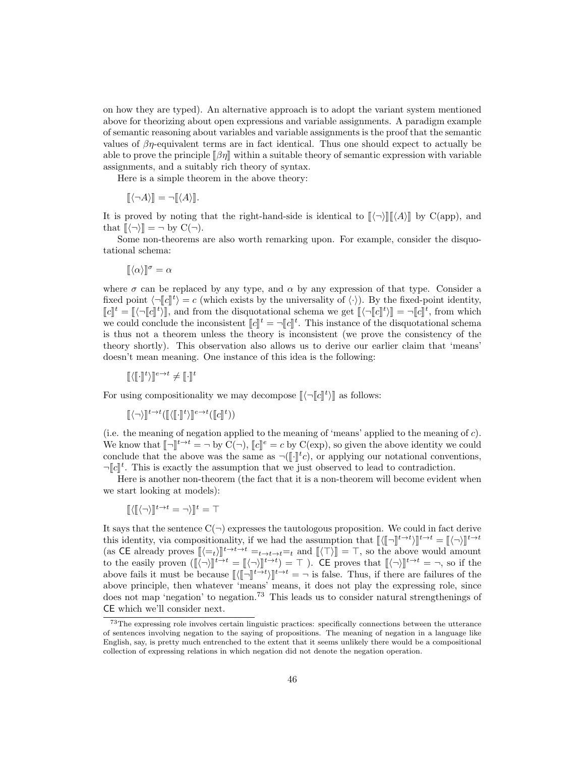on how they are typed). An alternative approach is to adopt the variant system mentioned above for theorizing about open expressions and variable assignments. A paradigm example of semantic reasoning about variables and variable assignments is the proof that the semantic values of  $\beta\eta$ -equivalent terms are in fact identical. Thus one should expect to actually be able to prove the principle  $\lbrack \beta \eta \rbrack$  within a suitable theory of semantic expression with variable assignments, and a suitably rich theory of syntax.

Here is a simple theorem in the above theory:

$$
[\![\langle \neg A \rangle]\!] = \neg[\![\langle A \rangle]\!].
$$

It is proved by noting that the right-hand-side is identical to  $\langle \neg \rangle \langle \neg \rangle \langle \neg \rangle \langle \neg \rangle$  by C(app), and that  $\llbracket \langle \neg \rangle \rrbracket = \neg$  by  $C(\neg)$ .

Some non-theorems are also worth remarking upon. For example, consider the disquotational schema:

 $[\langle \alpha \rangle]^\sigma = \alpha$ 

where  $\sigma$  can be replaced by any type, and  $\alpha$  by any expression of that type. Consider a fixed point  $\langle \neg [c]^{t} \rangle = c$  (which exists by the universality of  $\langle \cdot \rangle$ ). By the fixed-point identity,<br> $\mathbb{Z}_{\ell} \mathbb{Z}_{\ell}^{t} = \mathbb{Z}_{\ell} \mathbb{Z}_{\ell}^{t}$  from the discussional scheme we get  $\mathbb{Z}_{\ell} \mathbb{Z}_{\ell}^{t}$  from whic  $[[c]]^t = [[\neg [[c]]^t)]]$ , and from the disquotational schema we get  $[[\neg [[c]]^t)]] = \neg [[c]]^t$ , from which we could conclude the inconsistent  $[[c]]^t = -[[c]]^t$ . This instance of the disquotational schema<br>is thus not a theorem unless the theory is inconsistent (we prove the consistency of the is thus not a theorem unless the theory is inconsistent (we prove the consistency of the theory shortly). This observation also allows us to derive our earlier claim that 'means' doesn't mean meaning. One instance of this idea is the following:

 $[\langle [\cdot]^{t} \rangle]^{e \to t} \neq [\cdot]^{t}$ 

For using compositionality we may decompose  $[\![\langle \neg [\![c]\!]^t \rangle]$  as follows:

 $\llbracket \langle \neg \rangle \rrbracket^{t \to t} (\llbracket \langle \llbracket \cdot \rrbracket^{t} \rangle \rrbracket^{e \to t} (\llbracket c \rrbracket^{t}))$ 

(i.e. the meaning of negation applied to the meaning of 'means' applied to the meaning of  $c$ ). We know that  $[\![\neg]\!]^{t\to t} = \neg$  by  $C(\neg)$ ,  $[\![c]\!]^e = c$  by  $C(\exp)$ , so given the above identity we could conclude that the above was the same as  $\neg([\![\cdot]\!]^t c)$ , or applying our notational conventions,<br> $\neg[\![c]\!]^t$ . This is exactly the assumption that we just observed to load to contradiction  $\neg$ [c]<sup>t</sup>. This is exactly the assumption that we just observed to lead to contradiction.<br>Here is enother non-theorem (the feat that it is a non-theorem will become ovident

Here is another non-theorem (the fact that it is a non-theorem will become evident when we start looking at models):

 $[\langle [\langle \neg \rangle]]^{t \to t} = \neg \rangle]^{t} = \top$ 

It says that the sentence  $C(\neg)$  expresses the tautologous proposition. We could in fact derive this identity, via compositionality, if we had the assumption that  $[\![([\![\neg]\!]^t \rightarrow t) ]\!]^t \rightarrow t = [\![\neg]\!]^t \rightarrow t$ <br>(as  $\mathsf{CE}$  already proves  $[\![\neg] \rightarrow \mathbb{R}^t \rightarrow t \rightarrow t \rightarrow t$  =  $\top$  and  $[\![\neg]\top \top \equiv \top$  so the above would amount (as CE already proves  $[\langle =_t \rangle]^{t \to t \to t} = t \to t \to t =$  and  $[\langle \top \rangle] = \top$ , so the above would amount<br>to the easily proven  $(\mathbb{I}(-\mathbb{I}^{t \to t}) - \mathbb{I}(-\mathbb{I}^{t \to t}) - \top)$ . CE proves that  $\mathbb{I}(-\mathbb{I}^{t \to t} = -\infty)$  if the to the easily proven  $([\langle \neg \rangle]^{t \to t} = [\langle \neg \rangle]^{t \to t} = \top$ ). CE proves that  $[\langle \neg \rangle]^{t \to t} = \neg$ , so if the show fails it must be because  $[\langle \neg \rangle]^{t \to t} = -$  is false. Thus, if there are failures of the above fails it must be because  $[(\neg]^{t\to t})]^{t\to t} = \neg$  is false. Thus, if there are failures of the above principle, then whatever 'means' means, it does not play the expressing role, since does not map 'negation' to negation.<sup>73</sup> This leads us to consider natural strengthenings of CE which we'll consider next.

<sup>73</sup>The expressing role involves certain linguistic practices: specifically connections between the utterance of sentences involving negation to the saying of propositions. The meaning of negation in a language like English, say, is pretty much entrenched to the extent that it seems unlikely there would be a compositional collection of expressing relations in which negation did not denote the negation operation.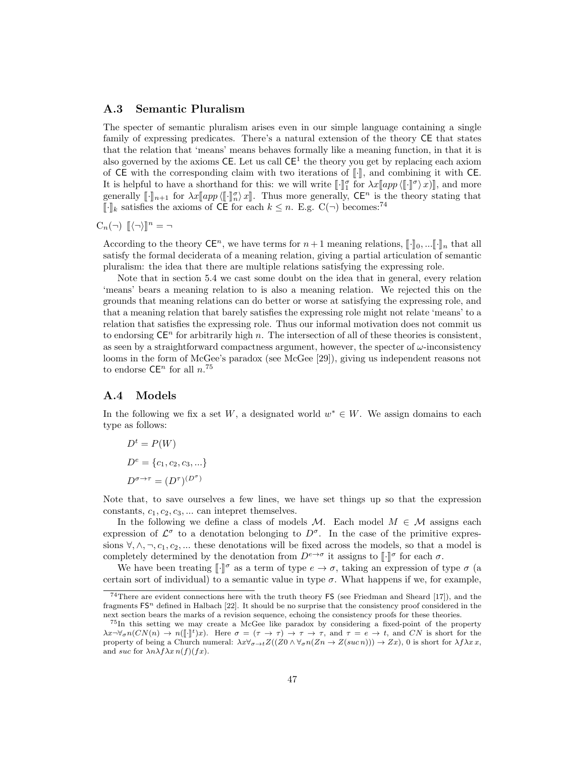#### A.3 Semantic Pluralism

The specter of semantic pluralism arises even in our simple language containing a single family of expressing predicates. There's a natural extension of the theory CE that states that the relation that 'means' means behaves formally like a meaning function, in that it is also governed by the axioms  $CE$ . Let us call  $CE<sup>1</sup>$  the theory you get by replacing each axiom of  $CE$  with the corresponding claim with two iterations of  $\lbrack \cdot \rbrack$ , and combining it with  $CE$ . It is helpful to have a shorthand for this: we will write  $\llbracket \cdot \rrbracket^{\sigma}$  for  $\lambda x \llbracket app \langle \llbracket \cdot \rrbracket^{\sigma} \rangle x \rrbracket$ , and more concretive  $\llbracket \cdot \rrbracket^{\sigma}$  is the theory stating that generally  $[\![\cdot]\!]_{n+1}$  for  $\lambda x [\![app([\![\cdot]\!]_n^{\sigma}) x]\!]$ . Thus more generally,  $\mathsf{CE}^n$  is the theory stating that  $[\![\cdot]\!]_n$  exting the prior of  $\mathsf{CE}$  for each  $k \leq n$ ,  $\mathbb{F}_{\alpha}$ ,  $C(-)$  becomes  $I^4$  $\lbrack\!\lbrack \cdot \rbrack\!\rbrack_k$  satisfies the axioms of CE for each  $k \leq n$ . E.g. C( $\neg$ ) becomes:<sup>74</sup>

 $C_n(\neg) \quad [\neg] \neg \neg] \neg$ 

According to the theory  $\mathsf{CE}^n$ , we have terms for  $n+1$  meaning relations,  $\llbracket \cdot \rrbracket_0, \ldots \llbracket \cdot \rrbracket_n$  that all satisfy the formal deciderata of a meaning relation, giving a partial articulation of semantic pluralism: the idea that there are multiple relations satisfying the expressing role.

Note that in section 5.4 we cast some doubt on the idea that in general, every relation 'means' bears a meaning relation to is also a meaning relation. We rejected this on the grounds that meaning relations can do better or worse at satisfying the expressing role, and that a meaning relation that barely satisfies the expressing role might not relate 'means' to a relation that satisfies the expressing role. Thus our informal motivation does not commit us to endorsing  $\mathsf{CE}^n$  for arbitrarily high n. The intersection of all of these theories is consistent, as seen by a straightforward compactness argument, however, the specter of  $\omega$ -inconsistency looms in the form of McGee's paradox (see McGee [29]), giving us independent reasons not to endorse  $\mathsf{CE}^n$  for all  $n.^{75}$ 

## A.4 Models

In the following we fix a set W, a designated world  $w^* \in W$ . We assign domains to each type as follows:

$$
Dt = P(W)
$$
  

$$
De = \{c_1, c_2, c_3, ...\}
$$
  

$$
D\sigma \to \tau = (D\tau)(D\sigma)
$$

Note that, to save ourselves a few lines, we have set things up so that the expression constants,  $c_1, c_2, c_3, \ldots$  can intepret themselves.

In the following we define a class of models M. Each model  $M \in \mathcal{M}$  assigns each expression of  $\mathcal{L}^{\sigma}$  to a denotation belonging to  $D^{\sigma}$ . In the case of the primitive expressions  $\forall, \wedge, \neg, c_1, c_2, \dots$  these denotations will be fixed across the models, so that a model is completely determined by the denotation from  $D^{e\to\sigma}$  it assigns to  $\llbracket \cdot \rrbracket^{\sigma}$  for each  $\sigma$ .<br>We have been treating  $\llbracket \, \rrbracket^{\sigma}$  as a term of type  $e \to \sigma$  taking an expression of t

We have been treating  $\llbracket \cdot \rrbracket^{\sigma}$  as a term of type  $e \to \sigma$ , taking an expression of type  $\sigma$  (a<br>rain sort of individual) to a somewhen value in type  $\sigma$ . What because if we for example certain sort of individual) to a semantic value in type  $\sigma$ . What happens if we, for example,

 $74$ There are evident connections here with the truth theory FS (see Friedman and Sheard [17]), and the fragments  $FS<sup>n</sup>$  defined in Halbach [22]. It should be no surprise that the consistency proof considered in the next section bears the marks of a revision sequence, echoing the consistency proofs for these theories.

<sup>75</sup>In this setting we may create a McGee like paradox by considering a fixed-point of the property  $\lambda x \neg \forall_{\sigma} n(CN(n) \rightarrow n(\llbracket \cdot \rrbracket^t)x)$ . Here  $\sigma = (\tau \rightarrow \tau) \rightarrow \tau \rightarrow \tau$ , and  $\tau = e \rightarrow t$ , and CN is short for the property of being a Church numeral:  $\lambda x \forall \sigma \to \mathcal{Z}((Z0 \land \forall \sigma n(Zn \to Z(suc n))) \to Zx)$ , 0 is short for  $\lambda f \lambda x x$ , and suc for  $\lambda n \lambda f \lambda x n(f)(fx)$ .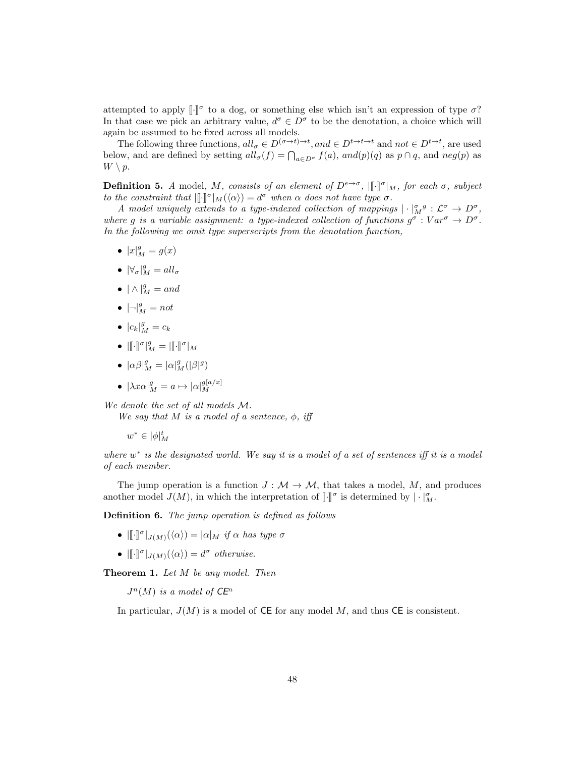attempted to apply  $\llbracket \cdot \rrbracket^{\sigma}$  to a dog, or something else which isn't an expression of type  $\sigma$ ?<br>In that case we pick an arbitrary value  $d^{\sigma} \in D^{\sigma}$  to be the denotation, a choice which will In that case we pick an arbitrary value,  $d^{\sigma} \in D^{\sigma}$  to be the denotation, a choice which will again be assumed to be fixed across all models.

The following three functions,  $all_{\sigma} \in D^{(\sigma \to t) \to t}$ , and  $\in D^{t \to t \to t}$  and  $not \in D^{t \to t}$ , are used below, and are defined by setting  $all_{\sigma}(f) = \bigcap_{a \in D^{\sigma}} f(a)$ ,  $and(p)(q)$  as  $p \cap q$ , and  $neg(p)$  as  $W \setminus p$ .

**Definition 5.** A model, M, consists of an element of  $D^{e\to\sigma}$ ,  $\left[\left[\cdot\right]^\sigma\right]_M$ , for each  $\sigma$ , subject to the constraint that  $\left[\left[\begin{matrix}1 \ \end{matrix}\right]^\sigma\right]_M$ ,  $\left(\alpha\right)$  and  $\sigma$  and  $\sigma$  and  $\sigma$ to the constraint that  $\llbracket \cdot \rrbracket^{\sigma} \rrbracket_M(\langle \alpha \rangle) = d^{\sigma}$  when  $\alpha$  does not have type  $\sigma$ .<br>A model uniqualy extends to a type indexed collection of manning

A model uniquely extends to a type-indexed collection of mappings  $|\cdot|_M^{\sigma} g : \mathcal{L}^{\sigma} \to D^{\sigma}$ , where g is a variable assignment: a type-indexed collection of functions  $g^{\sigma}: Var^{\sigma} \to D^{\sigma}$ . In the following we omit type superscripts from the denotation function,

- $|x|_M^g = g(x)$
- $|\forall_{\sigma}|_{M}^{g}=all_{\sigma}$
- $|\wedge|_M^g = and$
- $|\neg|_M^g = not$
- $|c_k|_M^g = c_k$
- $\left| \left[ \cdot \right]^\sigma \right|_M^g = \left| \left[ \cdot \right]^\sigma \right|_M$
- $|\alpha\beta|_M^g = |\alpha|_M^g(|\beta|^g)$
- $\bullet~~ |\lambda x \alpha|_M^g = a \mapsto |\alpha|_M^{g[a/x]}$ M

We denote the set of all models M.

We say that M is a model of a sentence,  $\phi$ , iff

 $w^* \in |\phi|_M^t$ 

where  $w^*$  is the designated world. We say it is a model of a set of sentences iff it is a model of each member.

The jump operation is a function  $J : \mathcal{M} \to \mathcal{M}$ , that takes a model, M, and produces another model  $J(M)$ , in which the interpretation of  $\llbracket \cdot \rrbracket^{\sigma}$  is determined by  $| \cdot |_{M}^{\sigma}$ .

Definition 6. The jump operation is defined as follows

- $\left\| \left[ \cdot \right]^\sigma \right|_{J(M)} (\langle \alpha \rangle) = |\alpha|_M$  if  $\alpha$  has type  $\sigma$
- $\left\| \left[ \cdot \right]^\sigma \right|_{J(M)}(\langle \alpha \rangle) = d^\sigma$  otherwise.

Theorem 1. Let M be any model. Then

 $J^n(M)$  is a model of  $\mathsf{CE}^n$ 

In particular,  $J(M)$  is a model of CE for any model M, and thus CE is consistent.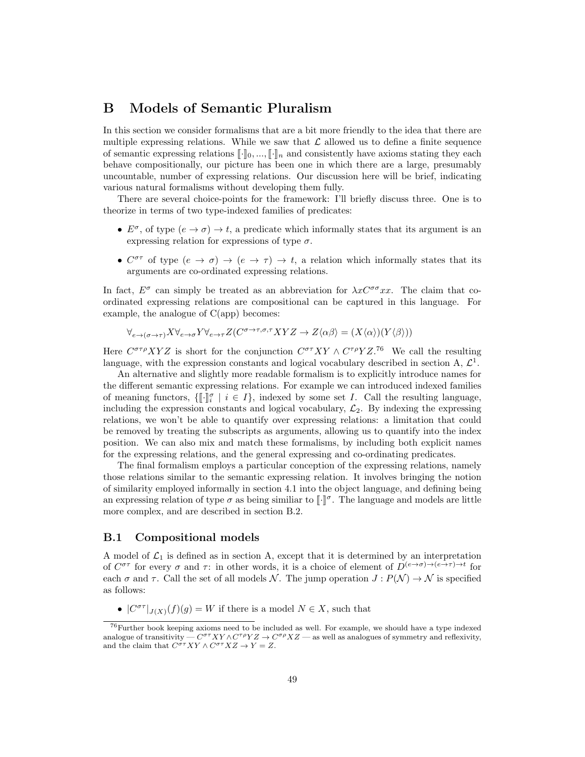## B Models of Semantic Pluralism

In this section we consider formalisms that are a bit more friendly to the idea that there are multiple expressing relations. While we saw that  $\mathcal L$  allowed us to define a finite sequence of semantic expressing relations  $\llbracket \cdot \rrbracket_0, \ldots, \llbracket \cdot \rrbracket_n$  and consistently have axioms stating they each behave compositionally, our picture has been one in which there are a large, presumably uncountable, number of expressing relations. Our discussion here will be brief, indicating various natural formalisms without developing them fully.

There are several choice-points for the framework: I'll briefly discuss three. One is to theorize in terms of two type-indexed families of predicates:

- $E^{\sigma}$ , of type  $(e \rightarrow \sigma) \rightarrow t$ , a predicate which informally states that its argument is an expressing relation for expressions of type  $\sigma$ .
- $C^{\sigma\tau}$  of type  $(e \to \sigma) \to (e \to \tau) \to t$ , a relation which informally states that its arguments are co-ordinated expressing relations.

In fact,  $E^{\sigma}$  can simply be treated as an abbreviation for  $\lambda x C^{\sigma\sigma} x x$ . The claim that coordinated expressing relations are compositional can be captured in this language. For example, the analogue of  $C(\text{app})$  becomes:

$$
\forall_{e\to(\sigma\to\tau)}X\forall_{e\to\sigma}Y\forall_{e\to\tau}Z(C^{\sigma\to\tau,\sigma,\tau}XYZ\to Z\langle\alpha\beta\rangle=(X\langle\alpha\rangle)(Y\langle\beta\rangle))
$$

Here  $C^{\sigma\tau\rho}XYZ$  is short for the conjunction  $C^{\sigma\tau}XY \wedge C^{\tau\rho}YZ$ .<sup>76</sup> We call the resulting language, with the expression constants and logical vocabulary described in section A,  $\mathcal{L}^1$ .

An alternative and slightly more readable formalism is to explicitly introduce names for the different semantic expressing relations. For example we can introduced indexed families of meaning functors,  $\{\llbracket \cdot \rrbracket_{i}^{\sigma} \mid i \in I\}$ , indexed by some set I. Call the resulting language, including the expression constants and logical vocabulary,  $\mathcal{L}_2$ . By indexing the expressing relations, we won't be able to quantify over expressing relations: a limitation that could be removed by treating the subscripts as arguments, allowing us to quantify into the index position. We can also mix and match these formalisms, by including both explicit names for the expressing relations, and the general expressing and co-ordinating predicates.

The final formalism employs a particular conception of the expressing relations, namely those relations similar to the semantic expressing relation. It involves bringing the notion of similarity employed informally in section 4.1 into the object language, and defining being an expressing relation of type  $\sigma$  as being similiar to  $\llbracket \cdot \rrbracket^{\sigma}$ . The language and models are little more complex, and are described in section B.2. more complex, and are described in section B.2.

### B.1 Compositional models

A model of  $\mathcal{L}_1$  is defined as in section A, except that it is determined by an interpretation of  $C^{\sigma\tau}$  for every  $\sigma$  and  $\tau$ : in other words, it is a choice of element of  $D^{(e\to\sigma)\to(e\to\tau)\to t}$  for each  $\sigma$  and  $\tau$ . Call the set of all models N. The jump operation  $J : P(\mathcal{N}) \to \mathcal{N}$  is specified as follows:

•  $|C^{\sigma\tau}|_{J(X)}(f)(g) = W$  if there is a model  $N \in X$ , such that

<sup>76</sup>Further book keeping axioms need to be included as well. For example, we should have a type indexed analogue of transitivity  $-C^{\sigma\tau}XY\wedge C^{\tau\rho}YZ\to C^{\sigma\rho}XZ$  — as well as analogues of symmetry and reflexivity, and the claim that  $C^{\sigma\tau}XY \wedge C^{\sigma\tau}XZ \to Y = Z.$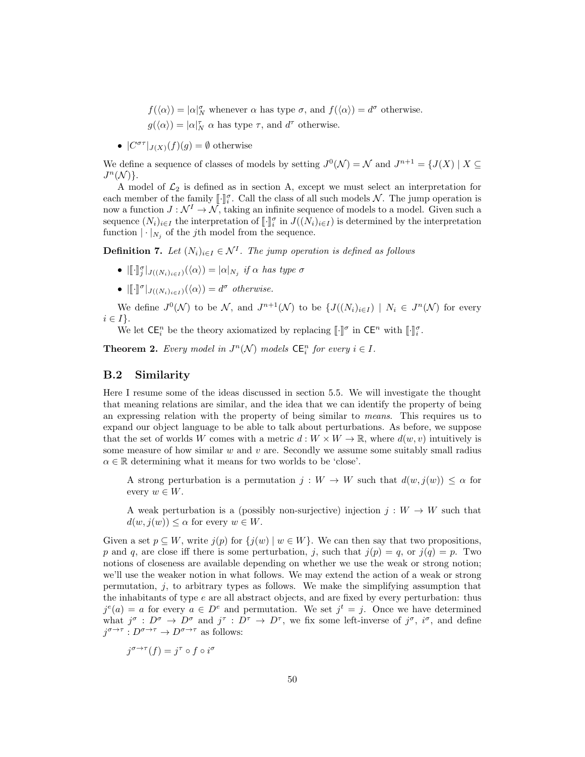$f(\langle \alpha \rangle) = |\alpha|_N^{\sigma}$  whenever  $\alpha$  has type  $\sigma$ , and  $f(\langle \alpha \rangle) = d^{\sigma}$  otherwise.  $g(\langle \alpha \rangle) = |\alpha|_N^{\tau} \alpha$  has type  $\tau$ , and  $d^{\tau}$  otherwise.

•  $|C^{\sigma\tau}|_{J(X)}(f)(g) = \emptyset$  otherwise

We define a sequence of classes of models by setting  $J^0(\mathcal{N}) = \mathcal{N}$  and  $J^{n+1} = \{J(X) | X \subseteq$  $J^n(\mathcal{N})\}.$ 

A model of  $\mathcal{L}_2$  is defined as in section A, except we must select an interpretation for each member of the family  $[\cdot]_q^{\sigma}$ . Call the class of all such models N. The jump operation is<br>now a function  $I: M \to M$  taking an infinite sequence of models to a model. Given such a now a function  $J: \mathcal{N}^I \to \mathcal{N}$ , taking an infinite sequence of models to a model. Given such a sequence  $(N_i)_{i\in I}$  the interpretation of  $\llbracket \cdot \rrbracket_i^{\sigma}$  in  $J((N_i)_{i\in I})$  is determined by the interpretation function  $\llbracket \cdot \rrbracket$  of the *i*<sup>th</sup> model from the sequence function  $|\cdot|_{N_j}$  of the *j*th model from the sequence.

**Definition 7.** Let  $(N_i)_{i \in I} \in \mathcal{N}^I$ . The jump operation is defined as follows

- $\prod_{j}^{d} J_{(N_i)_{i \in I}}(\langle \alpha \rangle) = |\alpha|_{N_j}$  if  $\alpha$  has type  $\sigma$
- $\prod_{i} \sigma |_{J((N_i)_{i \in I})} (\langle \alpha \rangle) = d^{\sigma}$  otherwise.

We define  $J^0(\mathcal{N})$  to be  $\mathcal{N}$ , and  $J^{n+1}(\mathcal{N})$  to be  $\{J((N_i)_{i\in I})\mid N_i\in J^n(\mathcal{N})\}$  for every  $i \in I$ .

We let  $\mathsf{CE}^n_i$  be the theory axiomatized by replacing  $\llbracket \cdot \rrbracket^{\sigma}$  in  $\mathsf{CE}^n$  with  $\llbracket \cdot \rrbracket^{\sigma}$ .

**Theorem 2.** Every model in  $J^n(\mathcal{N})$  models  $CE_i^n$  for every  $i \in I$ .

#### B.2 Similarity

Here I resume some of the ideas discussed in section 5.5. We will investigate the thought that meaning relations are similar, and the idea that we can identify the property of being an expressing relation with the property of being similar to means. This requires us to expand our object language to be able to talk about perturbations. As before, we suppose that the set of worlds W comes with a metric  $d: W \times W \to \mathbb{R}$ , where  $d(w, v)$  intuitively is some measure of how similar  $w$  and  $v$  are. Secondly we assume some suitably small radius  $\alpha \in \mathbb{R}$  determining what it means for two worlds to be 'close'.

A strong perturbation is a permutation  $j: W \to W$  such that  $d(w, j(w)) \leq \alpha$  for every  $w \in W$ .

A weak perturbation is a (possibly non-surjective) injection  $j: W \to W$  such that  $d(w, i(w)) \leq \alpha$  for every  $w \in W$ .

Given a set  $p \subseteq W$ , write  $j(p)$  for  $\{j(w) \mid w \in W\}$ . We can then say that two propositions, p and q, are close iff there is some perturbation, j, such that  $j(p) = q$ , or  $j(q) = p$ . Two notions of closeness are available depending on whether we use the weak or strong notion; we'll use the weaker notion in what follows. We may extend the action of a weak or strong permutation,  $j$ , to arbitrary types as follows. We make the simplifying assumption that the inhabitants of type  $e$  are all abstract objects, and are fixed by every perturbation: thus  $j^e(a) = a$  for every  $a \in D^e$  and permutation. We set  $j^t = j$ . Once we have determined what  $j^{\sigma}: D^{\sigma} \to D^{\sigma}$  and  $j^{\tau}: D^{\tau} \to D^{\tau}$ , we fix some left-inverse of  $j^{\sigma}, i^{\sigma}$ , and define  $j^{\sigma \to \tau} : D^{\sigma \to \tau} \to D^{\sigma \to \tau}$  as follows:

$$
j^{\sigma\to\tau}(f)=j^\tau\circ f\circ i^\sigma
$$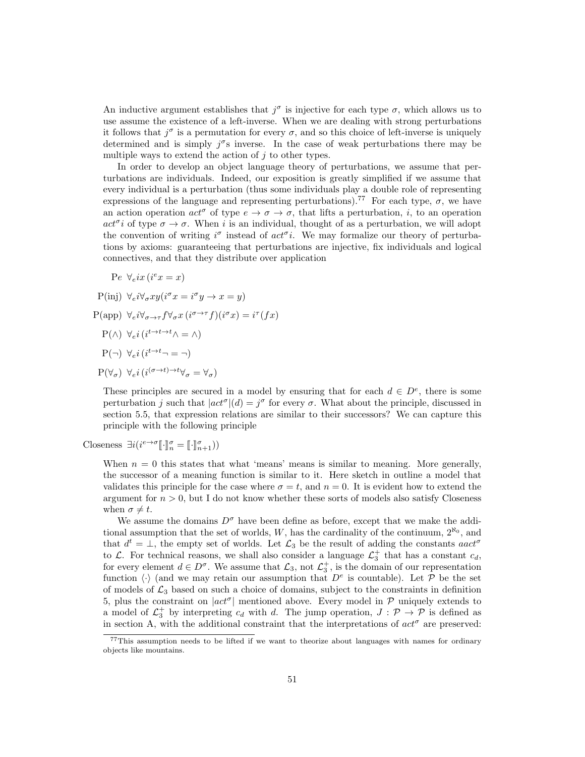An inductive argument establishes that  $j^{\sigma}$  is injective for each type  $\sigma$ , which allows us to use assume the existence of a left-inverse. When we are dealing with strong perturbations it follows that  $j^{\sigma}$  is a permutation for every  $\sigma$ , and so this choice of left-inverse is uniquely determined and is simply  $j^{\sigma}$ s inverse. In the case of weak perturbations there may be multiple ways to extend the action of  $j$  to other types.

In order to develop an object language theory of perturbations, we assume that perturbations are individuals. Indeed, our exposition is greatly simplified if we assume that every individual is a perturbation (thus some individuals play a double role of representing expressions of the language and representing perturbations).<sup>77</sup> For each type,  $\sigma$ , we have an action operation  $act^{\sigma}$  of type  $e \to \sigma \to \sigma$ , that lifts a perturbation, *i*, to an operation  $act^{\sigma}i$  of type  $\sigma \to \sigma$ . When i is an individual, thought of as a perturbation, we will adopt the convention of writing  $i^{\sigma}$  instead of  $act^{\sigma}i$ . We may formalize our theory of perturbations by axioms: guaranteeing that perturbations are injective, fix individuals and logical connectives, and that they distribute over application

 $Pe \ \forall e \, ix \, (i^e x = x)$ 

 $P(\text{inj}) \ \forall_e i \forall_\sigma xy (i^\sigma x = i^\sigma y \rightarrow x = y)$ 

- $P(\text{app}) \ \forall_e i \forall_{\sigma \to \tau} f \forall_{\sigma} x \ (i^{\sigma \to \tau} f)(i^{\sigma} x) = i^{\tau} (f x)$ 
	- $P(\wedge) \ \forall_e i \left( i^{t \to t \to t} \wedge = \wedge \right)$
	- $P(\neg) \ \forall_e i \left( i^{t \to t} \neg = \neg \right)$
- $P(\forall_{\sigma}) \ \forall_{e} i \left( i^{(\sigma \to t) \to t} \forall_{\sigma} = \forall_{\sigma} \right)$

These principles are secured in a model by ensuring that for each  $d \in D^e$ , there is some perturbation j such that  $|act^{\sigma}|(d) = j^{\sigma}$  for every  $\sigma$ . What about the principle, discussed in section 5.5, that expression relations are similar to their successors? We can capture this principle with the following principle

Closeness  $\exists i (i^{e \to \sigma} [\![ \cdot ]\!]_n^{\sigma} = [\![ \cdot ]\!]_{n+1}^{\sigma}))$ 

When  $n = 0$  this states that what 'means' means is similar to meaning. More generally, the successor of a meaning function is similar to it. Here sketch in outline a model that validates this principle for the case where  $\sigma = t$ , and  $n = 0$ . It is evident how to extend the argument for  $n > 0$ , but I do not know whether these sorts of models also satisfy Closeness when  $\sigma \neq t$ .

We assume the domains  $D^{\sigma}$  have been define as before, except that we make the additional assumption that the set of worlds,  $W$ , has the cardinality of the continuum,  $2^{\aleph_0}$ , and that  $d^t = \perp$ , the empty set of worlds. Let  $\mathcal{L}_3$  be the result of adding the constants  $aact^{\sigma}$ to  $\mathcal{L}$ . For technical reasons, we shall also consider a language  $\mathcal{L}_3^+$  that has a constant  $c_d$ , for every element  $d \in D^{\sigma}$ . We assume that  $\mathcal{L}_3$ , not  $\mathcal{L}_3^+$ , is the domain of our representation function  $\langle \cdot \rangle$  (and we may retain our assumption that  $D^e$  is countable). Let P be the set of models of  $\mathcal{L}_3$  based on such a choice of domains, subject to the constraints in definition 5, plus the constraint on  $|act^{\sigma}|$  mentioned above. Every model in  $P$  uniquely extends to a model of  $\mathcal{L}_3^+$  by interpreting  $c_d$  with d. The jump operation,  $J: \mathcal{P} \to \mathcal{P}$  is defined as in section A, with the additional constraint that the interpretations of  $act^{\sigma}$  are preserved:

<sup>77</sup>This assumption needs to be lifted if we want to theorize about languages with names for ordinary objects like mountains.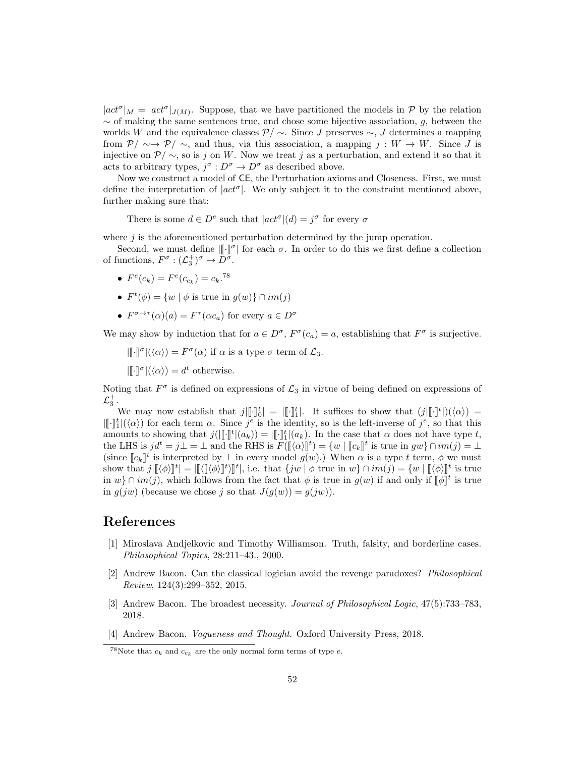$|act^{\sigma}|_M = |act^{\sigma}|_{J(M)}$ . Suppose, that we have partitioned the models in P by the relation  $\sim$  of making the same sentences true, and chose some bijective association, g, between the worlds W and the equivalence classes  $\mathcal{P}/\sim$ . Since J preserves  $\sim$ , J determines a mapping from  $\mathcal{P}/\sim\rightarrow\mathcal{P}/\sim$ , and thus, via this association, a mapping  $j:W\rightarrow W$ . Since J is injective on  $\mathcal{P}/\sim$ , so is j on W. Now we treat j as a perturbation, and extend it so that it acts to arbitrary types,  $j^{\sigma}: D^{\sigma} \to D^{\sigma}$  as described above.

Now we construct a model of CE, the Perturbation axioms and Closeness. First, we must define the interpretation of  $|act^{\sigma}|$ . We only subject it to the constraint mentioned above, further making sure that:

There is some  $d \in D^e$  such that  $|act^{\sigma}|(d) = j^{\sigma}$  for every  $\sigma$ 

where  $j$  is the aforementioned perturbation determined by the jump operation.

Second, we must define  $\left| \begin{matrix} \cdot & \cdot \\ \cdot & \cdot \end{matrix} \right|$  for each  $\sigma$ . In order to do this we first define a collection of functions,  $F^{\sigma}: (\mathcal{L}_3^+)^{\sigma} \to \overline{D}^{\sigma}$ .

- $F^e(c_k) = F^e(c_{c_k}) = c_k.^{78}$
- $F^t(\phi) = \{w \mid \phi \text{ is true in } g(w)\} \cap im(j)$
- $F^{\sigma \to \tau}(\alpha)(a) = F^{\tau}(\alpha c_a)$  for every  $a \in D^{\sigma}$

We may show by induction that for  $a \in D^{\sigma}$ ,  $F^{\sigma}(c_a) = a$ , establishing that  $F^{\sigma}$  is surjective.

 $\left|\left[\cdot\right]\right]^\sigma\right|\left(\langle\alpha\rangle\right) = F^\sigma(\alpha)$  if  $\alpha$  is a type  $\sigma$  term of  $\mathcal{L}_3$ .  $\left| \left[ \cdot \right]^\sigma \right| (\langle \alpha \rangle) = d^t$  otherwise.

Noting that  $F^{\sigma}$  is defined on expressions of  $\mathcal{L}_3$  in virtue of being defined on expressions of  $\mathcal{L}_3^+$  .

We may now establish that  $j\left[\begin{matrix} 1 \\ 0 \end{matrix}\right]_0^k = \left[\begin{matrix} 1 \\ 1 \end{matrix}\right]_1^k$ . It suffices to show that  $(j\left[\begin{matrix} 1 \\ 1 \end{matrix}\right]_1^k)(\langle \alpha \rangle) =$  $\left\| \begin{matrix} \cdot \\ \cdot \end{matrix} \right\|_1^t \left( \langle \alpha \rangle \right)$  for each term  $\alpha$ . Since  $j^e$  is the identity, so is the left-inverse of  $j^e$ , so that this amounts to showing that  $j(||\cdot||^t|(a_k)) = ||\cdot||^t_1|(a_k)$ . In the case that  $\alpha$  does not have type t,<br>the LHS is  $id^t = i| = |$  and the BHS is  $E(\mathbb{I}(\alpha)\mathbb{I}^t) = \{g_0 | \mathbb{I}(\alpha)\mathbb{I}^t |$  is true in equal  $Q(m(i) = 1)$ the LHS is  $jd^t = j \perp = \perp$  and the RHS is  $F([\{\alpha\}]^t) = \{w \mid [c_k]^t \text{ is true in } gw\} \cap im(j) = \perp$ <br>(gings  $\llbracket e_1 \rrbracket^t$  is interpreted by  $\perp$  in gyory model  $c(w)$ ). When  $\alpha$  is a true t term  $\phi$  we must (since <sup>J</sup>ck<sup>K</sup> t is interpreted by ⊥ in every model g(w).) When α is a type t term, φ we must show that  $j\|[\langle\phi\rangle]^t\| = [\langle [\langle\phi\rangle]^t\rangle]^t]$ , i.e. that  $\{jw \mid \phi \text{ true in } w\} \cap im(j) = \{w \mid [\langle\phi\rangle]^t\}$  is true<br>in and  $\bigcap \{m(i)\}$  which follows from the fact that  $\phi$  is true in  $g(w)$  if and only if  $\mathbb{R}^d$  is true in  $w$ }  $\cap im(j)$ , which follows from the fact that  $\phi$  is true in  $g(w)$  if and only if  $[\![\phi]\!]^t$  is true<br>in  $g(iw)$  (because we chose i so that  $I(g(w)) = g(iw)$ ) in  $g(jw)$  (because we chose j so that  $J(g(w)) = g(jw)$ ).

## References

- [1] Miroslava Andjelkovic and Timothy Williamson. Truth, falsity, and borderline cases. Philosophical Topics, 28:211–43., 2000.
- [2] Andrew Bacon. Can the classical logician avoid the revenge paradoxes? Philosophical Review, 124(3):299–352, 2015.
- [3] Andrew Bacon. The broadest necessity. Journal of Philosophical Logic, 47(5):733–783, 2018.
- [4] Andrew Bacon. Vagueness and Thought. Oxford University Press, 2018.

<sup>&</sup>lt;sup>78</sup>Note that  $c_k$  and  $c_{c_k}$  are the only normal form terms of type  $e$ .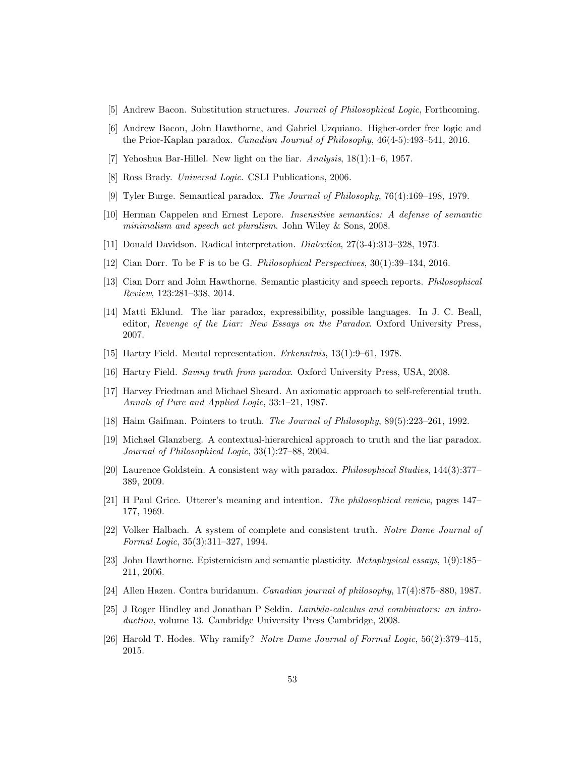- [5] Andrew Bacon. Substitution structures. Journal of Philosophical Logic, Forthcoming.
- [6] Andrew Bacon, John Hawthorne, and Gabriel Uzquiano. Higher-order free logic and the Prior-Kaplan paradox. Canadian Journal of Philosophy, 46(4-5):493–541, 2016.
- [7] Yehoshua Bar-Hillel. New light on the liar. Analysis, 18(1):1–6, 1957.
- [8] Ross Brady. Universal Logic. CSLI Publications, 2006.
- [9] Tyler Burge. Semantical paradox. The Journal of Philosophy, 76(4):169–198, 1979.
- [10] Herman Cappelen and Ernest Lepore. Insensitive semantics: A defense of semantic minimalism and speech act pluralism. John Wiley & Sons, 2008.
- [11] Donald Davidson. Radical interpretation. Dialectica, 27(3-4):313–328, 1973.
- [12] Cian Dorr. To be F is to be G. Philosophical Perspectives, 30(1):39–134, 2016.
- [13] Cian Dorr and John Hawthorne. Semantic plasticity and speech reports. Philosophical Review, 123:281–338, 2014.
- [14] Matti Eklund. The liar paradox, expressibility, possible languages. In J. C. Beall, editor, Revenge of the Liar: New Essays on the Paradox. Oxford University Press, 2007.
- [15] Hartry Field. Mental representation. Erkenntnis, 13(1):9–61, 1978.
- [16] Hartry Field. Saving truth from paradox. Oxford University Press, USA, 2008.
- [17] Harvey Friedman and Michael Sheard. An axiomatic approach to self-referential truth. Annals of Pure and Applied Logic, 33:1–21, 1987.
- [18] Haim Gaifman. Pointers to truth. The Journal of Philosophy, 89(5):223–261, 1992.
- [19] Michael Glanzberg. A contextual-hierarchical approach to truth and the liar paradox. Journal of Philosophical Logic, 33(1):27–88, 2004.
- [20] Laurence Goldstein. A consistent way with paradox. Philosophical Studies, 144(3):377– 389, 2009.
- [21] H Paul Grice. Utterer's meaning and intention. The philosophical review, pages 147– 177, 1969.
- [22] Volker Halbach. A system of complete and consistent truth. Notre Dame Journal of Formal Logic, 35(3):311–327, 1994.
- [23] John Hawthorne. Epistemicism and semantic plasticity. Metaphysical essays, 1(9):185– 211, 2006.
- [24] Allen Hazen. Contra buridanum. Canadian journal of philosophy, 17(4):875–880, 1987.
- [25] J Roger Hindley and Jonathan P Seldin. Lambda-calculus and combinators: an introduction, volume 13. Cambridge University Press Cambridge, 2008.
- [26] Harold T. Hodes. Why ramify? Notre Dame Journal of Formal Logic, 56(2):379–415, 2015.